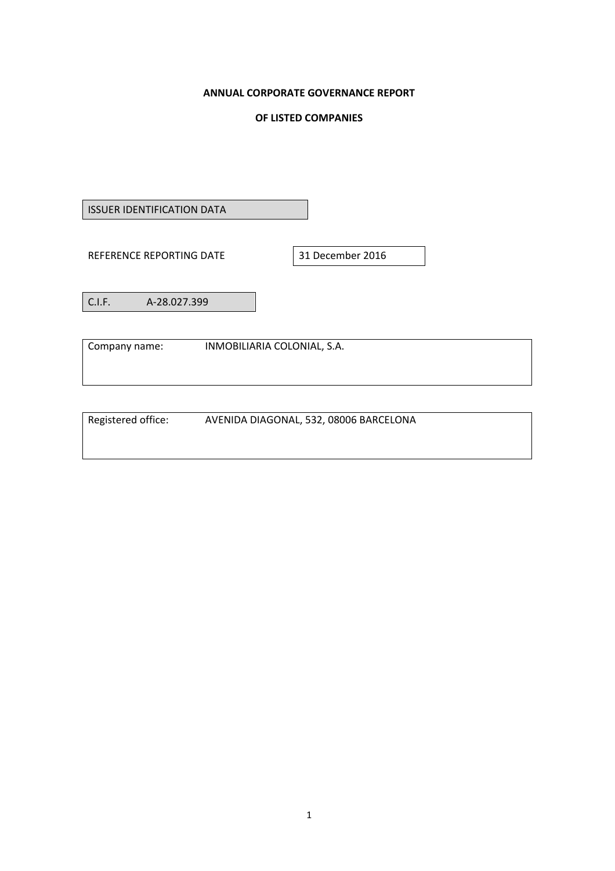## **ANNUAL CORPORATE GOVERNANCE REPORT**

### **OF LISTED COMPANIES**

ISSUER IDENTIFICATION DATA

REFERENCE REPORTING DATE 31 December 2016

C.I.F. A‐28.027.399

Company name: INMOBILIARIA COLONIAL, S.A.

Registered office: AVENIDA DIAGONAL, 532, 08006 BARCELONA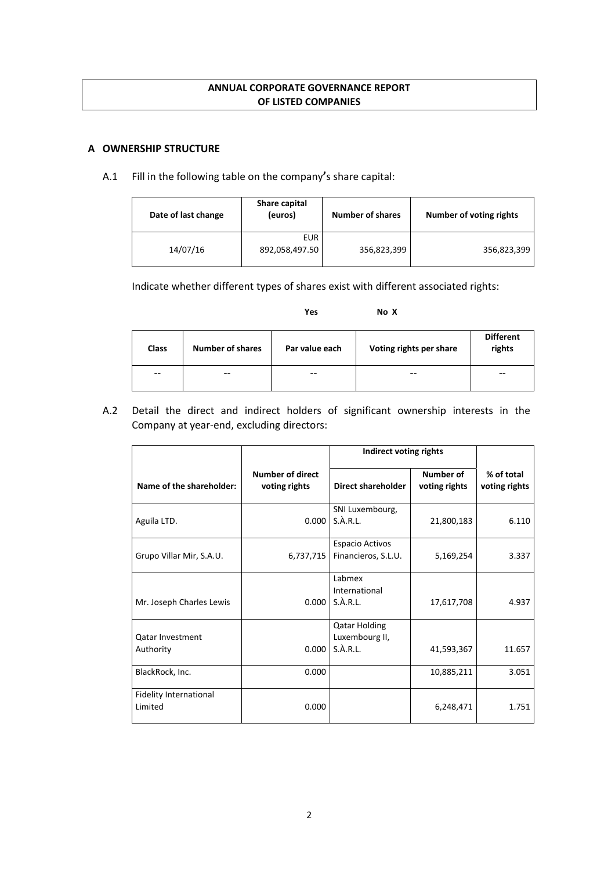# **ANNUAL CORPORATE GOVERNANCE REPORT OF LISTED COMPANIES**

## **A OWNERSHIP STRUCTURE**

A.1 Fill in the following table on the company**'**s share capital:

| Date of last change | Share capital<br>(euros)     | <b>Number of shares</b> | Number of voting rights |
|---------------------|------------------------------|-------------------------|-------------------------|
| 14/07/16            | <b>EUR</b><br>892,058,497.50 | 356,823,399             | 356,823,399             |

Indicate whether different types of shares exist with different associated rights:

| <b>Class</b> | <b>Number of shares</b> | Par value each | Voting rights per share | <b>Different</b><br>rights |
|--------------|-------------------------|----------------|-------------------------|----------------------------|
| $- -$        | $- -$                   | $- -$          | $- -$                   | $-$                        |

A.2 Detail the direct and indirect holders of significant ownership interests in the Company at year‐end, excluding directors:

|                                      |                                   | Indirect voting rights                             |                            |                             |
|--------------------------------------|-----------------------------------|----------------------------------------------------|----------------------------|-----------------------------|
| Name of the shareholder:             | Number of direct<br>voting rights | <b>Direct shareholder</b>                          | Number of<br>voting rights | % of total<br>voting rights |
| Aguila LTD.                          | 0.000                             | SNI Luxembourg,<br>S.A.R.L.                        | 21,800,183                 | 6.110                       |
| Grupo Villar Mir, S.A.U.             | 6,737,715                         | Espacio Activos<br>Financieros, S.L.U.             | 5,169,254                  | 3.337                       |
| Mr. Joseph Charles Lewis             | 0.0001                            | Labmex<br>International<br>S.A.R.L.                | 17,617,708                 | 4.937                       |
| <b>Qatar Investment</b><br>Authority | 0.000                             | <b>Qatar Holding</b><br>Luxembourg II,<br>S.A.R.L. | 41,593,367                 | 11.657                      |
| BlackRock, Inc.                      | 0.000                             |                                                    | 10,885,211                 | 3.051                       |
| Fidelity International<br>Limited    | 0.000                             |                                                    | 6,248,471                  | 1.751                       |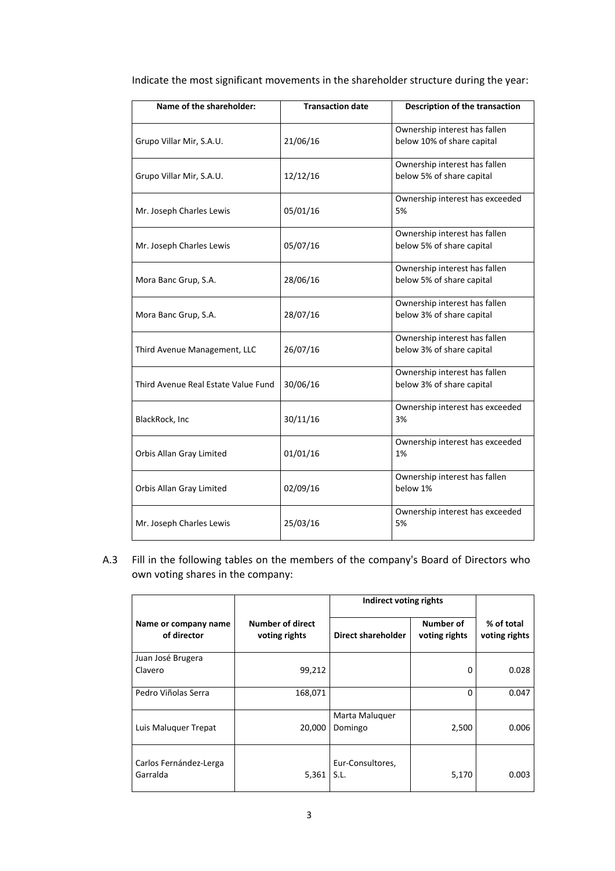| Name of the shareholder:            | <b>Transaction date</b> | Description of the transaction                              |
|-------------------------------------|-------------------------|-------------------------------------------------------------|
| Grupo Villar Mir, S.A.U.            | 21/06/16                | Ownership interest has fallen<br>below 10% of share capital |
| Grupo Villar Mir, S.A.U.            | 12/12/16                | Ownership interest has fallen<br>below 5% of share capital  |
| Mr. Joseph Charles Lewis            | 05/01/16                | Ownership interest has exceeded<br>5%                       |
| Mr. Joseph Charles Lewis            | 05/07/16                | Ownership interest has fallen<br>below 5% of share capital  |
| Mora Banc Grup, S.A.                | 28/06/16                | Ownership interest has fallen<br>below 5% of share capital  |
| Mora Banc Grup, S.A.                | 28/07/16                | Ownership interest has fallen<br>below 3% of share capital  |
| Third Avenue Management, LLC        | 26/07/16                | Ownership interest has fallen<br>below 3% of share capital  |
| Third Avenue Real Estate Value Fund | 30/06/16                | Ownership interest has fallen<br>below 3% of share capital  |
| BlackRock, Inc                      | 30/11/16                | Ownership interest has exceeded<br>3%                       |
| Orbis Allan Gray Limited            | 01/01/16                | Ownership interest has exceeded<br>1%                       |
| Orbis Allan Gray Limited            | 02/09/16                | Ownership interest has fallen<br>below 1%                   |
| Mr. Joseph Charles Lewis            | 25/03/16                | Ownership interest has exceeded<br>5%                       |

Indicate the most significant movements in the shareholder structure during the year:

A.3 Fill in the following tables on the members of the company's Board of Directors who own voting shares in the company:

|                                     |                                          | Indirect voting rights   |                            |                             |
|-------------------------------------|------------------------------------------|--------------------------|----------------------------|-----------------------------|
| Name or company name<br>of director | <b>Number of direct</b><br>voting rights | Direct shareholder       | Number of<br>voting rights | % of total<br>voting rights |
| Juan José Brugera                   |                                          |                          |                            |                             |
| Clavero                             | 99,212                                   |                          | 0                          | 0.028                       |
| Pedro Viñolas Serra                 | 168,071                                  |                          | 0                          | 0.047                       |
|                                     |                                          | Marta Maluquer           |                            |                             |
| Luis Maluquer Trepat                | 20,000                                   | Domingo                  | 2,500                      | 0.006                       |
| Carlos Fernández-Lerga<br>Garralda  | 5,361                                    | Eur-Consultores,<br>S.L. | 5,170                      | 0.003                       |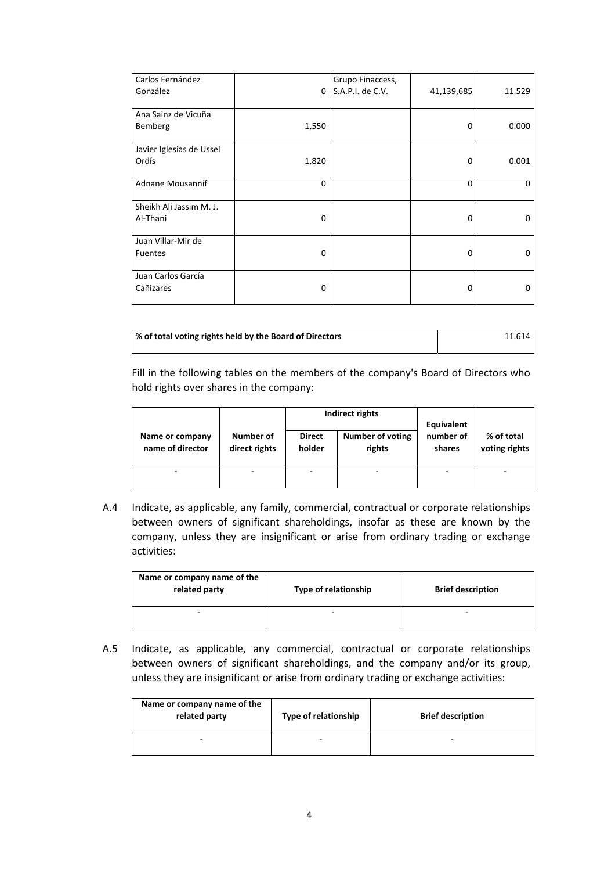| Carlos Fernández<br>González          | $\Omega$ | Grupo Finaccess,<br>S.A.P.I. de C.V. | 41,139,685 | 11.529       |
|---------------------------------------|----------|--------------------------------------|------------|--------------|
| Ana Sainz de Vicuña<br><b>Bemberg</b> | 1,550    |                                      | 0          | 0.000        |
| Javier Iglesias de Ussel<br>Ordís     | 1,820    |                                      | 0          | 0.001        |
| <b>Adnane Mousannif</b>               | $\Omega$ |                                      | 0          | 0            |
| Sheikh Ali Jassim M. J.<br>Al-Thani   | $\Omega$ |                                      | 0          | 0            |
| Juan Villar-Mir de<br><b>Fuentes</b>  | O        |                                      | 0          | <sup>0</sup> |
| Juan Carlos García<br>Cañizares       | O        |                                      | 0          | 0            |

| % of total voting rights held by the Board of Directors | 11.614 |
|---------------------------------------------------------|--------|
|                                                         |        |

Fill in the following tables on the members of the company's Board of Directors who hold rights over shares in the company:

|                                     | Indirect rights            |                         |                                   | Equivalent               |                             |
|-------------------------------------|----------------------------|-------------------------|-----------------------------------|--------------------------|-----------------------------|
| Name or company<br>name of director | Number of<br>direct rights | <b>Direct</b><br>holder | <b>Number of voting</b><br>rights | number of<br>shares      | % of total<br>voting rights |
|                                     | ۰                          | -                       | ۰                                 | $\overline{\phantom{a}}$ |                             |

A.4 Indicate, as applicable, any family, commercial, contractual or corporate relationships between owners of significant shareholdings, insofar as these are known by the company, unless they are insignificant or arise from ordinary trading or exchange activities:

| Name or company name of the<br>related party | <b>Type of relationship</b> | <b>Brief description</b> |
|----------------------------------------------|-----------------------------|--------------------------|
| -                                            | -                           | -                        |

A.5 Indicate, as applicable, any commercial, contractual or corporate relationships between owners of significant shareholdings, and the company and/or its group, unless they are insignificant or arise from ordinary trading or exchange activities:

| Name or company name of the<br>related party | <b>Type of relationship</b> | <b>Brief description</b> |
|----------------------------------------------|-----------------------------|--------------------------|
| -                                            |                             | $\overline{\phantom{a}}$ |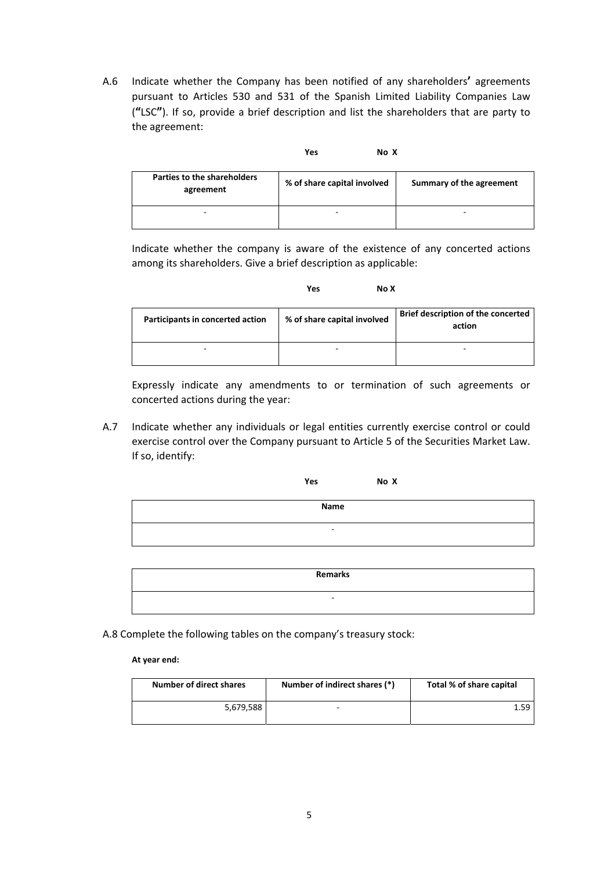A.6 Indicate whether the Company has been notified of any shareholders**'** agreements pursuant to Articles 530 and 531 of the Spanish Limited Liability Companies Law (**"**LSC**"**). If so, provide a brief description and list the shareholders that are party to the agreement:

| Yes | No X |  |
|-----|------|--|
|-----|------|--|

| <b>Parties to the shareholders</b><br>agreement | % of share capital involved | Summary of the agreement |
|-------------------------------------------------|-----------------------------|--------------------------|
| -                                               |                             | $\overline{\phantom{a}}$ |

Indicate whether the company is aware of the existence of any concerted actions among its shareholders. Give a brief description as applicable:

**Yes No X**

| Participants in concerted action | % of share capital involved | Brief description of the concerted<br>action |
|----------------------------------|-----------------------------|----------------------------------------------|
| -                                |                             | ۰                                            |

Expressly indicate any amendments to or termination of such agreements or concerted actions during the year:

A.7 Indicate whether any individuals or legal entities currently exercise control or could exercise control over the Company pursuant to Article 5 of the Securities Market Law. If so, identify:

**Yes No X**

| Name   |  |
|--------|--|
| $\sim$ |  |

| Remarks |  |
|---------|--|
| -       |  |

A.8 Complete the following tables on the company's treasury stock:

#### **At year end:**

| <b>Number of direct shares</b> | Number of indirect shares (*) | Total % of share capital |
|--------------------------------|-------------------------------|--------------------------|
| 5,679,588                      |                               | 1.59                     |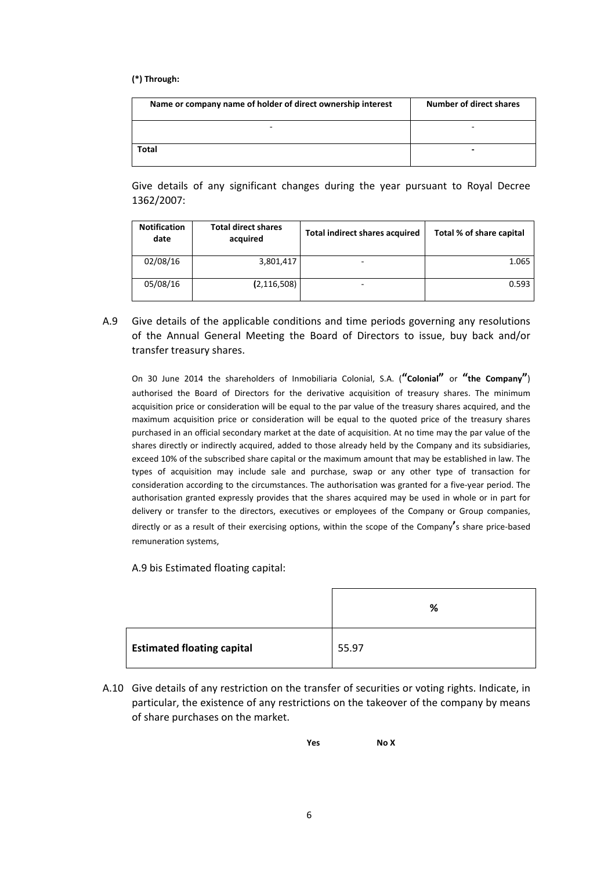**(\*) Through:**

| Name or company name of holder of direct ownership interest | Number of direct shares |
|-------------------------------------------------------------|-------------------------|
| -                                                           |                         |
| <b>Total</b>                                                | -                       |

Give details of any significant changes during the year pursuant to Royal Decree 1362/2007:

| <b>Notification</b><br>date | <b>Total direct shares</b><br>acquired | <b>Total indirect shares acquired</b> | Total % of share capital |
|-----------------------------|----------------------------------------|---------------------------------------|--------------------------|
| 02/08/16                    | 3,801,417                              |                                       | 1.065                    |
| 05/08/16                    | (2, 116, 508)                          | $\overline{\phantom{a}}$              | 0.593                    |

A.9 Give details of the applicable conditions and time periods governing any resolutions of the Annual General Meeting the Board of Directors to issue, buy back and/or transfer treasury shares.

On 30 June 2014 the shareholders of Inmobiliaria Colonial, S.A. (**"Colonial"** or **"the Company"**) authorised the Board of Directors for the derivative acquisition of treasury shares. The minimum acquisition price or consideration will be equal to the par value of the treasury shares acquired, and the maximum acquisition price or consideration will be equal to the quoted price of the treasury shares purchased in an official secondary market at the date of acquisition. At no time may the par value of the shares directly or indirectly acquired, added to those already held by the Company and its subsidiaries, exceed 10% of the subscribed share capital or the maximum amount that may be established in law. The types of acquisition may include sale and purchase, swap or any other type of transaction for consideration according to the circumstances. The authorisation was granted for a five-year period. The authorisation granted expressly provides that the shares acquired may be used in whole or in part for delivery or transfer to the directors, executives or employees of the Company or Group companies, directly or as a result of their exercising options, within the scope of the Company**'**s share price‐based remuneration systems,

A.9 bis Estimated floating capital:

|                                   | %     |
|-----------------------------------|-------|
| <b>Estimated floating capital</b> | 55.97 |

A.10 Give details of any restriction on the transfer of securities or voting rights. Indicate, in particular, the existence of any restrictions on the takeover of the company by means of share purchases on the market.

**Yes No X**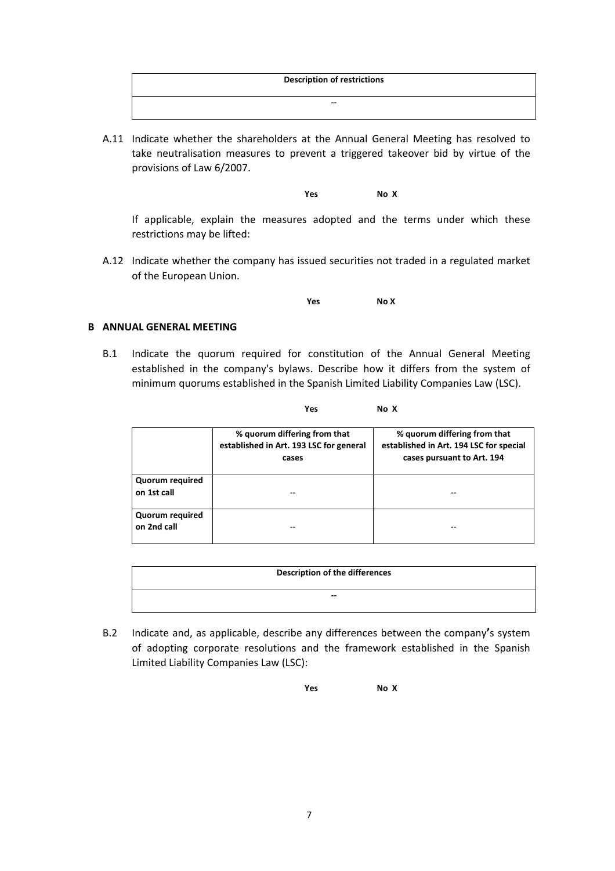| <b>Description of restrictions</b> |
|------------------------------------|
| $- -$                              |

A.11 Indicate whether the shareholders at the Annual General Meeting has resolved to take neutralisation measures to prevent a triggered takeover bid by virtue of the provisions of Law 6/2007.

**Yes No X**

If applicable, explain the measures adopted and the terms under which these restrictions may be lifted:

A.12 Indicate whether the company has issued securities not traded in a regulated market of the European Union.

**Yes No X**

## **B ANNUAL GENERAL MEETING**

B.1 Indicate the quorum required for constitution of the Annual General Meeting established in the company's bylaws. Describe how it differs from the system of minimum quorums established in the Spanish Limited Liability Companies Law (LSC).

| Yes | No X |  |
|-----|------|--|
|-----|------|--|

|                                       | % quorum differing from that<br>established in Art. 193 LSC for general<br>cases | % quorum differing from that<br>established in Art. 194 LSC for special<br>cases pursuant to Art. 194 |
|---------------------------------------|----------------------------------------------------------------------------------|-------------------------------------------------------------------------------------------------------|
| <b>Quorum required</b><br>on 1st call |                                                                                  |                                                                                                       |
| <b>Quorum required</b><br>on 2nd call |                                                                                  |                                                                                                       |

| <b>Description of the differences</b> |
|---------------------------------------|
| $- -$                                 |

B.2 Indicate and, as applicable, describe any differences between the company**'**s system of adopting corporate resolutions and the framework established in the Spanish Limited Liability Companies Law (LSC):

**Yes No X**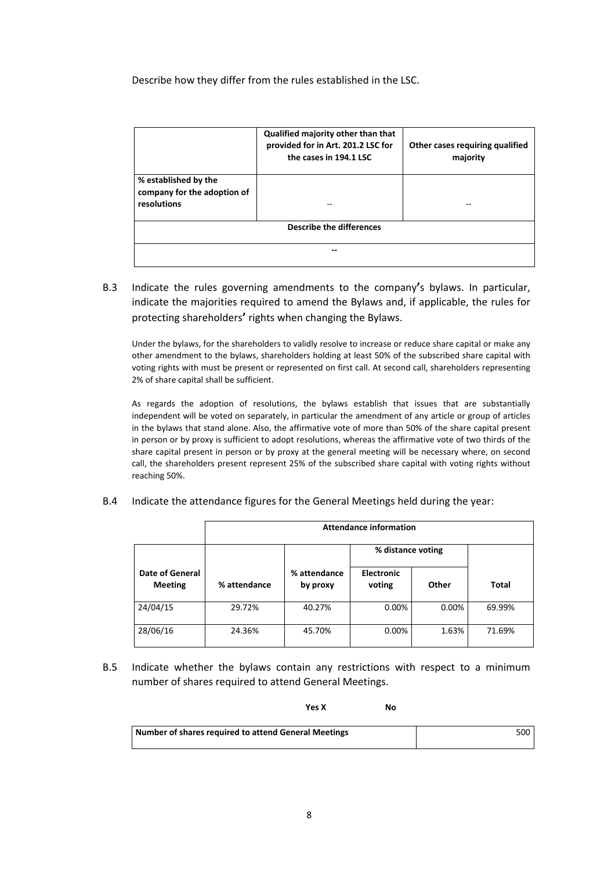Describe how they differ from the rules established in the LSC.

|                                                     | Qualified majority other than that<br>provided for in Art. 201.2 LSC for<br>the cases in 194.1 LSC | Other cases requiring qualified<br>majority |
|-----------------------------------------------------|----------------------------------------------------------------------------------------------------|---------------------------------------------|
| % established by the<br>company for the adoption of |                                                                                                    |                                             |
| resolutions                                         |                                                                                                    |                                             |
|                                                     | <b>Describe the differences</b>                                                                    |                                             |
|                                                     |                                                                                                    |                                             |

B.3 Indicate the rules governing amendments to the company**'**s bylaws. In particular, indicate the majorities required to amend the Bylaws and, if applicable, the rules for protecting shareholders**'** rights when changing the Bylaws.

Under the bylaws, for the shareholders to validly resolve to increase or reduce share capital or make any other amendment to the bylaws, shareholders holding at least 50% of the subscribed share capital with voting rights with must be present or represented on first call. At second call, shareholders representing 2% of share capital shall be sufficient.

As regards the adoption of resolutions, the bylaws establish that issues that are substantially independent will be voted on separately, in particular the amendment of any article or group of articles in the bylaws that stand alone. Also, the affirmative vote of more than 50% of the share capital present in person or by proxy is sufficient to adopt resolutions, whereas the affirmative vote of two thirds of the share capital present in person or by proxy at the general meeting will be necessary where, on second call, the shareholders present represent 25% of the subscribed share capital with voting rights without reaching 50%.

B.4 Indicate the attendance figures for the General Meetings held during the year:

|                                   | <b>Attendance information</b> |                          |                             |       |              |
|-----------------------------------|-------------------------------|--------------------------|-----------------------------|-------|--------------|
|                                   | % distance voting             |                          |                             |       |              |
| Date of General<br><b>Meeting</b> | % attendance                  | % attendance<br>by proxy | <b>Electronic</b><br>voting | Other | <b>Total</b> |
| 24/04/15                          | 29.72%                        | 40.27%                   | 0.00%                       | 0.00% | 69.99%       |
| 28/06/16                          | 24.36%                        | 45.70%                   | 0.00%                       | 1.63% | 71.69%       |

B.5 Indicate whether the bylaws contain any restrictions with respect to a minimum number of shares required to attend General Meetings.

**Yes X No** 

| Number of shares required to attend General Meetings | $500 -$ |
|------------------------------------------------------|---------|
|                                                      |         |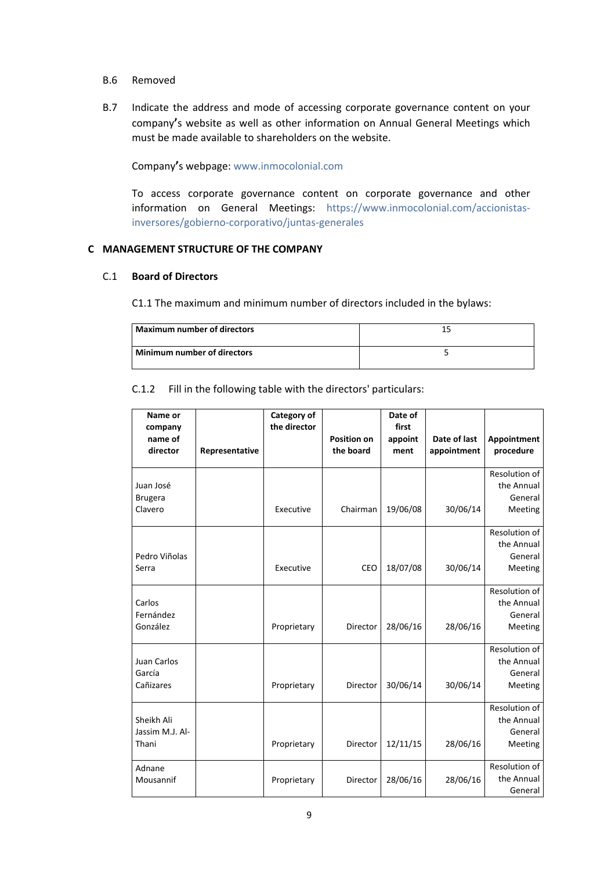- B.6 Removed
- B.7 Indicate the address and mode of accessing corporate governance content on your company**'**s website as well as other information on Annual General Meetings which must be made available to shareholders on the website.

Company**'**s webpage: www.inmocolonial.com

To access corporate governance content on corporate governance and other information on General Meetings: https://www.inmocolonial.com/accionistasinversores/gobierno‐corporativo/juntas‐generales

### **C MANAGEMENT STRUCTURE OF THE COMPANY**

### C.1 **Board of Directors**

C1.1 The maximum and minimum number of directors included in the bylaws:

| <b>Maximum number of directors</b> |  |
|------------------------------------|--|
| <b>Minimum number of directors</b> |  |

## C.1.2 Fill in the following table with the directors' particulars:

| Name or<br>company        |                | Category of<br>the director |                    | Date of<br>first |              |               |
|---------------------------|----------------|-----------------------------|--------------------|------------------|--------------|---------------|
| name of                   |                |                             | <b>Position on</b> | appoint          | Date of last | Appointment   |
| director                  | Representative |                             | the board          | ment             | appointment  | procedure     |
|                           |                |                             |                    |                  |              | Resolution of |
| Juan José                 |                |                             |                    |                  |              | the Annual    |
| <b>Brugera</b><br>Clavero |                |                             |                    |                  |              | General       |
|                           |                | Executive                   | Chairman           | 19/06/08         | 30/06/14     | Meeting       |
|                           |                |                             |                    |                  |              | Resolution of |
|                           |                |                             |                    |                  |              | the Annual    |
| Pedro Viñolas             |                |                             |                    |                  |              | General       |
| Serra                     |                | Executive                   | CEO                | 18/07/08         | 30/06/14     | Meeting       |
|                           |                |                             |                    |                  |              | Resolution of |
| Carlos                    |                |                             |                    |                  |              | the Annual    |
| Fernández                 |                |                             |                    |                  |              | General       |
| González                  |                | Proprietary                 | Director           | 28/06/16         | 28/06/16     | Meeting       |
|                           |                |                             |                    |                  |              | Resolution of |
| Juan Carlos               |                |                             |                    |                  |              | the Annual    |
| García                    |                |                             |                    |                  |              | General       |
| Cañizares                 |                | Proprietary                 | Director           | 30/06/14         | 30/06/14     | Meeting       |
|                           |                |                             |                    |                  |              | Resolution of |
| Sheikh Ali                |                |                             |                    |                  |              | the Annual    |
| Jassim M.J. Al-           |                |                             |                    |                  |              | General       |
| Thani                     |                | Proprietary                 | Director           | 12/11/15         | 28/06/16     | Meeting       |
| Adnane                    |                |                             |                    |                  |              | Resolution of |
| Mousannif                 |                | Proprietary                 | Director           | 28/06/16         | 28/06/16     | the Annual    |
|                           |                |                             |                    |                  |              | General       |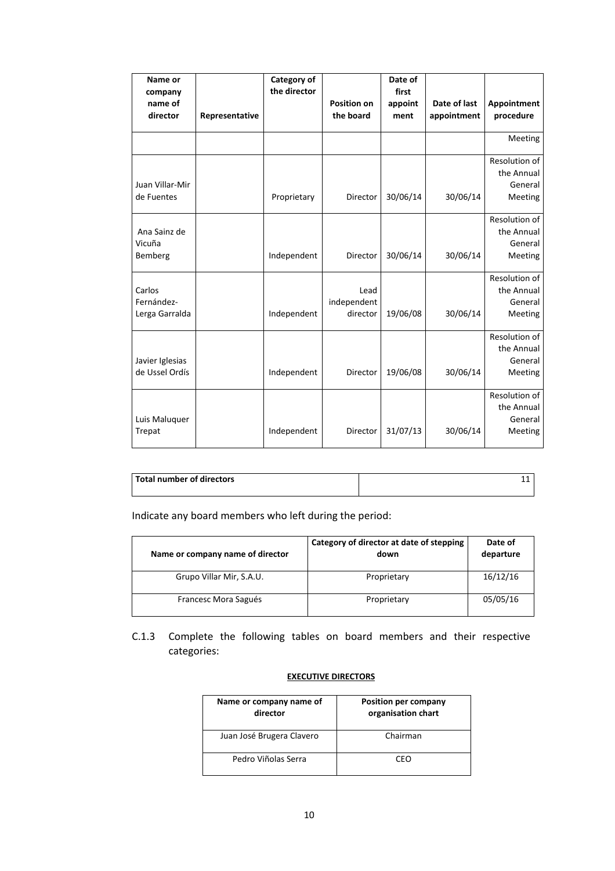| Name or<br>company  |                | <b>Category of</b><br>the director |                                 | Date of<br>first |              |                       |
|---------------------|----------------|------------------------------------|---------------------------------|------------------|--------------|-----------------------|
| name of<br>director |                |                                    | <b>Position on</b><br>the board | appoint          | Date of last | Appointment           |
|                     | Representative |                                    |                                 | ment             | appointment  | procedure             |
|                     |                |                                    |                                 |                  |              | <b>Meeting</b>        |
|                     |                |                                    |                                 |                  |              | Resolution of         |
| Juan Villar-Mir     |                |                                    |                                 |                  |              | the Annual<br>General |
| de Fuentes          |                | Proprietary                        | Director                        | 30/06/14         | 30/06/14     | Meeting               |
|                     |                |                                    |                                 |                  |              | Resolution of         |
| Ana Sainz de        |                |                                    |                                 |                  |              | the Annual            |
| Vicuña              |                |                                    |                                 |                  |              | General               |
| Bemberg             |                | Independent                        | Director                        | 30/06/14         | 30/06/14     | Meeting               |
|                     |                |                                    |                                 |                  |              | Resolution of         |
| Carlos              |                |                                    | Lead                            |                  |              | the Annual            |
| Fernández-          |                |                                    | independent                     |                  |              | General               |
| Lerga Garralda      |                | Independent                        | director                        | 19/06/08         | 30/06/14     | Meeting               |
|                     |                |                                    |                                 |                  |              | Resolution of         |
|                     |                |                                    |                                 |                  |              | the Annual            |
| Javier Iglesias     |                |                                    |                                 |                  |              | General               |
| de Ussel Ordís      |                | Independent                        | Director                        | 19/06/08         | 30/06/14     | Meeting               |
|                     |                |                                    |                                 |                  |              | Resolution of         |
|                     |                |                                    |                                 |                  |              | the Annual            |
| Luis Maluquer       |                |                                    | Director                        |                  |              | General               |
| Trepat              |                | Independent                        |                                 | 31/07/13         | 30/06/14     | Meeting               |

| l Total number of directors |  |
|-----------------------------|--|
|                             |  |

Indicate any board members who left during the period:

| Name or company name of director | Category of director at date of stepping<br>down | Date of<br>departure |
|----------------------------------|--------------------------------------------------|----------------------|
| Grupo Villar Mir, S.A.U.         | Proprietary                                      | 16/12/16             |
| Francesc Mora Sagués             | Proprietary                                      | 05/05/16             |

C.1.3 Complete the following tables on board members and their respective categories:

## **EXECUTIVE DIRECTORS**

| Name or company name of<br>director | Position per company<br>organisation chart |
|-------------------------------------|--------------------------------------------|
| Juan José Brugera Clavero           | Chairman                                   |
| Pedro Viñolas Serra                 | CFO                                        |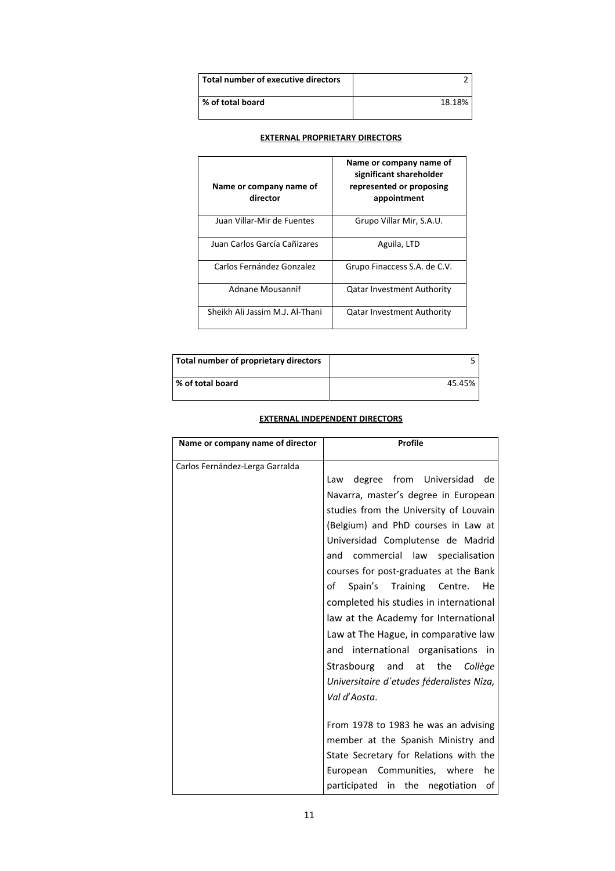| Total number of executive directors |        |
|-------------------------------------|--------|
| ∣% of total board                   | 18.18% |

# **EXTERNAL PROPRIETARY DIRECTORS**

| Name or company name of<br>director | Name or company name of<br>significant shareholder<br>represented or proposing<br>appointment |
|-------------------------------------|-----------------------------------------------------------------------------------------------|
| Juan Villar-Mir de Fuentes          | Grupo Villar Mir, S.A.U.                                                                      |
| Juan Carlos García Cañizares        | Aguila, LTD                                                                                   |
| Carlos Fernández Gonzalez           | Grupo Finaccess S.A. de C.V.                                                                  |
| Adnane Mousannif                    | <b>Qatar Investment Authority</b>                                                             |
| Sheikh Ali Jassim M.J. Al-Thani     | <b>Qatar Investment Authority</b>                                                             |

| Total number of proprietary directors |        |
|---------------------------------------|--------|
| ∣% of total board                     | 45.45% |

# **EXTERNAL INDEPENDENT DIRECTORS**

| Name or company name of director | Profile                                   |
|----------------------------------|-------------------------------------------|
| Carlos Fernández-Lerga Garralda  |                                           |
|                                  | Law degree from Universidad de            |
|                                  | Navarra, master's degree in European      |
|                                  | studies from the University of Louvain    |
|                                  | (Belgium) and PhD courses in Law at       |
|                                  | Universidad Complutense de Madrid         |
|                                  | and commercial law specialisation         |
|                                  | courses for post-graduates at the Bank    |
|                                  | Spain's Training Centre. He<br>of         |
|                                  | completed his studies in international    |
|                                  | law at the Academy for International      |
|                                  | Law at The Hague, in comparative law      |
|                                  | and international organisations in        |
|                                  | Strasbourg and at the<br>Collège          |
|                                  | Universitaire d'etudes féderalistes Niza, |
|                                  | Val d'Aosta.                              |
|                                  |                                           |
|                                  | From 1978 to 1983 he was an advising      |
|                                  | member at the Spanish Ministry and        |
|                                  | State Secretary for Relations with the    |
|                                  | European Communities, where<br>he         |
|                                  | participated in the negotiation<br>of     |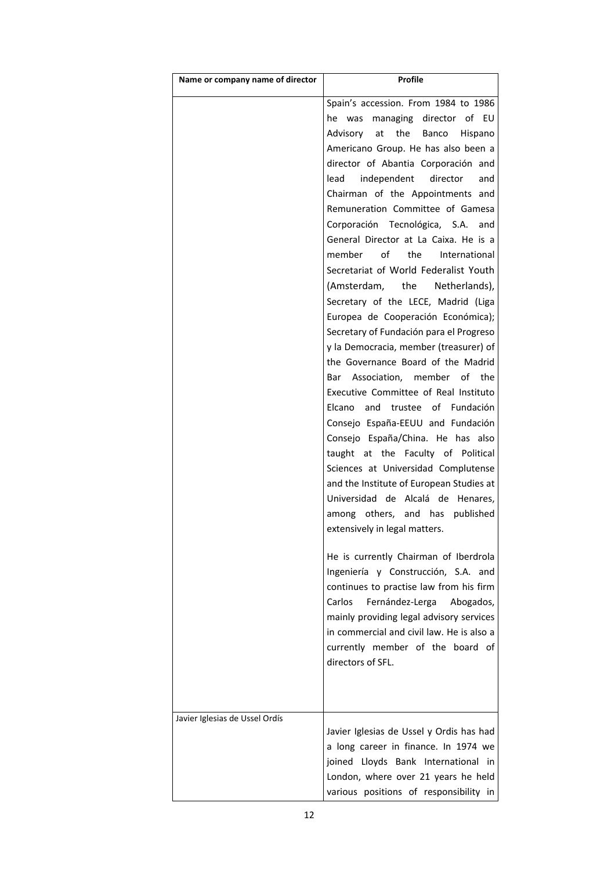| Name or company name of director | Profile                                                                                                                                                                                                                                                                                                                                                                                                                                                                                                                                                                                                                                                                                                                                                                                                                                                                                                                                                                                                                                                                                                                                                                                                                                                                                                                                                                                                                                                                                              |
|----------------------------------|------------------------------------------------------------------------------------------------------------------------------------------------------------------------------------------------------------------------------------------------------------------------------------------------------------------------------------------------------------------------------------------------------------------------------------------------------------------------------------------------------------------------------------------------------------------------------------------------------------------------------------------------------------------------------------------------------------------------------------------------------------------------------------------------------------------------------------------------------------------------------------------------------------------------------------------------------------------------------------------------------------------------------------------------------------------------------------------------------------------------------------------------------------------------------------------------------------------------------------------------------------------------------------------------------------------------------------------------------------------------------------------------------------------------------------------------------------------------------------------------------|
|                                  | Spain's accession. From 1984 to 1986<br>managing director of EU<br>he was<br>at<br>the<br>Advisory<br>Banco<br>Hispano<br>Americano Group. He has also been a<br>director of Abantia Corporación and<br>lead<br>independent<br>director<br>and<br>Chairman of the Appointments and<br>Remuneration Committee of Gamesa<br>Corporación Tecnológica, S.A.<br>and<br>General Director at La Caixa. He is a<br>of<br>member<br>the<br>International<br>Secretariat of World Federalist Youth<br>(Amsterdam, the<br>Netherlands),<br>Secretary of the LECE, Madrid (Liga<br>Europea de Cooperación Económica);<br>Secretary of Fundación para el Progreso<br>y la Democracia, member (treasurer) of<br>the Governance Board of the Madrid<br>Bar Association, member<br>of<br>the<br>Executive Committee of Real Instituto<br>Fundación<br>Elcano<br>and<br>trustee of<br>Consejo España-EEUU and Fundación<br>Consejo España/China. He has also<br>taught at the Faculty of Political<br>Sciences at Universidad Complutense<br>and the Institute of European Studies at<br>Universidad de Alcalá de Henares,<br>among others, and has<br>published<br>extensively in legal matters.<br>He is currently Chairman of Iberdrola<br>Ingeniería y Construcción, S.A. and<br>continues to practise law from his firm<br>Carlos<br>Fernández-Lerga Abogados,<br>mainly providing legal advisory services<br>in commercial and civil law. He is also a<br>currently member of the board of<br>directors of SFL. |
| Javier Iglesias de Ussel Ordís   | Javier Iglesias de Ussel y Ordis has had<br>a long career in finance. In 1974 we<br>joined Lloyds Bank International in<br>London, where over 21 years he held<br>various positions of responsibility in                                                                                                                                                                                                                                                                                                                                                                                                                                                                                                                                                                                                                                                                                                                                                                                                                                                                                                                                                                                                                                                                                                                                                                                                                                                                                             |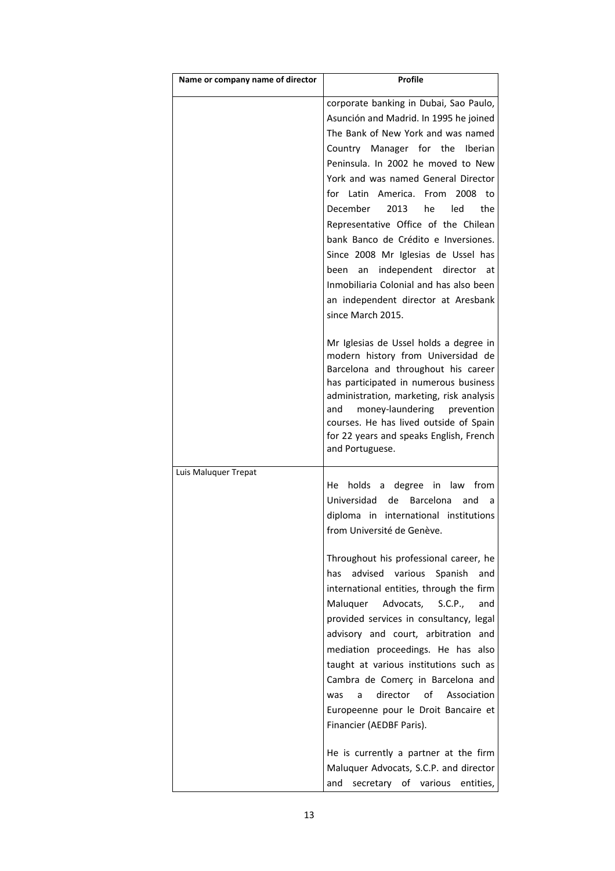| Name or company name of director | Profile                                                                                                                                                                                                                                                                                                                                                                                                                                                                                                                                                                                                                                        |
|----------------------------------|------------------------------------------------------------------------------------------------------------------------------------------------------------------------------------------------------------------------------------------------------------------------------------------------------------------------------------------------------------------------------------------------------------------------------------------------------------------------------------------------------------------------------------------------------------------------------------------------------------------------------------------------|
|                                  | corporate banking in Dubai, Sao Paulo,<br>Asunción and Madrid. In 1995 he joined<br>The Bank of New York and was named<br>Country Manager for the Iberian<br>Peninsula. In 2002 he moved to New<br>York and was named General Director<br>for Latin America.<br>From 2008 to<br>December<br>2013<br>he<br>the<br>led<br>Representative Office of the Chilean<br>bank Banco de Crédito e Inversiones.<br>Since 2008 Mr Iglesias de Ussel has<br>independent director<br>been<br>an<br>- at<br>Inmobiliaria Colonial and has also been<br>an independent director at Aresbank<br>since March 2015.                                               |
|                                  | Mr Iglesias de Ussel holds a degree in<br>modern history from Universidad de<br>Barcelona and throughout his career<br>has participated in numerous business<br>administration, marketing, risk analysis<br>and<br>money-laundering<br>prevention<br>courses. He has lived outside of Spain<br>for 22 years and speaks English, French<br>and Portuguese.                                                                                                                                                                                                                                                                                      |
| Luis Maluquer Trepat             | holds a degree in law from<br>He<br>Universidad<br>de<br>Barcelona<br>and<br>a<br>diploma in international institutions<br>from Université de Genève.<br>Throughout his professional career, he<br>advised various<br>Spanish<br>has<br>and<br>international entities, through the firm<br>Maluquer Advocats, S.C.P.,<br>and<br>provided services in consultancy, legal<br>advisory and court, arbitration and<br>mediation proceedings. He has also<br>taught at various institutions such as<br>Cambra de Comerç in Barcelona and<br>director of Association<br>was<br>a<br>Europeenne pour le Droit Bancaire et<br>Financier (AEDBF Paris). |
|                                  | He is currently a partner at the firm<br>Maluquer Advocats, S.C.P. and director<br>secretary of various<br>and<br>entities,                                                                                                                                                                                                                                                                                                                                                                                                                                                                                                                    |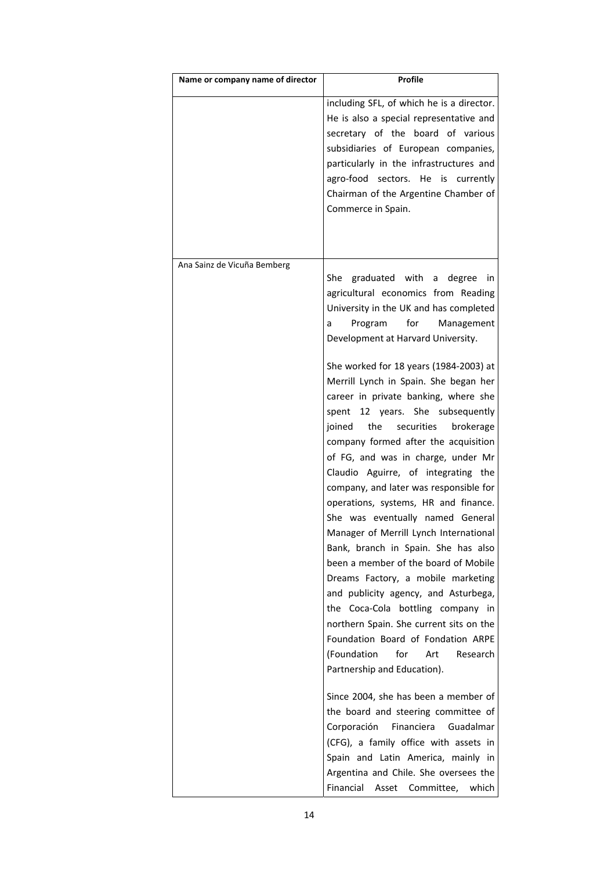| Name or company name of director | Profile                                                                                                                                                                                                                                                                                                                                                                                                                                                                                   |
|----------------------------------|-------------------------------------------------------------------------------------------------------------------------------------------------------------------------------------------------------------------------------------------------------------------------------------------------------------------------------------------------------------------------------------------------------------------------------------------------------------------------------------------|
|                                  | including SFL, of which he is a director.<br>He is also a special representative and<br>secretary of the board of various<br>subsidiaries of European companies,<br>particularly in the infrastructures and<br>agro-food sectors. He is currently<br>Chairman of the Argentine Chamber of<br>Commerce in Spain.                                                                                                                                                                           |
| Ana Sainz de Vicuña Bemberg      |                                                                                                                                                                                                                                                                                                                                                                                                                                                                                           |
|                                  | graduated with a degree<br>She<br>in<br>agricultural economics from Reading<br>University in the UK and has completed<br>for<br>Program<br>Management<br>a<br>Development at Harvard University.<br>She worked for 18 years (1984-2003) at<br>Merrill Lynch in Spain. She began her<br>career in private banking, where she<br>spent 12 years. She subsequently<br>joined<br>the<br>securities<br>brokerage<br>company formed after the acquisition<br>of FG, and was in charge, under Mr |
|                                  | Claudio Aguirre, of integrating the<br>company, and later was responsible for<br>operations, systems, HR and finance.<br>She was eventually named General<br>Manager of Merrill Lynch International<br>Bank, branch in Spain. She has also<br>been a member of the board of Mobile<br>Dreams Factory, a mobile marketing<br>and publicity agency, and Asturbega,                                                                                                                          |
|                                  | the Coca-Cola bottling company in<br>northern Spain. She current sits on the<br>Foundation Board of Fondation ARPE<br>(Foundation<br>for<br>Art<br>Research<br>Partnership and Education).                                                                                                                                                                                                                                                                                                |
|                                  | Since 2004, she has been a member of<br>the board and steering committee of<br>Financiera<br>Guadalmar<br>Corporación<br>(CFG), a family office with assets in<br>Spain and Latin America, mainly in<br>Argentina and Chile. She oversees the<br>Financial<br>Asset<br>Committee,<br>which                                                                                                                                                                                                |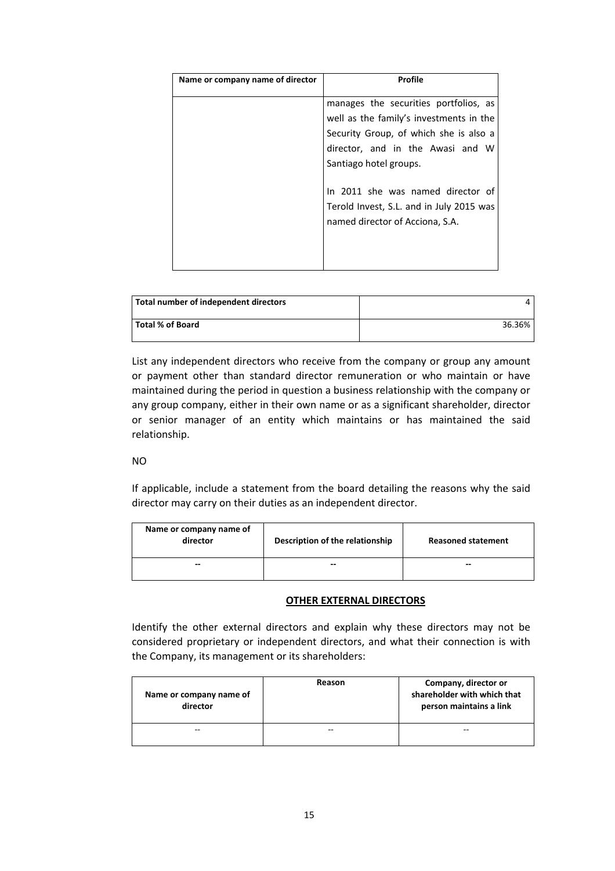| Name or company name of director | Profile                                                                                                                                                                                  |
|----------------------------------|------------------------------------------------------------------------------------------------------------------------------------------------------------------------------------------|
|                                  | manages the securities portfolios, as<br>well as the family's investments in the<br>Security Group, of which she is also a<br>director, and in the Awasi and W<br>Santiago hotel groups. |
|                                  | In 2011 she was named director of<br>Terold Invest, S.L. and in July 2015 was<br>named director of Acciona, S.A.                                                                         |

| Total number of independent directors |        |
|---------------------------------------|--------|
| Total % of Board                      | 36.36% |

List any independent directors who receive from the company or group any amount or payment other than standard director remuneration or who maintain or have maintained during the period in question a business relationship with the company or any group company, either in their own name or as a significant shareholder, director or senior manager of an entity which maintains or has maintained the said relationship.

NO

If applicable, include a statement from the board detailing the reasons why the said director may carry on their duties as an independent director.

| Name or company name of<br>director | Description of the relationship | <b>Reasoned statement</b> |
|-------------------------------------|---------------------------------|---------------------------|
| --                                  | --                              | $- -$                     |

# **OTHER EXTERNAL DIRECTORS**

Identify the other external directors and explain why these directors may not be considered proprietary or independent directors, and what their connection is with the Company, its management or its shareholders:

| Name or company name of<br>director | Reason | Company, director or<br>shareholder with which that<br>person maintains a link |
|-------------------------------------|--------|--------------------------------------------------------------------------------|
| --                                  | --     | --                                                                             |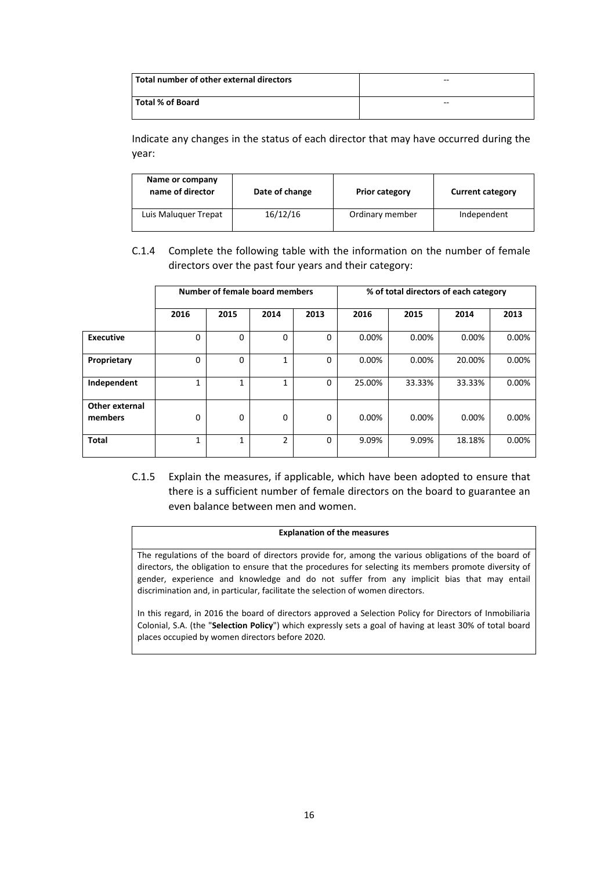| Total number of other external directors | $- -$ |
|------------------------------------------|-------|
| <b>Total % of Board</b>                  | $- -$ |

Indicate any changes in the status of each director that may have occurred during the year:

| Name or company<br>name of director | Date of change | <b>Prior category</b> | <b>Current category</b> |  |
|-------------------------------------|----------------|-----------------------|-------------------------|--|
| Luis Maluguer Trepat                | 16/12/16       | Ordinary member       | Independent             |  |

C.1.4 Complete the following table with the information on the number of female directors over the past four years and their category:

|                           | Number of female board members |      |          | % of total directors of each category |          |        |          |       |
|---------------------------|--------------------------------|------|----------|---------------------------------------|----------|--------|----------|-------|
|                           | 2016                           | 2015 | 2014     | 2013                                  | 2016     | 2015   | 2014     | 2013  |
| Executive                 | $\mathbf 0$                    | 0    | $\Omega$ | 0                                     | 0.00%    | 0.00%  | 0.00%    | 0.00% |
| Proprietary               | 0                              | 0    | 1        | 0                                     | 0.00%    | 0.00%  | 20.00%   | 0.00% |
| Independent               | 1                              | 1    | 1        | 0                                     | 25.00%   | 33.33% | 33.33%   | 0.00% |
| Other external<br>members | $\Omega$                       | 0    | $\Omega$ | 0                                     | $0.00\%$ | 0.00%  | $0.00\%$ | 0.00% |
| Total                     | 1                              | 1    | 2        | $\Omega$                              | 9.09%    | 9.09%  | 18.18%   | 0.00% |

C.1.5 Explain the measures, if applicable, which have been adopted to ensure that there is a sufficient number of female directors on the board to guarantee an even balance between men and women.

## **Explanation of the measures**

The regulations of the board of directors provide for, among the various obligations of the board of directors, the obligation to ensure that the procedures for selecting its members promote diversity of gender, experience and knowledge and do not suffer from any implicit bias that may entail discrimination and, in particular, facilitate the selection of women directors.

In this regard, in 2016 the board of directors approved a Selection Policy for Directors of Inmobiliaria Colonial, S.A. (the "**Selection Policy**") which expressly sets a goal of having at least 30% of total board places occupied by women directors before 2020.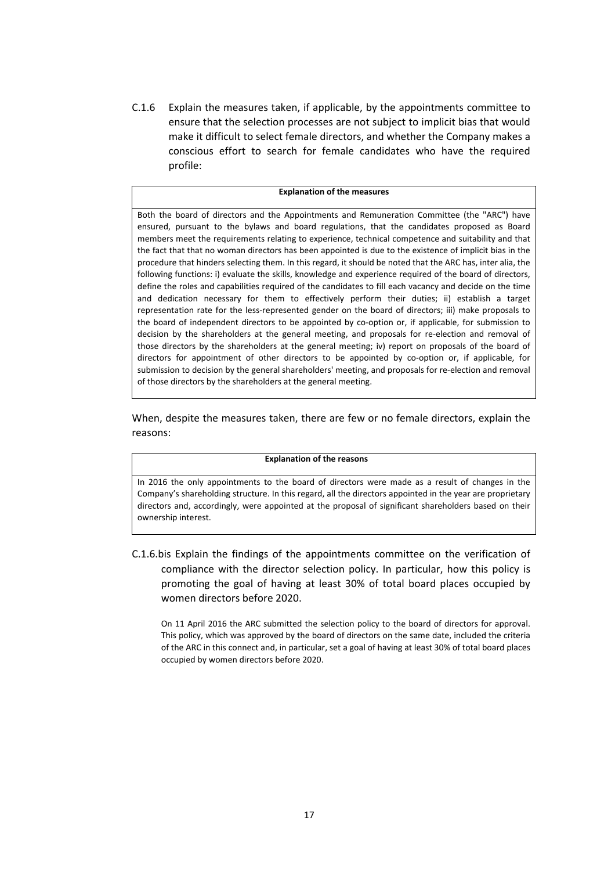C.1.6 Explain the measures taken, if applicable, by the appointments committee to ensure that the selection processes are not subject to implicit bias that would make it difficult to select female directors, and whether the Company makes a conscious effort to search for female candidates who have the required profile:

#### **Explanation of the measures**

Both the board of directors and the Appointments and Remuneration Committee (the "ARC") have ensured, pursuant to the bylaws and board regulations, that the candidates proposed as Board members meet the requirements relating to experience, technical competence and suitability and that the fact that that no woman directors has been appointed is due to the existence of implicit bias in the procedure that hinders selecting them. In this regard, it should be noted that the ARC has, inter alia, the following functions: i) evaluate the skills, knowledge and experience required of the board of directors, define the roles and capabilities required of the candidates to fill each vacancy and decide on the time and dedication necessary for them to effectively perform their duties; ii) establish a target representation rate for the less-represented gender on the board of directors; iii) make proposals to the board of independent directors to be appointed by co-option or, if applicable, for submission to decision by the shareholders at the general meeting, and proposals for re‐election and removal of those directors by the shareholders at the general meeting; iv) report on proposals of the board of directors for appointment of other directors to be appointed by co-option or, if applicable, for submission to decision by the general shareholders' meeting, and proposals for re‐election and removal of those directors by the shareholders at the general meeting.

When, despite the measures taken, there are few or no female directors, explain the reasons:

#### **Explanation of the reasons**

In 2016 the only appointments to the board of directors were made as a result of changes in the Company's shareholding structure. In this regard, all the directors appointed in the year are proprietary directors and, accordingly, were appointed at the proposal of significant shareholders based on their ownership interest.

C.1.6.bis Explain the findings of the appointments committee on the verification of compliance with the director selection policy. In particular, how this policy is promoting the goal of having at least 30% of total board places occupied by women directors before 2020.

On 11 April 2016 the ARC submitted the selection policy to the board of directors for approval. This policy, which was approved by the board of directors on the same date, included the criteria of the ARC in this connect and, in particular, set a goal of having at least 30% of total board places occupied by women directors before 2020.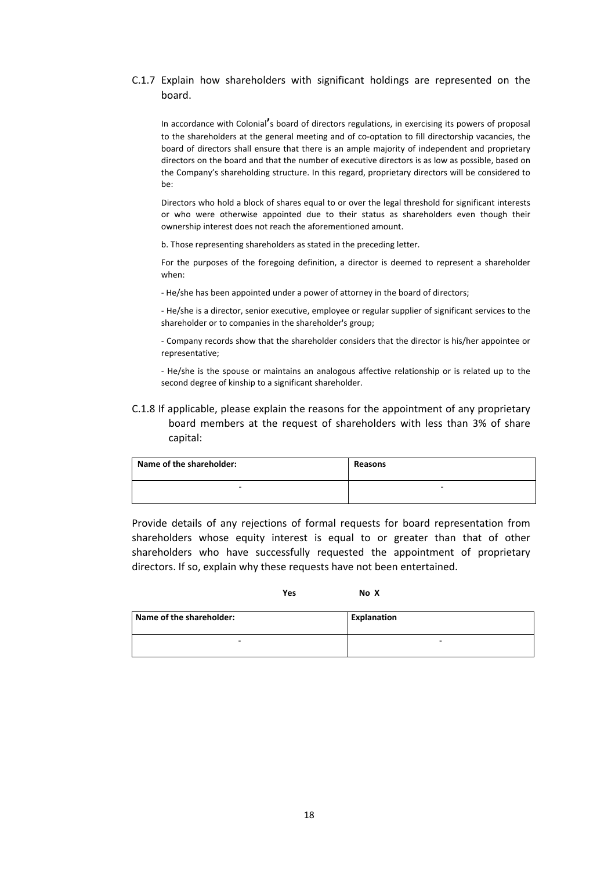## C.1.7 Explain how shareholders with significant holdings are represented on the board.

In accordance with Colonial**'**s board of directors regulations, in exercising its powers of proposal to the shareholders at the general meeting and of co-optation to fill directorship vacancies, the board of directors shall ensure that there is an ample majority of independent and proprietary directors on the board and that the number of executive directors is as low as possible, based on the Company's shareholding structure. In this regard, proprietary directors will be considered to be:

Directors who hold a block of shares equal to or over the legal threshold for significant interests or who were otherwise appointed due to their status as shareholders even though their ownership interest does not reach the aforementioned amount.

b. Those representing shareholders as stated in the preceding letter.

For the purposes of the foregoing definition, a director is deemed to represent a shareholder when:

‐ He/she has been appointed under a power of attorney in the board of directors;

‐ He/she is a director, senior executive, employee or regular supplier of significant services to the shareholder or to companies in the shareholder's group;

‐ Company records show that the shareholder considers that the director is his/her appointee or representative;

‐ He/she is the spouse or maintains an analogous affective relationship or is related up to the second degree of kinship to a significant shareholder.

C.1.8 If applicable, please explain the reasons for the appointment of any proprietary board members at the request of shareholders with less than 3% of share capital:

| Name of the shareholder: | <b>Reasons</b> |
|--------------------------|----------------|
|                          | -              |

Provide details of any rejections of formal requests for board representation from shareholders whose equity interest is equal to or greater than that of other shareholders who have successfully requested the appointment of proprietary directors. If so, explain why these requests have not been entertained.

**Yes No X**

| Name of the shareholder: | Explanation              |
|--------------------------|--------------------------|
| -                        | $\overline{\phantom{a}}$ |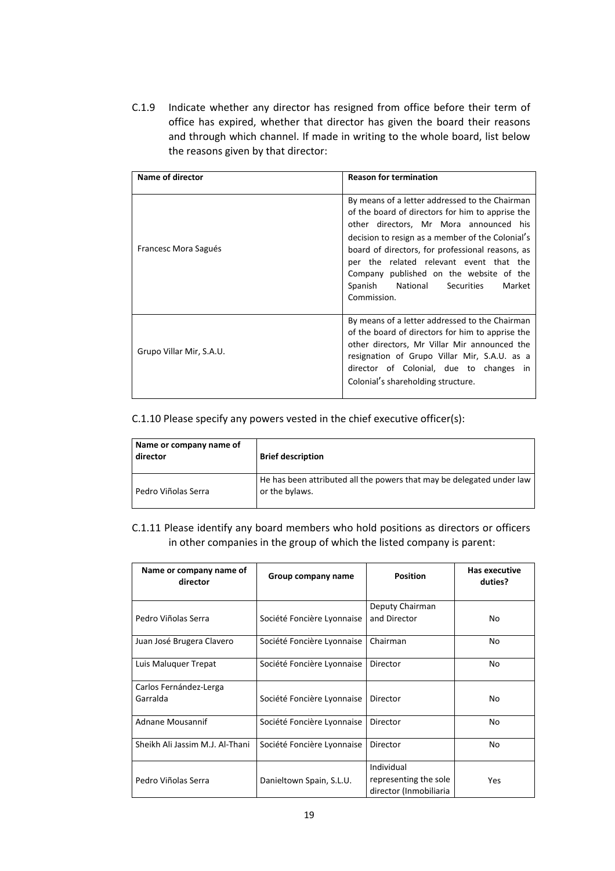C.1.9 Indicate whether any director has resigned from office before their term of office has expired, whether that director has given the board their reasons and through which channel. If made in writing to the whole board, list below the reasons given by that director:

| Name of director         | <b>Reason for termination</b>                                                                                                                                                                                                                                                                                                                                                                      |  |  |
|--------------------------|----------------------------------------------------------------------------------------------------------------------------------------------------------------------------------------------------------------------------------------------------------------------------------------------------------------------------------------------------------------------------------------------------|--|--|
|                          |                                                                                                                                                                                                                                                                                                                                                                                                    |  |  |
|                          |                                                                                                                                                                                                                                                                                                                                                                                                    |  |  |
| Francesc Mora Sagués     | By means of a letter addressed to the Chairman<br>of the board of directors for him to apprise the<br>other directors, Mr Mora announced his<br>decision to resign as a member of the Colonial's<br>board of directors, for professional reasons, as<br>per the related relevant event that the<br>Company published on the website of the<br>Spanish National Securities<br>Market<br>Commission. |  |  |
| Grupo Villar Mir, S.A.U. | By means of a letter addressed to the Chairman<br>of the board of directors for him to apprise the<br>other directors, Mr Villar Mir announced the<br>resignation of Grupo Villar Mir, S.A.U. as a<br>director of Colonial, due to changes in<br>Colonial's shareholding structure.                                                                                                                |  |  |

C.1.10 Please specify any powers vested in the chief executive officer(s):

| Name or company name of<br>director | <b>Brief description</b>                                                                |
|-------------------------------------|-----------------------------------------------------------------------------------------|
| Pedro Viñolas Serra                 | He has been attributed all the powers that may be delegated under law<br>or the bylaws. |

C.1.11 Please identify any board members who hold positions as directors or officers in other companies in the group of which the listed company is parent:

| Name or company name of<br>director | Group company name         | <b>Position</b>                                               | <b>Has executive</b><br>duties? |
|-------------------------------------|----------------------------|---------------------------------------------------------------|---------------------------------|
| Pedro Viñolas Serra                 | Société Foncière Lyonnaise | Deputy Chairman<br>and Director                               | No                              |
| Juan José Brugera Clavero           | Société Foncière Lyonnaise | Chairman                                                      | No                              |
| Luis Maluquer Trepat                | Société Foncière Lyonnaise | Director                                                      | No                              |
| Carlos Fernández-Lerga<br>Garralda  | Société Foncière Lyonnaise | Director                                                      | No                              |
| Adnane Mousannif                    | Société Foncière Lyonnaise | Director                                                      | No                              |
| Sheikh Ali Jassim M.J. Al-Thani     | Société Foncière Lyonnaise | Director                                                      | No                              |
| Pedro Viñolas Serra                 | Danieltown Spain, S.L.U.   | Individual<br>representing the sole<br>director (Inmobiliaria | Yes                             |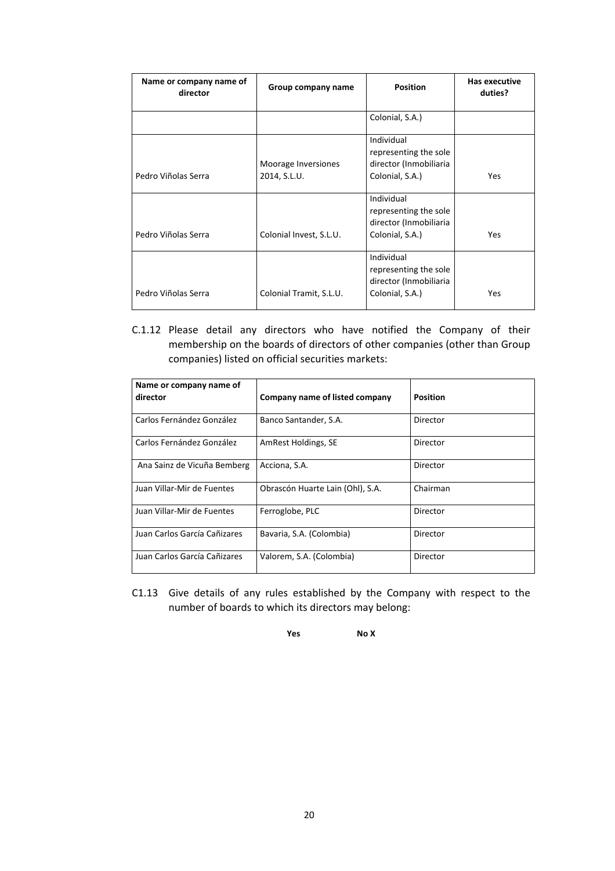| Name or company name of<br>director | Group company name                  | <b>Position</b>                                                                  | Has executive<br>duties? |
|-------------------------------------|-------------------------------------|----------------------------------------------------------------------------------|--------------------------|
|                                     |                                     | Colonial, S.A.)                                                                  |                          |
| Pedro Viñolas Serra                 | Moorage Inversiones<br>2014, S.L.U. | Individual<br>representing the sole<br>director (Inmobiliaria<br>Colonial, S.A.) | <b>Yes</b>               |
| Pedro Viñolas Serra                 | Colonial Invest, S.L.U.             | Individual<br>representing the sole<br>director (Inmobiliaria<br>Colonial, S.A.) | <b>Yes</b>               |
| Pedro Viñolas Serra                 | Colonial Tramit, S.L.U.             | Individual<br>representing the sole<br>director (Inmobiliaria<br>Colonial, S.A.) | <b>Yes</b>               |

C.1.12 Please detail any directors who have notified the Company of their membership on the boards of directors of other companies (other than Group companies) listed on official securities markets:

| Name or company name of<br>director | Company name of listed company   | <b>Position</b> |
|-------------------------------------|----------------------------------|-----------------|
| Carlos Fernández González           | Banco Santander, S.A.            | Director        |
| Carlos Fernández González           | AmRest Holdings, SE              | Director        |
| Ana Sainz de Vicuña Bemberg         | Acciona, S.A.                    | Director        |
| Juan Villar-Mir de Fuentes          | Obrascón Huarte Lain (Ohl), S.A. | Chairman        |
| Juan Villar-Mir de Fuentes          | Ferroglobe, PLC                  | Director        |
| Juan Carlos García Cañizares        | Bavaria, S.A. (Colombia)         | Director        |
| Juan Carlos García Cañizares        | Valorem, S.A. (Colombia)         | Director        |

C1.13 Give details of any rules established by the Company with respect to the number of boards to which its directors may belong:

**Yes No X**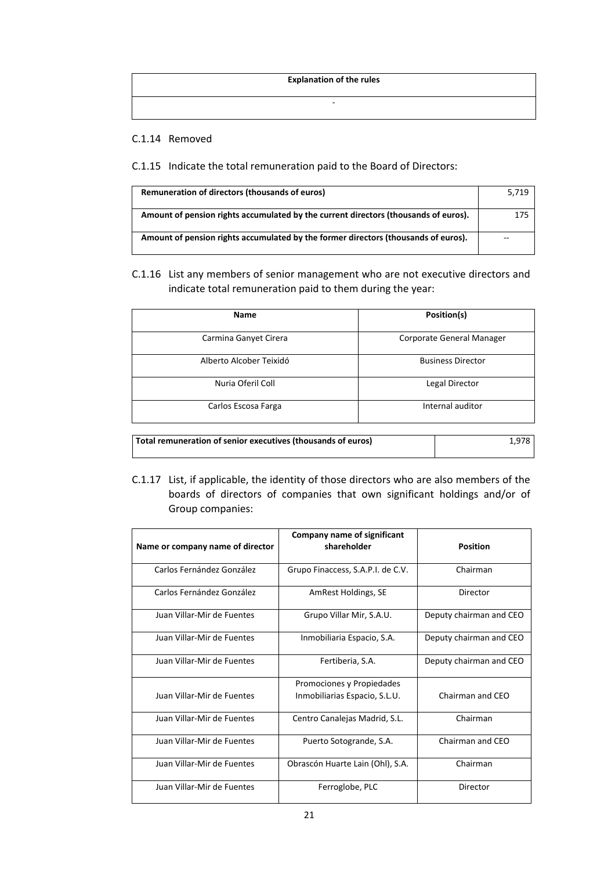| <b>Explanation of the rules</b> |  |
|---------------------------------|--|
| $\overline{\phantom{a}}$        |  |

# C.1.14 Removed

C.1.15 Indicate the total remuneration paid to the Board of Directors:

| Remuneration of directors (thousands of euros)                                      | 5,719 |
|-------------------------------------------------------------------------------------|-------|
| Amount of pension rights accumulated by the current directors (thousands of euros). | 175   |
| Amount of pension rights accumulated by the former directors (thousands of euros).  | --    |

# C.1.16 List any members of senior management who are not executive directors and indicate total remuneration paid to them during the year:

| <b>Name</b>             | Position(s)               |
|-------------------------|---------------------------|
| Carmina Ganyet Cirera   | Corporate General Manager |
| Alberto Alcober Teixidó | <b>Business Director</b>  |
| Nuria Oferil Coll       | Legal Director            |
| Carlos Escosa Farga     | Internal auditor          |

| Total remuneration of senior executives (thousands of euros) | 1.978 |
|--------------------------------------------------------------|-------|
|                                                              |       |

C.1.17 List, if applicable, the identity of those directors who are also members of the boards of directors of companies that own significant holdings and/or of Group companies:

| Name or company name of director | Company name of significant<br>shareholder                 | <b>Position</b>         |
|----------------------------------|------------------------------------------------------------|-------------------------|
| Carlos Fernández González        | Grupo Finaccess, S.A.P.I. de C.V.                          | Chairman                |
| Carlos Fernández González        | AmRest Holdings, SE                                        | Director                |
| Juan Villar-Mir de Fuentes       | Grupo Villar Mir, S.A.U.                                   | Deputy chairman and CEO |
| Juan Villar-Mir de Fuentes       | Inmobiliaria Espacio, S.A.                                 | Deputy chairman and CEO |
| Juan Villar-Mir de Fuentes       | Fertiberia, S.A.                                           | Deputy chairman and CEO |
| Juan Villar-Mir de Fuentes       | Promociones y Propiedades<br>Inmobiliarias Espacio, S.L.U. | Chairman and CEO        |
| Juan Villar-Mir de Fuentes       | Centro Canalejas Madrid, S.L.                              | Chairman                |
| Juan Villar-Mir de Fuentes       | Puerto Sotogrande, S.A.                                    | Chairman and CEO        |
| Juan Villar-Mir de Fuentes       | Obrascón Huarte Lain (Ohl), S.A.                           | Chairman                |
| Juan Villar-Mir de Fuentes       | Ferroglobe, PLC                                            | Director                |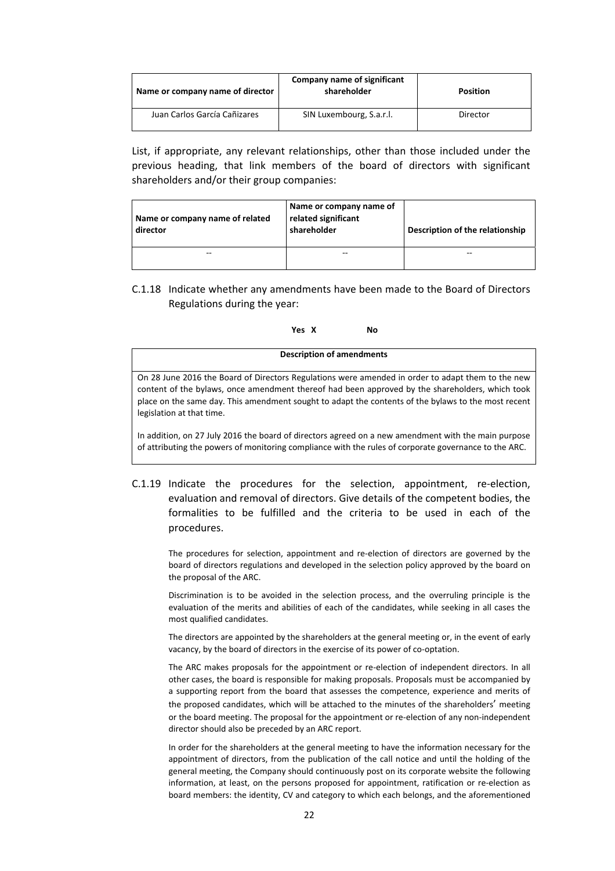| Name or company name of director | Company name of significant<br>shareholder | <b>Position</b> |
|----------------------------------|--------------------------------------------|-----------------|
| Juan Carlos García Cañizares     | SIN Luxembourg, S.a.r.l.                   | Director        |

List, if appropriate, any relevant relationships, other than those included under the previous heading, that link members of the board of directors with significant shareholders and/or their group companies:

| Name or company name of related<br>director | Name or company name of<br>related significant<br>shareholder | Description of the relationship |
|---------------------------------------------|---------------------------------------------------------------|---------------------------------|
| --                                          |                                                               |                                 |

C.1.18 Indicate whether any amendments have been made to the Board of Directors Regulations during the year:

| Yes X<br>No |  |
|-------------|--|
|-------------|--|

| <b>Description of amendments</b>                                                                                                                                                                                                                                                                                                         |
|------------------------------------------------------------------------------------------------------------------------------------------------------------------------------------------------------------------------------------------------------------------------------------------------------------------------------------------|
| On 28 June 2016 the Board of Directors Regulations were amended in order to adapt them to the new<br>content of the bylaws, once amendment thereof had been approved by the shareholders, which took<br>place on the same day. This amendment sought to adapt the contents of the bylaws to the most recent<br>legislation at that time. |

In addition, on 27 July 2016 the board of directors agreed on a new amendment with the main purpose of attributing the powers of monitoring compliance with the rules of corporate governance to the ARC.

C.1.19 Indicate the procedures for the selection, appointment, re‐election, evaluation and removal of directors. Give details of the competent bodies, the formalities to be fulfilled and the criteria to be used in each of the procedures.

The procedures for selection, appointment and re-election of directors are governed by the board of directors regulations and developed in the selection policy approved by the board on the proposal of the ARC.

Discrimination is to be avoided in the selection process, and the overruling principle is the evaluation of the merits and abilities of each of the candidates, while seeking in all cases the most qualified candidates.

The directors are appointed by the shareholders at the general meeting or, in the event of early vacancy, by the board of directors in the exercise of its power of co-optation.

The ARC makes proposals for the appointment or re‐election of independent directors. In all other cases, the board is responsible for making proposals. Proposals must be accompanied by a supporting report from the board that assesses the competence, experience and merits of the proposed candidates, which will be attached to the minutes of the shareholders' meeting or the board meeting. The proposal for the appointment or re‐election of any non‐independent director should also be preceded by an ARC report.

In order for the shareholders at the general meeting to have the information necessary for the appointment of directors, from the publication of the call notice and until the holding of the general meeting, the Company should continuously post on its corporate website the following information, at least, on the persons proposed for appointment, ratification or re-election as board members: the identity, CV and category to which each belongs, and the aforementioned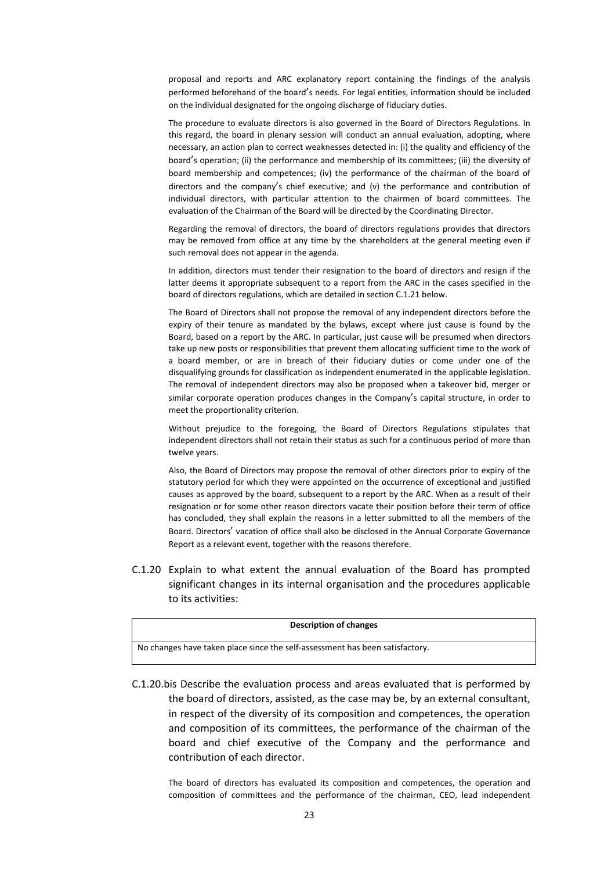proposal and reports and ARC explanatory report containing the findings of the analysis performed beforehand of the board's needs. For legal entities, information should be included on the individual designated for the ongoing discharge of fiduciary duties.

The procedure to evaluate directors is also governed in the Board of Directors Regulations. In this regard, the board in plenary session will conduct an annual evaluation, adopting, where necessary, an action plan to correct weaknesses detected in: (i) the quality and efficiency of the board's operation; (ii) the performance and membership of its committees; (iii) the diversity of board membership and competences; (iv) the performance of the chairman of the board of directors and the company's chief executive; and (v) the performance and contribution of individual directors, with particular attention to the chairmen of board committees. The evaluation of the Chairman of the Board will be directed by the Coordinating Director.

Regarding the removal of directors, the board of directors regulations provides that directors may be removed from office at any time by the shareholders at the general meeting even if such removal does not appear in the agenda.

In addition, directors must tender their resignation to the board of directors and resign if the latter deems it appropriate subsequent to a report from the ARC in the cases specified in the board of directors regulations, which are detailed in section C.1.21 below.

The Board of Directors shall not propose the removal of any independent directors before the expiry of their tenure as mandated by the bylaws, except where just cause is found by the Board, based on a report by the ARC. In particular, just cause will be presumed when directors take up new posts or responsibilities that prevent them allocating sufficient time to the work of a board member, or are in breach of their fiduciary duties or come under one of the disqualifying grounds for classification as independent enumerated in the applicable legislation. The removal of independent directors may also be proposed when a takeover bid, merger or similar corporate operation produces changes in the Company's capital structure, in order to meet the proportionality criterion.

Without prejudice to the foregoing, the Board of Directors Regulations stipulates that independent directors shall not retain their status as such for a continuous period of more than twelve years.

Also, the Board of Directors may propose the removal of other directors prior to expiry of the statutory period for which they were appointed on the occurrence of exceptional and justified causes as approved by the board, subsequent to a report by the ARC. When as a result of their resignation or for some other reason directors vacate their position before their term of office has concluded, they shall explain the reasons in a letter submitted to all the members of the Board. Directors' vacation of office shall also be disclosed in the Annual Corporate Governance Report as a relevant event, together with the reasons therefore.

C.1.20 Explain to what extent the annual evaluation of the Board has prompted significant changes in its internal organisation and the procedures applicable to its activities:

| <b>Description of changes</b>                                                |
|------------------------------------------------------------------------------|
| No changes have taken place since the self-assessment has been satisfactory. |

C.1.20.bis Describe the evaluation process and areas evaluated that is performed by the board of directors, assisted, as the case may be, by an external consultant, in respect of the diversity of its composition and competences, the operation and composition of its committees, the performance of the chairman of the board and chief executive of the Company and the performance and contribution of each director.

The board of directors has evaluated its composition and competences, the operation and composition of committees and the performance of the chairman, CEO, lead independent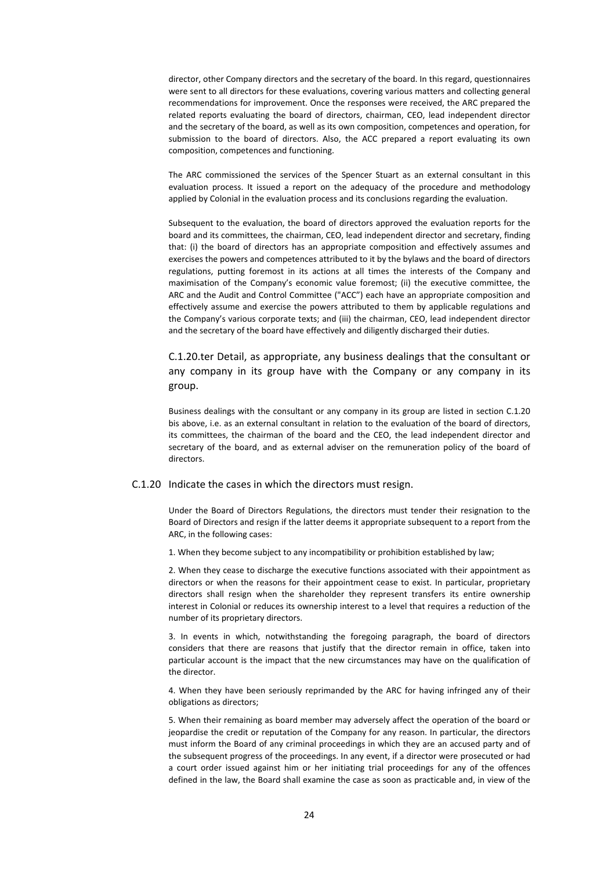director, other Company directors and the secretary of the board. In this regard, questionnaires were sent to all directors for these evaluations, covering various matters and collecting general recommendations for improvement. Once the responses were received, the ARC prepared the related reports evaluating the board of directors, chairman, CEO, lead independent director and the secretary of the board, as well as its own composition, competences and operation, for submission to the board of directors. Also, the ACC prepared a report evaluating its own composition, competences and functioning.

The ARC commissioned the services of the Spencer Stuart as an external consultant in this evaluation process. It issued a report on the adequacy of the procedure and methodology applied by Colonial in the evaluation process and its conclusions regarding the evaluation.

Subsequent to the evaluation, the board of directors approved the evaluation reports for the board and its committees, the chairman, CEO, lead independent director and secretary, finding that: (i) the board of directors has an appropriate composition and effectively assumes and exercises the powers and competences attributed to it by the bylaws and the board of directors regulations, putting foremost in its actions at all times the interests of the Company and maximisation of the Company's economic value foremost; (ii) the executive committee, the ARC and the Audit and Control Committee ("ACC") each have an appropriate composition and effectively assume and exercise the powers attributed to them by applicable regulations and the Company's various corporate texts; and (iii) the chairman, CEO, lead independent director and the secretary of the board have effectively and diligently discharged their duties.

C.1.20.ter Detail, as appropriate, any business dealings that the consultant or any company in its group have with the Company or any company in its group.

Business dealings with the consultant or any company in its group are listed in section C.1.20 bis above, i.e. as an external consultant in relation to the evaluation of the board of directors, its committees, the chairman of the board and the CEO, the lead independent director and secretary of the board, and as external adviser on the remuneration policy of the board of directors.

#### C.1.20 Indicate the cases in which the directors must resign.

Under the Board of Directors Regulations, the directors must tender their resignation to the Board of Directors and resign if the latter deems it appropriate subsequent to a report from the ARC, in the following cases:

1. When they become subject to any incompatibility or prohibition established by law;

2. When they cease to discharge the executive functions associated with their appointment as directors or when the reasons for their appointment cease to exist. In particular, proprietary directors shall resign when the shareholder they represent transfers its entire ownership interest in Colonial or reduces its ownership interest to a level that requires a reduction of the number of its proprietary directors.

3. In events in which, notwithstanding the foregoing paragraph, the board of directors considers that there are reasons that justify that the director remain in office, taken into particular account is the impact that the new circumstances may have on the qualification of the director.

4. When they have been seriously reprimanded by the ARC for having infringed any of their obligations as directors;

5. When their remaining as board member may adversely affect the operation of the board or jeopardise the credit or reputation of the Company for any reason. In particular, the directors must inform the Board of any criminal proceedings in which they are an accused party and of the subsequent progress of the proceedings. In any event, if a director were prosecuted or had a court order issued against him or her initiating trial proceedings for any of the offences defined in the law, the Board shall examine the case as soon as practicable and, in view of the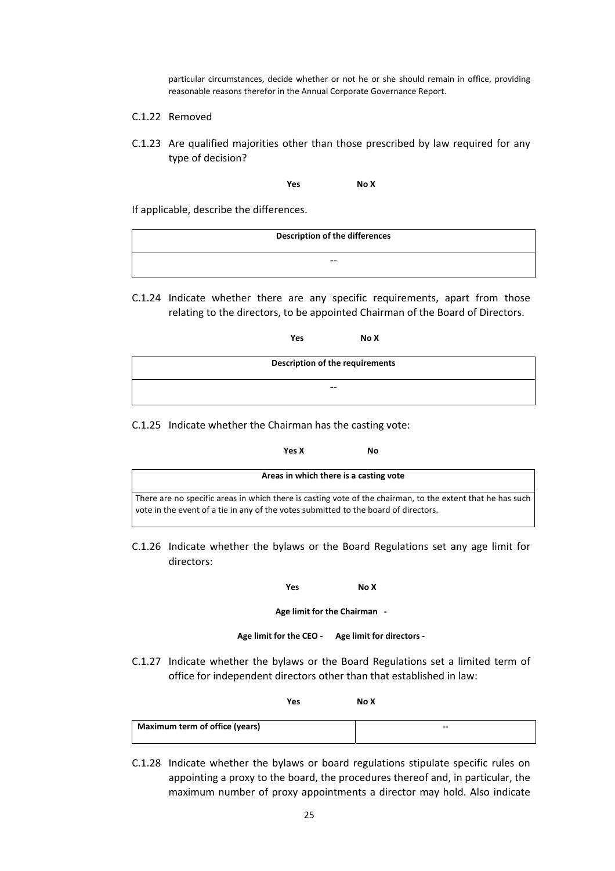particular circumstances, decide whether or not he or she should remain in office, providing reasonable reasons therefor in the Annual Corporate Governance Report.

- C.1.22 Removed
- C.1.23 Are qualified majorities other than those prescribed by law required for any type of decision?

**Yes No X**

If applicable, describe the differences.

| <b>Description of the differences</b> |  |
|---------------------------------------|--|
| $- -$                                 |  |

C.1.24 Indicate whether there are any specific requirements, apart from those relating to the directors, to be appointed Chairman of the Board of Directors.

| Yes. | No X |
|------|------|
|------|------|

| <b>Description of the requirements</b> |       |  |
|----------------------------------------|-------|--|
|                                        | $- -$ |  |

C.1.25 Indicate whether the Chairman has the casting vote:

**Yes X No** 

**Areas in which there is a casting vote**

There are no specific areas in which there is casting vote of the chairman, to the extent that he has such vote in the event of a tie in any of the votes submitted to the board of directors.

C.1.26 Indicate whether the bylaws or the Board Regulations set any age limit for directors:

**Yes No X**

**Age limit for the Chairman ‐** 

**Age limit for the CEO ‐ Age limit for directors ‐** 

C.1.27 Indicate whether the bylaws or the Board Regulations set a limited term of office for independent directors other than that established in law:

**Yes No X**

| Maximum term of office (years) | $- -$ |
|--------------------------------|-------|
|                                |       |

C.1.28 Indicate whether the bylaws or board regulations stipulate specific rules on appointing a proxy to the board, the procedures thereof and, in particular, the maximum number of proxy appointments a director may hold. Also indicate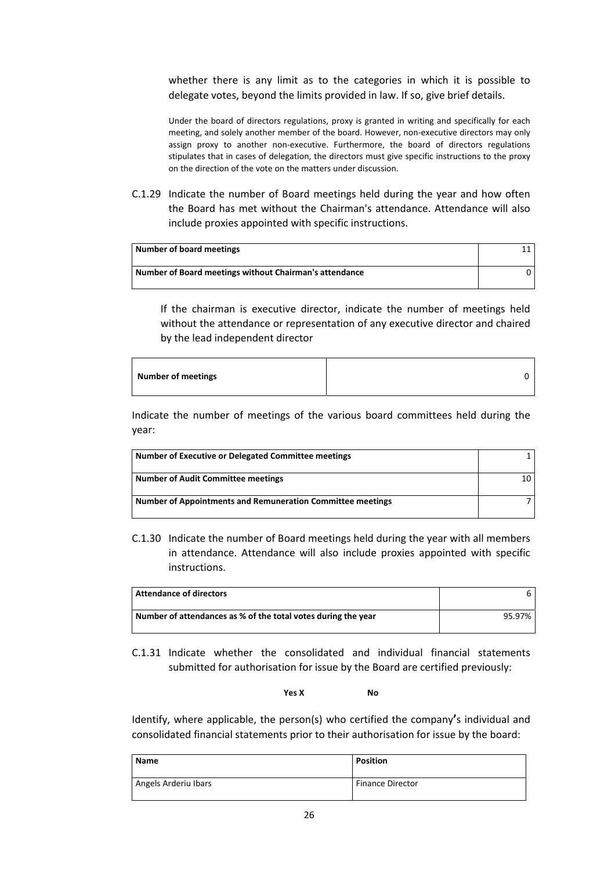whether there is any limit as to the categories in which it is possible to delegate votes, beyond the limits provided in law. If so, give brief details.

Under the board of directors regulations, proxy is granted in writing and specifically for each meeting, and solely another member of the board. However, non-executive directors may only assign proxy to another non‐executive. Furthermore, the board of directors regulations stipulates that in cases of delegation, the directors must give specific instructions to the proxy on the direction of the vote on the matters under discussion.

C.1.29 Indicate the number of Board meetings held during the year and how often the Board has met without the Chairman's attendance. Attendance will also include proxies appointed with specific instructions.

| Number of board meetings                               |  |
|--------------------------------------------------------|--|
| Number of Board meetings without Chairman's attendance |  |

If the chairman is executive director, indicate the number of meetings held without the attendance or representation of any executive director and chaired by the lead independent director

| <b>Number of meetings</b> |  |
|---------------------------|--|
|                           |  |

Indicate the number of meetings of the various board committees held during the year:

| Number of Executive or Delegated Committee meetings        |  |
|------------------------------------------------------------|--|
| Number of Audit Committee meetings                         |  |
| Number of Appointments and Remuneration Committee meetings |  |

C.1.30 Indicate the number of Board meetings held during the year with all members in attendance. Attendance will also include proxies appointed with specific instructions.

| <b>Attendance of directors</b>                                |        |
|---------------------------------------------------------------|--------|
| Number of attendances as % of the total votes during the year | 95.97% |

C.1.31 Indicate whether the consolidated and individual financial statements submitted for authorisation for issue by the Board are certified previously:

**Yes X No** 

Identify, where applicable, the person(s) who certified the company**'**s individual and consolidated financial statements prior to their authorisation for issue by the board:

| Name                 | <b>Position</b>         |
|----------------------|-------------------------|
| Angels Arderiu Ibars | <b>Finance Director</b> |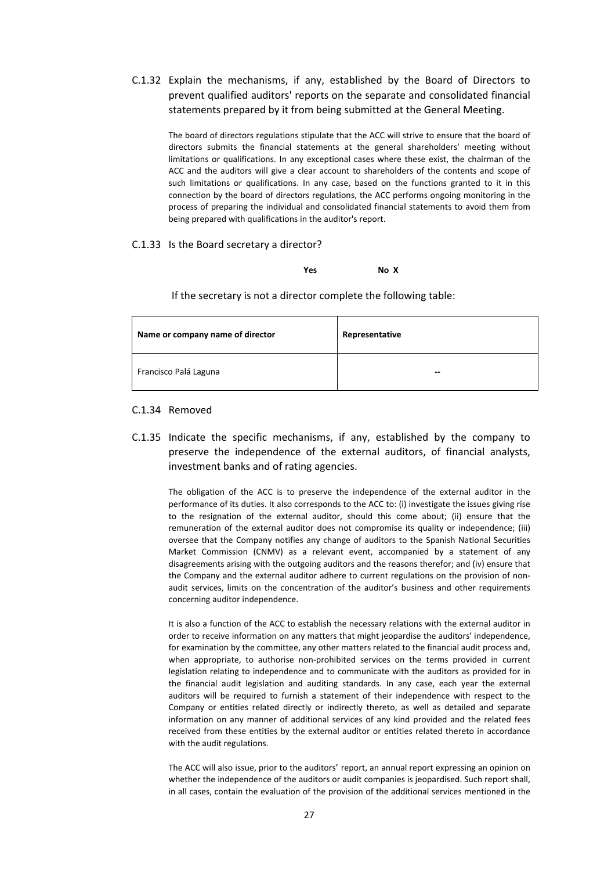# C.1.32 Explain the mechanisms, if any, established by the Board of Directors to prevent qualified auditors' reports on the separate and consolidated financial statements prepared by it from being submitted at the General Meeting.

The board of directors regulations stipulate that the ACC will strive to ensure that the board of directors submits the financial statements at the general shareholders' meeting without limitations or qualifications. In any exceptional cases where these exist, the chairman of the ACC and the auditors will give a clear account to shareholders of the contents and scope of such limitations or qualifications. In any case, based on the functions granted to it in this connection by the board of directors regulations, the ACC performs ongoing monitoring in the process of preparing the individual and consolidated financial statements to avoid them from being prepared with qualifications in the auditor's report.

### C.1.33 Is the Board secretary a director?

#### **Yes No X**

If the secretary is not a director complete the following table:

| Name or company name of director | Representative |
|----------------------------------|----------------|
| Francisco Palá Laguna            | $- -$          |

#### C.1.34 Removed

C.1.35 Indicate the specific mechanisms, if any, established by the company to preserve the independence of the external auditors, of financial analysts, investment banks and of rating agencies.

The obligation of the ACC is to preserve the independence of the external auditor in the performance of its duties. It also corresponds to the ACC to: (i) investigate the issues giving rise to the resignation of the external auditor, should this come about; (ii) ensure that the remuneration of the external auditor does not compromise its quality or independence; (iii) oversee that the Company notifies any change of auditors to the Spanish National Securities Market Commission (CNMV) as a relevant event, accompanied by a statement of any disagreements arising with the outgoing auditors and the reasons therefor; and (iv) ensure that the Company and the external auditor adhere to current regulations on the provision of non‐ audit services, limits on the concentration of the auditor's business and other requirements concerning auditor independence.

It is also a function of the ACC to establish the necessary relations with the external auditor in order to receive information on any matters that might jeopardise the auditors' independence, for examination by the committee, any other matters related to the financial audit process and, when appropriate, to authorise non-prohibited services on the terms provided in current legislation relating to independence and to communicate with the auditors as provided for in the financial audit legislation and auditing standards. In any case, each year the external auditors will be required to furnish a statement of their independence with respect to the Company or entities related directly or indirectly thereto, as well as detailed and separate information on any manner of additional services of any kind provided and the related fees received from these entities by the external auditor or entities related thereto in accordance with the audit regulations.

The ACC will also issue, prior to the auditors' report, an annual report expressing an opinion on whether the independence of the auditors or audit companies is jeopardised. Such report shall, in all cases, contain the evaluation of the provision of the additional services mentioned in the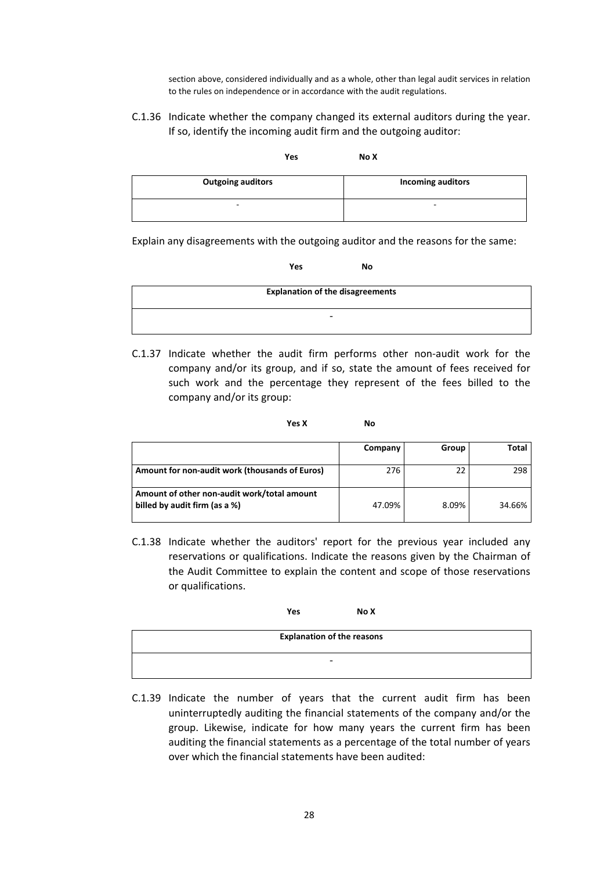section above, considered individually and as a whole, other than legal audit services in relation to the rules on independence or in accordance with the audit regulations.

C.1.36 Indicate whether the company changed its external auditors during the year. If so, identify the incoming audit firm and the outgoing auditor:

| Yes                      | No X              |
|--------------------------|-------------------|
| <b>Outgoing auditors</b> | Incoming auditors |
| -                        | -                 |

Explain any disagreements with the outgoing auditor and the reasons for the same:

**Yes No** 

| <b>Explanation of the disagreements</b> |  |
|-----------------------------------------|--|
| $\overline{\phantom{0}}$                |  |

C.1.37 Indicate whether the audit firm performs other non‐audit work for the company and/or its group, and if so, state the amount of fees received for such work and the percentage they represent of the fees billed to the company and/or its group:

$$
Yes X \t\t No
$$

|                                                                              | Company | Group | Total  |
|------------------------------------------------------------------------------|---------|-------|--------|
| Amount for non-audit work (thousands of Euros)                               | 276     |       | 298    |
| Amount of other non-audit work/total amount<br>billed by audit firm (as a %) | 47.09%  | 8.09% | 34.66% |

C.1.38 Indicate whether the auditors' report for the previous year included any reservations or qualifications. Indicate the reasons given by the Chairman of the Audit Committee to explain the content and scope of those reservations or qualifications.

**Yes No X**

| <b>Explanation of the reasons</b> |  |
|-----------------------------------|--|
|                                   |  |

C.1.39 Indicate the number of years that the current audit firm has been uninterruptedly auditing the financial statements of the company and/or the group. Likewise, indicate for how many years the current firm has been auditing the financial statements as a percentage of the total number of years over which the financial statements have been audited: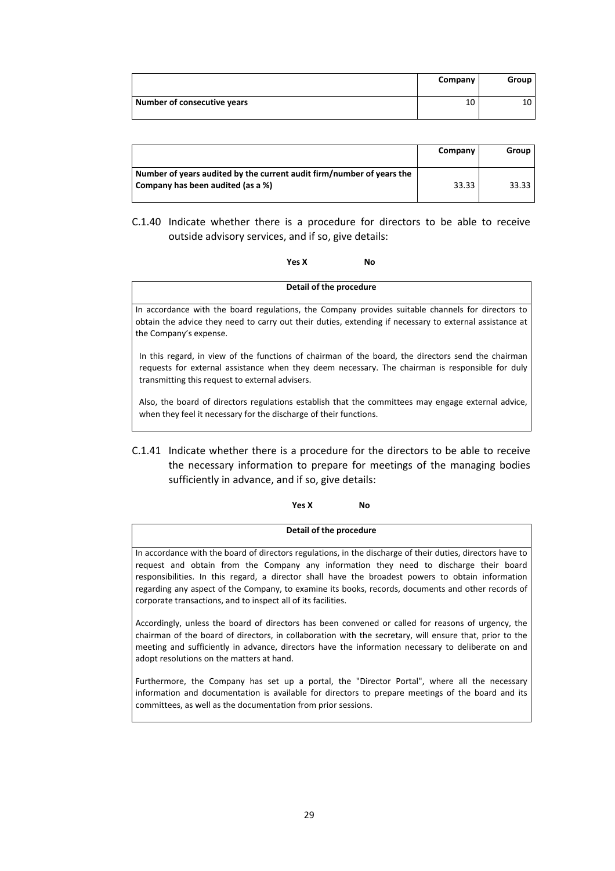|                             | Company | Group |
|-----------------------------|---------|-------|
| Number of consecutive years | 10      |       |

|                                                                       | Company | Group |
|-----------------------------------------------------------------------|---------|-------|
| Number of years audited by the current audit firm/number of years the |         |       |
| Company has been audited (as a %)                                     | 33.33   | 33.33 |

C.1.40 Indicate whether there is a procedure for directors to be able to receive outside advisory services, and if so, give details:

#### **Yes X No**

| Detail of the procedure                                                                                 |
|---------------------------------------------------------------------------------------------------------|
|                                                                                                         |
|                                                                                                         |
| In accordance with the board regulations, the Company provides suitable channels for directors to       |
|                                                                                                         |
| obtain the advice they need to carry out their duties, extending if necessary to external assistance at |
| the Company's expense.                                                                                  |

In this regard, in view of the functions of chairman of the board, the directors send the chairman requests for external assistance when they deem necessary. The chairman is responsible for duly transmitting this request to external advisers.

Also, the board of directors regulations establish that the committees may engage external advice, when they feel it necessary for the discharge of their functions.

C.1.41 Indicate whether there is a procedure for the directors to be able to receive the necessary information to prepare for meetings of the managing bodies sufficiently in advance, and if so, give details:

**Yes X No** 

**Detail of the procedure** In accordance with the board of directors regulations, in the discharge of their duties, directors have to request and obtain from the Company any information they need to discharge their board responsibilities. In this regard, a director shall have the broadest powers to obtain information regarding any aspect of the Company, to examine its books, records, documents and other records of corporate transactions, and to inspect all of its facilities. Accordingly, unless the board of directors has been convened or called for reasons of urgency, the

chairman of the board of directors, in collaboration with the secretary, will ensure that, prior to the meeting and sufficiently in advance, directors have the information necessary to deliberate on and adopt resolutions on the matters at hand.

Furthermore, the Company has set up a portal, the "Director Portal", where all the necessary information and documentation is available for directors to prepare meetings of the board and its committees, as well as the documentation from prior sessions.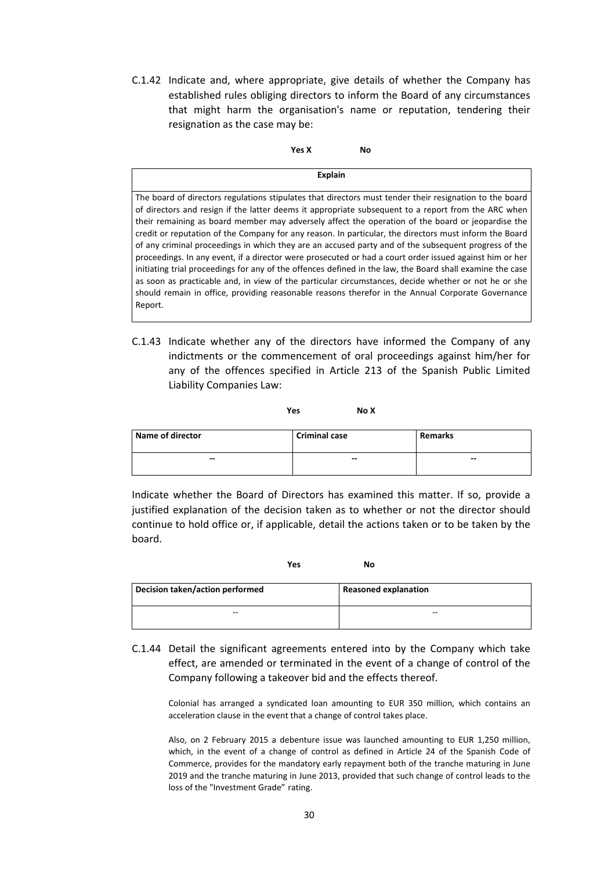C.1.42 Indicate and, where appropriate, give details of whether the Company has established rules obliging directors to inform the Board of any circumstances that might harm the organisation's name or reputation, tendering their resignation as the case may be:

#### **Yes X No**

**Explain** The board of directors regulations stipulates that directors must tender their resignation to the board of directors and resign if the latter deems it appropriate subsequent to a report from the ARC when their remaining as board member may adversely affect the operation of the board or jeopardise the credit or reputation of the Company for any reason. In particular, the directors must inform the Board of any criminal proceedings in which they are an accused party and of the subsequent progress of the proceedings. In any event, if a director were prosecuted or had a court order issued against him or her initiating trial proceedings for any of the offences defined in the law, the Board shall examine the case as soon as practicable and, in view of the particular circumstances, decide whether or not he or she should remain in office, providing reasonable reasons therefor in the Annual Corporate Governance Report.

C.1.43 Indicate whether any of the directors have informed the Company of any indictments or the commencement of oral proceedings against him/her for any of the offences specified in Article 213 of the Spanish Public Limited Liability Companies Law:

| Name of director | <b>Criminal case</b> | <b>Remarks</b> |
|------------------|----------------------|----------------|
| $- -$            | $- -$                | $- -$          |

Indicate whether the Board of Directors has examined this matter. If so, provide a justified explanation of the decision taken as to whether or not the director should continue to hold office or, if applicable, detail the actions taken or to be taken by the board.

**Yes No** 

| Decision taken/action performed | <b>Reasoned explanation</b> |
|---------------------------------|-----------------------------|
| $- -$                           | $- -$                       |

C.1.44 Detail the significant agreements entered into by the Company which take effect, are amended or terminated in the event of a change of control of the Company following a takeover bid and the effects thereof.

Colonial has arranged a syndicated loan amounting to EUR 350 million, which contains an acceleration clause in the event that a change of control takes place.

Also, on 2 February 2015 a debenture issue was launched amounting to EUR 1,250 million, which, in the event of a change of control as defined in Article 24 of the Spanish Code of Commerce, provides for the mandatory early repayment both of the tranche maturing in June 2019 and the tranche maturing in June 2013, provided that such change of control leads to the loss of the "Investment Grade" rating.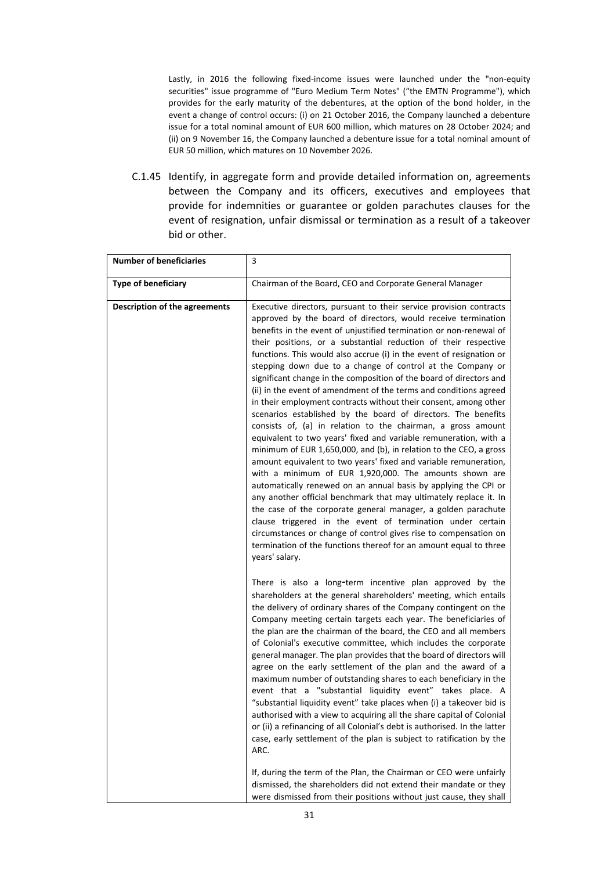Lastly, in 2016 the following fixed-income issues were launched under the "non-equity securities" issue programme of "Euro Medium Term Notes" ("the EMTN Programme"), which provides for the early maturity of the debentures, at the option of the bond holder, in the event a change of control occurs: (i) on 21 October 2016, the Company launched a debenture issue for a total nominal amount of EUR 600 million, which matures on 28 October 2024; and (ii) on 9 November 16, the Company launched a debenture issue for a total nominal amount of EUR 50 million, which matures on 10 November 2026.

C.1.45 Identify, in aggregate form and provide detailed information on, agreements between the Company and its officers, executives and employees that provide for indemnities or guarantee or golden parachutes clauses for the event of resignation, unfair dismissal or termination as a result of a takeover bid or other.

| <b>Number of beneficiaries</b>       | 3                                                                                                                                                                                                                                                                                                                                                                                                                                                                                                                                                                                                                                                                                                                                                                                                                                                                                                                                                                                                                                                                                                                                                                                                                                                                                                                                                                                                                                                                             |
|--------------------------------------|-------------------------------------------------------------------------------------------------------------------------------------------------------------------------------------------------------------------------------------------------------------------------------------------------------------------------------------------------------------------------------------------------------------------------------------------------------------------------------------------------------------------------------------------------------------------------------------------------------------------------------------------------------------------------------------------------------------------------------------------------------------------------------------------------------------------------------------------------------------------------------------------------------------------------------------------------------------------------------------------------------------------------------------------------------------------------------------------------------------------------------------------------------------------------------------------------------------------------------------------------------------------------------------------------------------------------------------------------------------------------------------------------------------------------------------------------------------------------------|
| <b>Type of beneficiary</b>           | Chairman of the Board, CEO and Corporate General Manager                                                                                                                                                                                                                                                                                                                                                                                                                                                                                                                                                                                                                                                                                                                                                                                                                                                                                                                                                                                                                                                                                                                                                                                                                                                                                                                                                                                                                      |
| <b>Description of the agreements</b> | Executive directors, pursuant to their service provision contracts<br>approved by the board of directors, would receive termination<br>benefits in the event of unjustified termination or non-renewal of<br>their positions, or a substantial reduction of their respective<br>functions. This would also accrue (i) in the event of resignation or<br>stepping down due to a change of control at the Company or<br>significant change in the composition of the board of directors and<br>(ii) in the event of amendment of the terms and conditions agreed<br>in their employment contracts without their consent, among other<br>scenarios established by the board of directors. The benefits<br>consists of, (a) in relation to the chairman, a gross amount<br>equivalent to two years' fixed and variable remuneration, with a<br>minimum of EUR 1,650,000, and (b), in relation to the CEO, a gross<br>amount equivalent to two years' fixed and variable remuneration,<br>with a minimum of EUR 1,920,000. The amounts shown are<br>automatically renewed on an annual basis by applying the CPI or<br>any another official benchmark that may ultimately replace it. In<br>the case of the corporate general manager, a golden parachute<br>clause triggered in the event of termination under certain<br>circumstances or change of control gives rise to compensation on<br>termination of the functions thereof for an amount equal to three<br>years' salary. |
|                                      | There is also a long-term incentive plan approved by the<br>shareholders at the general shareholders' meeting, which entails<br>the delivery of ordinary shares of the Company contingent on the<br>Company meeting certain targets each year. The beneficiaries of<br>the plan are the chairman of the board, the CEO and all members<br>of Colonial's executive committee, which includes the corporate<br>general manager. The plan provides that the board of directors will<br>agree on the early settlement of the plan and the award of a<br>maximum number of outstanding shares to each beneficiary in the<br>event that a "substantial liquidity event" takes place. A<br>"substantial liquidity event" take places when (i) a takeover bid is<br>authorised with a view to acquiring all the share capital of Colonial<br>or (ii) a refinancing of all Colonial's debt is authorised. In the latter<br>case, early settlement of the plan is subject to ratification by the<br>ARC.<br>If, during the term of the Plan, the Chairman or CEO were unfairly<br>dismissed, the shareholders did not extend their mandate or they<br>were dismissed from their positions without just cause, they shall                                                                                                                                                                                                                                                                |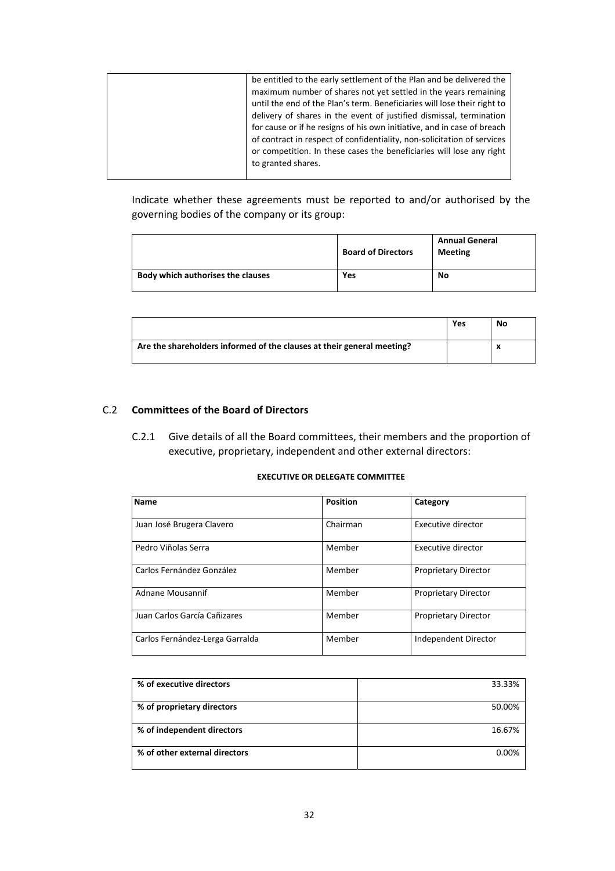| be entitled to the early settlement of the Plan and be delivered the     |
|--------------------------------------------------------------------------|
| maximum number of shares not yet settled in the years remaining          |
| until the end of the Plan's term. Beneficiaries will lose their right to |
| delivery of shares in the event of justified dismissal, termination      |
| for cause or if he resigns of his own initiative, and in case of breach  |
| of contract in respect of confidentiality, non-solicitation of services  |
| or competition. In these cases the beneficiaries will lose any right     |
| to granted shares.                                                       |
|                                                                          |

Indicate whether these agreements must be reported to and/or authorised by the governing bodies of the company or its group:

|                                   | <b>Board of Directors</b> | <b>Annual General</b><br><b>Meeting</b> |
|-----------------------------------|---------------------------|-----------------------------------------|
| Body which authorises the clauses | Yes                       | No                                      |

|                                                                        | Yes | No |
|------------------------------------------------------------------------|-----|----|
| Are the shareholders informed of the clauses at their general meeting? |     |    |

## C.2 **Committees of the Board of Directors**

C.2.1 Give details of all the Board committees, their members and the proportion of executive, proprietary, independent and other external directors:

### **EXECUTIVE OR DELEGATE COMMITTEE**

| Name                            | <b>Position</b> | Category                    |
|---------------------------------|-----------------|-----------------------------|
| Juan José Brugera Clavero       | Chairman        | Executive director          |
| Pedro Viñolas Serra             | Member          | Executive director          |
| Carlos Fernández González       | Member          | <b>Proprietary Director</b> |
| Adnane Mousannif                | Member          | <b>Proprietary Director</b> |
| Juan Carlos García Cañizares    | Member          | <b>Proprietary Director</b> |
| Carlos Fernández-Lerga Garralda | Member          | Independent Director        |

| % of executive directors      | 33.33% |
|-------------------------------|--------|
| % of proprietary directors    | 50.00% |
| % of independent directors    | 16.67% |
| % of other external directors | 0.00%  |
|                               |        |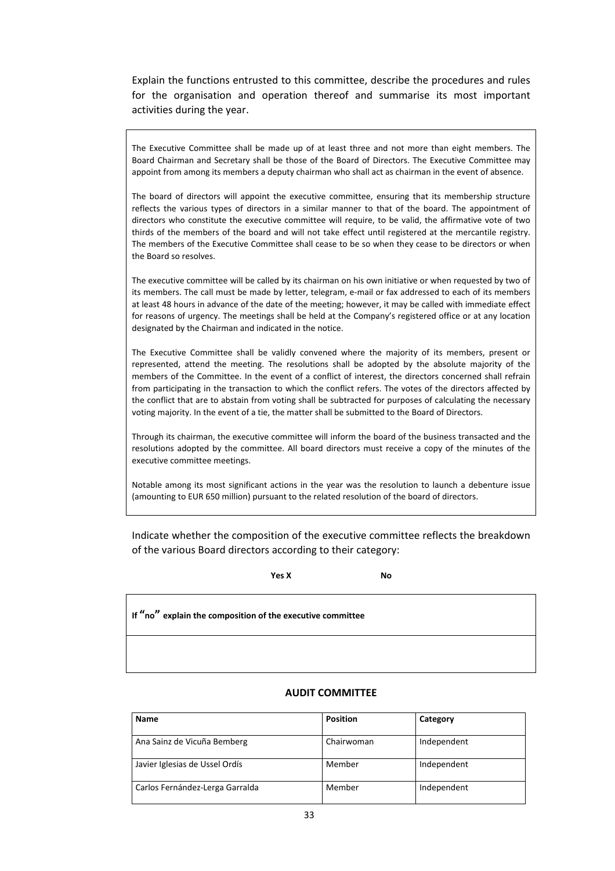Explain the functions entrusted to this committee, describe the procedures and rules for the organisation and operation thereof and summarise its most important activities during the year.

The Executive Committee shall be made up of at least three and not more than eight members. The Board Chairman and Secretary shall be those of the Board of Directors. The Executive Committee may appoint from among its members a deputy chairman who shall act as chairman in the event of absence.

The board of directors will appoint the executive committee, ensuring that its membership structure reflects the various types of directors in a similar manner to that of the board. The appointment of directors who constitute the executive committee will require, to be valid, the affirmative vote of two thirds of the members of the board and will not take effect until registered at the mercantile registry. The members of the Executive Committee shall cease to be so when they cease to be directors or when the Board so resolves.

The executive committee will be called by its chairman on his own initiative or when requested by two of its members. The call must be made by letter, telegram, e-mail or fax addressed to each of its members at least 48 hours in advance of the date of the meeting; however, it may be called with immediate effect for reasons of urgency. The meetings shall be held at the Company's registered office or at any location designated by the Chairman and indicated in the notice.

The Executive Committee shall be validly convened where the majority of its members, present or represented, attend the meeting. The resolutions shall be adopted by the absolute majority of the members of the Committee. In the event of a conflict of interest, the directors concerned shall refrain from participating in the transaction to which the conflict refers. The votes of the directors affected by the conflict that are to abstain from voting shall be subtracted for purposes of calculating the necessary voting majority. In the event of a tie, the matter shall be submitted to the Board of Directors.

Through its chairman, the executive committee will inform the board of the business transacted and the resolutions adopted by the committee. All board directors must receive a copy of the minutes of the executive committee meetings.

Notable among its most significant actions in the year was the resolution to launch a debenture issue (amounting to EUR 650 million) pursuant to the related resolution of the board of directors.

Indicate whether the composition of the executive committee reflects the breakdown of the various Board directors according to their category:

**Yes X No** 

**If "no" explain the composition of the executive committee**

### **AUDIT COMMITTEE**

| Name                            | <b>Position</b> | Category    |
|---------------------------------|-----------------|-------------|
| Ana Sainz de Vicuña Bemberg     | Chairwoman      | Independent |
| Javier Iglesias de Ussel Ordís  | Member          | Independent |
| Carlos Fernández-Lerga Garralda | Member          | Independent |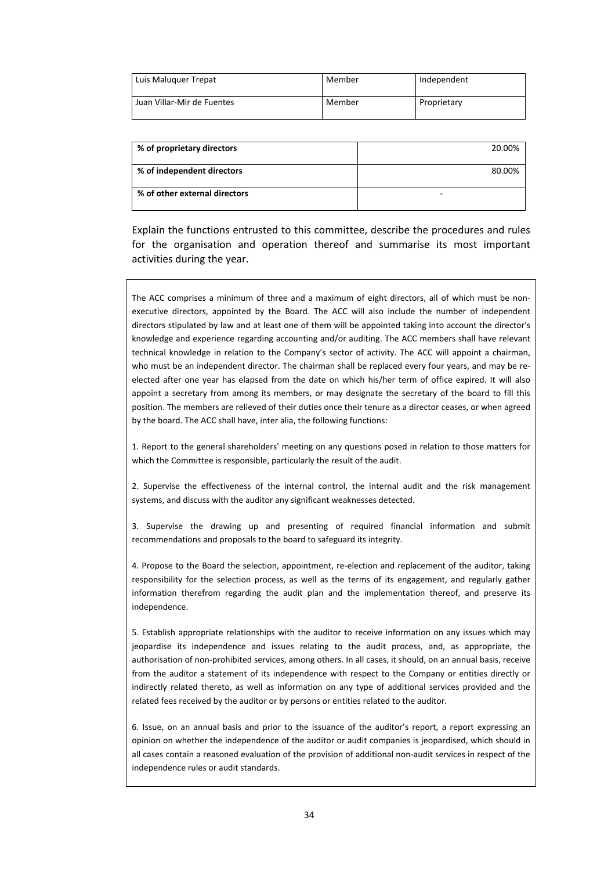| Luis Maluguer Trepat       | Member | Independent |
|----------------------------|--------|-------------|
| Juan Villar-Mir de Fuentes | Member | Proprietary |

| % of proprietary directors    | 20.00%                   |
|-------------------------------|--------------------------|
| % of independent directors    | 80.00%                   |
| % of other external directors | $\overline{\phantom{a}}$ |

Explain the functions entrusted to this committee, describe the procedures and rules for the organisation and operation thereof and summarise its most important activities during the year.

The ACC comprises a minimum of three and a maximum of eight directors, all of which must be nonexecutive directors, appointed by the Board. The ACC will also include the number of independent directors stipulated by law and at least one of them will be appointed taking into account the director's knowledge and experience regarding accounting and/or auditing. The ACC members shall have relevant technical knowledge in relation to the Company's sector of activity. The ACC will appoint a chairman, who must be an independent director. The chairman shall be replaced every four years, and may be reelected after one year has elapsed from the date on which his/her term of office expired. It will also appoint a secretary from among its members, or may designate the secretary of the board to fill this position. The members are relieved of their duties once their tenure as a director ceases, or when agreed by the board. The ACC shall have, inter alia, the following functions:

1. Report to the general shareholders' meeting on any questions posed in relation to those matters for which the Committee is responsible, particularly the result of the audit.

2. Supervise the effectiveness of the internal control, the internal audit and the risk management systems, and discuss with the auditor any significant weaknesses detected.

3. Supervise the drawing up and presenting of required financial information and submit recommendations and proposals to the board to safeguard its integrity.

4. Propose to the Board the selection, appointment, re-election and replacement of the auditor, taking responsibility for the selection process, as well as the terms of its engagement, and regularly gather information therefrom regarding the audit plan and the implementation thereof, and preserve its independence.

5. Establish appropriate relationships with the auditor to receive information on any issues which may jeopardise its independence and issues relating to the audit process, and, as appropriate, the authorisation of non‐prohibited services, among others. In all cases, it should, on an annual basis, receive from the auditor a statement of its independence with respect to the Company or entities directly or indirectly related thereto, as well as information on any type of additional services provided and the related fees received by the auditor or by persons or entities related to the auditor.

6. Issue, on an annual basis and prior to the issuance of the auditor's report, a report expressing an opinion on whether the independence of the auditor or audit companies is jeopardised, which should in all cases contain a reasoned evaluation of the provision of additional non‐audit services in respect of the independence rules or audit standards.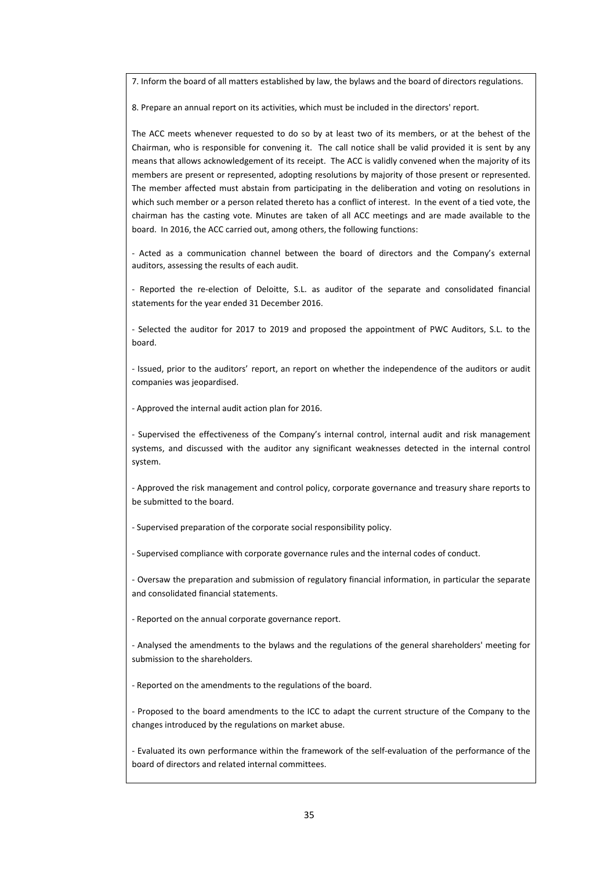7. Inform the board of all matters established by law, the bylaws and the board of directors regulations.

8. Prepare an annual report on its activities, which must be included in the directors' report.

The ACC meets whenever requested to do so by at least two of its members, or at the behest of the Chairman, who is responsible for convening it. The call notice shall be valid provided it is sent by any means that allows acknowledgement of its receipt. The ACC is validly convened when the majority of its members are present or represented, adopting resolutions by majority of those present or represented. The member affected must abstain from participating in the deliberation and voting on resolutions in which such member or a person related thereto has a conflict of interest. In the event of a tied vote, the chairman has the casting vote. Minutes are taken of all ACC meetings and are made available to the board. In 2016, the ACC carried out, among others, the following functions:

‐ Acted as a communication channel between the board of directors and the Company's external auditors, assessing the results of each audit.

‐ Reported the re‐election of Deloitte, S.L. as auditor of the separate and consolidated financial statements for the year ended 31 December 2016.

‐ Selected the auditor for 2017 to 2019 and proposed the appointment of PWC Auditors, S.L. to the board.

‐ Issued, prior to the auditors' report, an report on whether the independence of the auditors or audit companies was jeopardised.

‐ Approved the internal audit action plan for 2016.

‐ Supervised the effectiveness of the Company's internal control, internal audit and risk management systems, and discussed with the auditor any significant weaknesses detected in the internal control system.

‐ Approved the risk management and control policy, corporate governance and treasury share reports to be submitted to the board.

‐ Supervised preparation of the corporate social responsibility policy.

‐ Supervised compliance with corporate governance rules and the internal codes of conduct.

‐ Oversaw the preparation and submission of regulatory financial information, in particular the separate and consolidated financial statements.

‐ Reported on the annual corporate governance report.

‐ Analysed the amendments to the bylaws and the regulations of the general shareholders' meeting for submission to the shareholders.

‐ Reported on the amendments to the regulations of the board.

‐ Proposed to the board amendments to the ICC to adapt the current structure of the Company to the changes introduced by the regulations on market abuse.

‐ Evaluated its own performance within the framework of the self‐evaluation of the performance of the board of directors and related internal committees.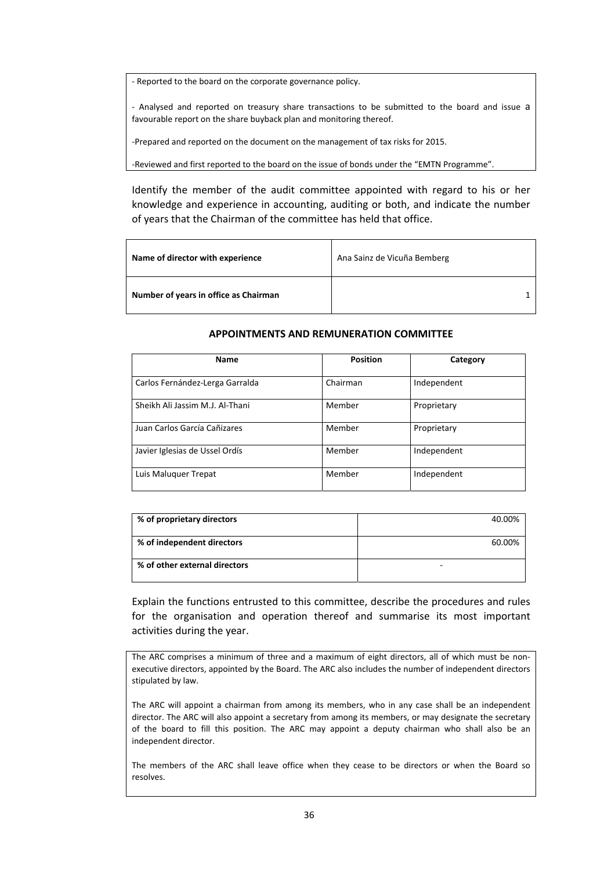‐ Reported to the board on the corporate governance policy.

‐ Analysed and reported on treasury share transactions to be submitted to the board and issue a favourable report on the share buyback plan and monitoring thereof.

‐Prepared and reported on the document on the management of tax risks for 2015.

‐Reviewed and first reported to the board on the issue of bonds under the "EMTN Programme".

Identify the member of the audit committee appointed with regard to his or her knowledge and experience in accounting, auditing or both, and indicate the number of years that the Chairman of the committee has held that office.

| Name of director with experience      | Ana Sainz de Vicuña Bemberg |
|---------------------------------------|-----------------------------|
| Number of years in office as Chairman |                             |

### **APPOINTMENTS AND REMUNERATION COMMITTEE**

| Name                            | <b>Position</b> | Category    |
|---------------------------------|-----------------|-------------|
| Carlos Fernández-Lerga Garralda | Chairman        | Independent |
| Sheikh Ali Jassim M.J. Al-Thani | Member          | Proprietary |
| Juan Carlos García Cañizares    | Member          | Proprietary |
| Javier Iglesias de Ussel Ordís  | Member          | Independent |
| Luis Maluquer Trepat            | Member          | Independent |

| % of proprietary directors    | 40.00%                   |
|-------------------------------|--------------------------|
| % of independent directors    | 60.00%                   |
|                               |                          |
| % of other external directors | $\overline{\phantom{a}}$ |
|                               |                          |

Explain the functions entrusted to this committee, describe the procedures and rules for the organisation and operation thereof and summarise its most important activities during the year.

The ARC comprises a minimum of three and a maximum of eight directors, all of which must be nonexecutive directors, appointed by the Board. The ARC also includes the number of independent directors stipulated by law.

The ARC will appoint a chairman from among its members, who in any case shall be an independent director. The ARC will also appoint a secretary from among its members, or may designate the secretary of the board to fill this position. The ARC may appoint a deputy chairman who shall also be an independent director.

The members of the ARC shall leave office when they cease to be directors or when the Board so resolves.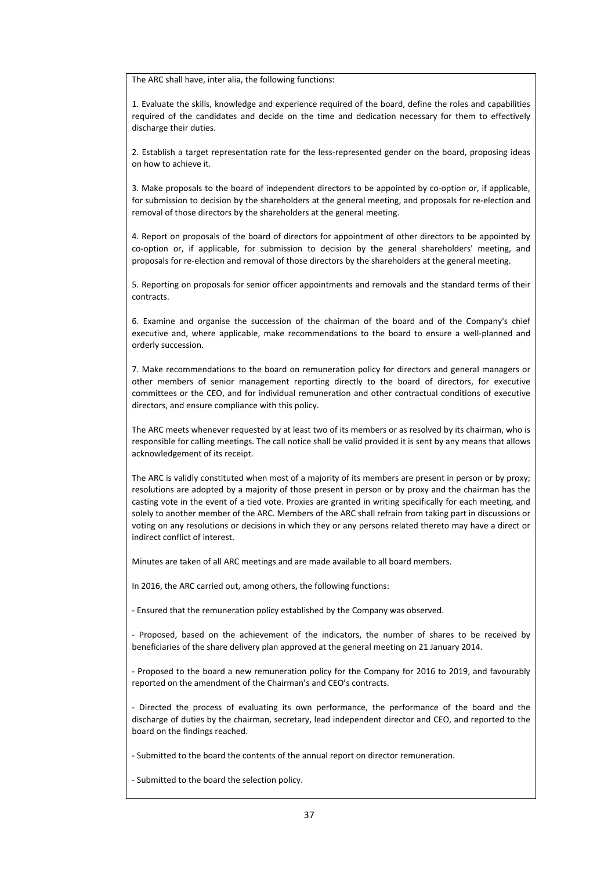The ARC shall have, inter alia, the following functions:

1. Evaluate the skills, knowledge and experience required of the board, define the roles and capabilities required of the candidates and decide on the time and dedication necessary for them to effectively discharge their duties.

2. Establish a target representation rate for the less-represented gender on the board, proposing ideas on how to achieve it.

3. Make proposals to the board of independent directors to be appointed by co-option or, if applicable, for submission to decision by the shareholders at the general meeting, and proposals for re-election and removal of those directors by the shareholders at the general meeting.

4. Report on proposals of the board of directors for appointment of other directors to be appointed by co-option or, if applicable, for submission to decision by the general shareholders' meeting, and proposals for re-election and removal of those directors by the shareholders at the general meeting.

5. Reporting on proposals for senior officer appointments and removals and the standard terms of their contracts.

6. Examine and organise the succession of the chairman of the board and of the Company's chief executive and, where applicable, make recommendations to the board to ensure a well‐planned and orderly succession.

7. Make recommendations to the board on remuneration policy for directors and general managers or other members of senior management reporting directly to the board of directors, for executive committees or the CEO, and for individual remuneration and other contractual conditions of executive directors, and ensure compliance with this policy.

The ARC meets whenever requested by at least two of its members or as resolved by its chairman, who is responsible for calling meetings. The call notice shall be valid provided it is sent by any means that allows acknowledgement of its receipt.

The ARC is validly constituted when most of a majority of its members are present in person or by proxy; resolutions are adopted by a majority of those present in person or by proxy and the chairman has the casting vote in the event of a tied vote. Proxies are granted in writing specifically for each meeting, and solely to another member of the ARC. Members of the ARC shall refrain from taking part in discussions or voting on any resolutions or decisions in which they or any persons related thereto may have a direct or indirect conflict of interest.

Minutes are taken of all ARC meetings and are made available to all board members.

In 2016, the ARC carried out, among others, the following functions:

‐ Ensured that the remuneration policy established by the Company was observed.

‐ Proposed, based on the achievement of the indicators, the number of shares to be received by beneficiaries of the share delivery plan approved at the general meeting on 21 January 2014.

‐ Proposed to the board a new remuneration policy for the Company for 2016 to 2019, and favourably reported on the amendment of the Chairman's and CEO's contracts.

‐ Directed the process of evaluating its own performance, the performance of the board and the discharge of duties by the chairman, secretary, lead independent director and CEO, and reported to the board on the findings reached.

‐ Submitted to the board the contents of the annual report on director remuneration.

‐ Submitted to the board the selection policy.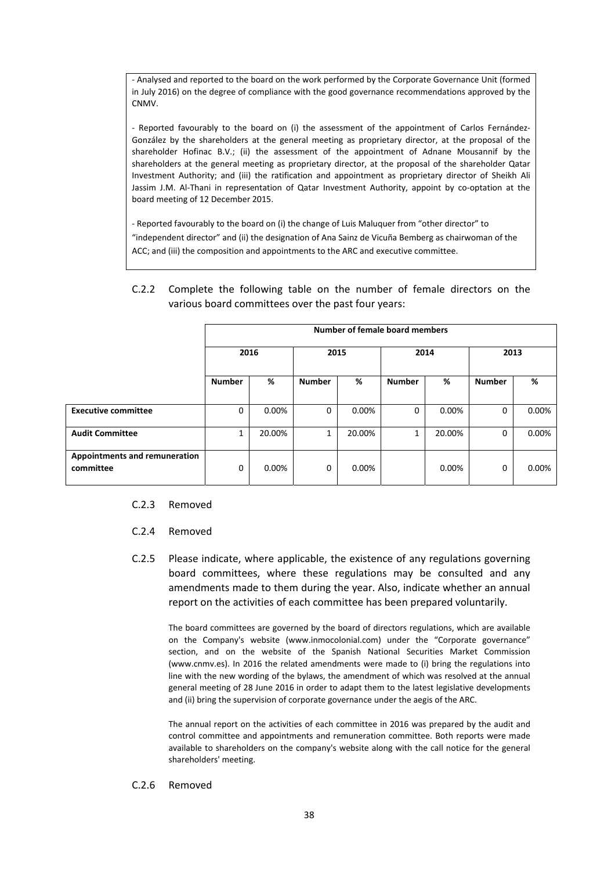‐ Analysed and reported to the board on the work performed by the Corporate Governance Unit (formed in July 2016) on the degree of compliance with the good governance recommendations approved by the **CNMV** 

‐ Reported favourably to the board on (i) the assessment of the appointment of Carlos Fernández‐ González by the shareholders at the general meeting as proprietary director, at the proposal of the shareholder Hofinac B.V.; (ii) the assessment of the appointment of Adnane Mousannif by the shareholders at the general meeting as proprietary director, at the proposal of the shareholder Qatar Investment Authority; and (iii) the ratification and appointment as proprietary director of Sheikh Ali Jassim J.M. Al‐Thani in representation of Qatar Investment Authority, appoint by co‐optation at the board meeting of 12 December 2015.

‐ Reported favourably to the board on (i) the change of Luis Maluquer from "other director" to "independent director" and (ii) the designation of Ana Sainz de Vicuña Bemberg as chairwoman of the ACC; and (iii) the composition and appointments to the ARC and executive committee.

|                                            | Number of female board members |        |               |        |               |          |               |       |
|--------------------------------------------|--------------------------------|--------|---------------|--------|---------------|----------|---------------|-------|
|                                            | 2016                           |        | 2015          |        | 2014<br>2013  |          |               |       |
|                                            | <b>Number</b>                  | %      | <b>Number</b> | %      | <b>Number</b> | %        | <b>Number</b> | %     |
| <b>Executive committee</b>                 | 0                              | 0.00%  | 0             | 0.00%  | $\Omega$      | $0.00\%$ | $\Omega$      | 0.00% |
| <b>Audit Committee</b>                     | 1                              | 20.00% | 1             | 20.00% |               | 20.00%   | $\Omega$      | 0.00% |
| Appointments and remuneration<br>committee | 0                              | 0.00%  | 0             | 0.00%  |               | 0.00%    | 0             | 0.00% |

C.2.2 Complete the following table on the number of female directors on the various board committees over the past four years:

- C.2.3 Removed
- C.2.4 Removed
- C.2.5 Please indicate, where applicable, the existence of any regulations governing board committees, where these regulations may be consulted and any amendments made to them during the year. Also, indicate whether an annual report on the activities of each committee has been prepared voluntarily.

The board committees are governed by the board of directors regulations, which are available on the Company's website (www.inmocolonial.com) under the "Corporate governance" section, and on the website of the Spanish National Securities Market Commission (www.cnmv.es). In 2016 the related amendments were made to (i) bring the regulations into line with the new wording of the bylaws, the amendment of which was resolved at the annual general meeting of 28 June 2016 in order to adapt them to the latest legislative developments and (ii) bring the supervision of corporate governance under the aegis of the ARC.

The annual report on the activities of each committee in 2016 was prepared by the audit and control committee and appointments and remuneration committee. Both reports were made available to shareholders on the company's website along with the call notice for the general shareholders' meeting.

#### C.2.6 Removed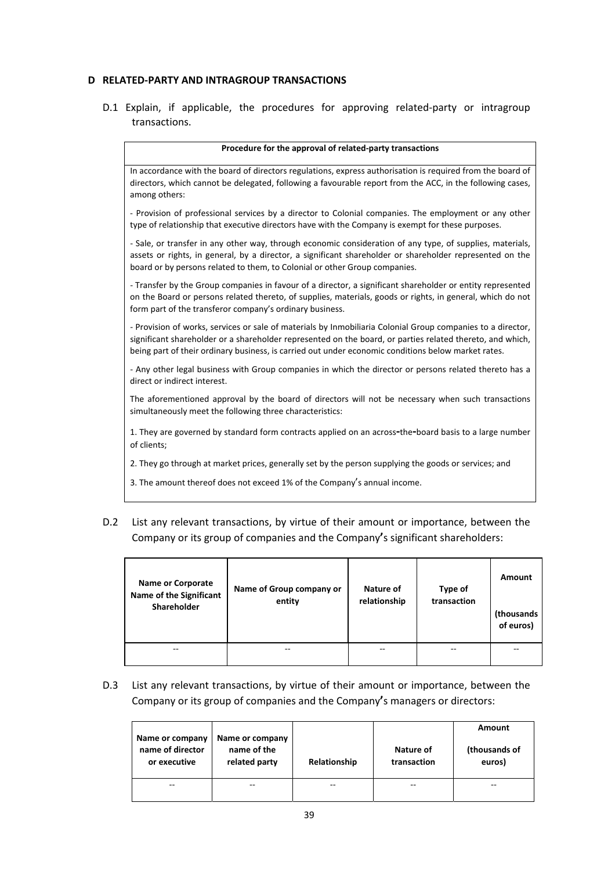### **D RELATED‐PARTY AND INTRAGROUP TRANSACTIONS**

D.1 Explain, if applicable, the procedures for approving related-party or intragroup transactions.

| Procedure for the approval of related-party transactions |  |  |
|----------------------------------------------------------|--|--|
|                                                          |  |  |

In accordance with the board of directors regulations, express authorisation is required from the board of directors, which cannot be delegated, following a favourable report from the ACC, in the following cases, among others:

‐ Provision of professional services by a director to Colonial companies. The employment or any other type of relationship that executive directors have with the Company is exempt for these purposes.

‐ Sale, or transfer in any other way, through economic consideration of any type, of supplies, materials, assets or rights, in general, by a director, a significant shareholder or shareholder represented on the board or by persons related to them, to Colonial or other Group companies.

‐ Transfer by the Group companies in favour of a director, a significant shareholder or entity represented on the Board or persons related thereto, of supplies, materials, goods or rights, in general, which do not form part of the transferor company's ordinary business.

‐ Provision of works, services or sale of materials by Inmobiliaria Colonial Group companies to a director, significant shareholder or a shareholder represented on the board, or parties related thereto, and which, being part of their ordinary business, is carried out under economic conditions below market rates.

‐ Any other legal business with Group companies in which the director or persons related thereto has a direct or indirect interest.

The aforementioned approval by the board of directors will not be necessary when such transactions simultaneously meet the following three characteristics:

1. They are governed by standard form contracts applied on an across**‐**the**‐**board basis to a large number of clients;

2. They go through at market prices, generally set by the person supplying the goods or services; and

3. The amount thereof does not exceed 1% of the Company's annual income.

D.2 List any relevant transactions, by virtue of their amount or importance, between the Company or its group of companies and the Company**'**s significant shareholders:

| <b>Name or Corporate</b><br>Name of the Significant<br>Shareholder | Name of Group company or<br>entity | Nature of<br>relationship | Type of<br>transaction | Amount<br>(thousands<br>of euros) |
|--------------------------------------------------------------------|------------------------------------|---------------------------|------------------------|-----------------------------------|
| --                                                                 | --                                 | --                        | --                     | --                                |

D.3 List any relevant transactions, by virtue of their amount or importance, between the Company or its group of companies and the Company**'**s managers or directors:

| Name or company<br>name of director<br>or executive | Name or company<br>name of the<br>related party | Relationship | Nature of<br>transaction | Amount<br>(thousands of<br>euros) |
|-----------------------------------------------------|-------------------------------------------------|--------------|--------------------------|-----------------------------------|
| --                                                  | $- -$                                           | --           | --                       |                                   |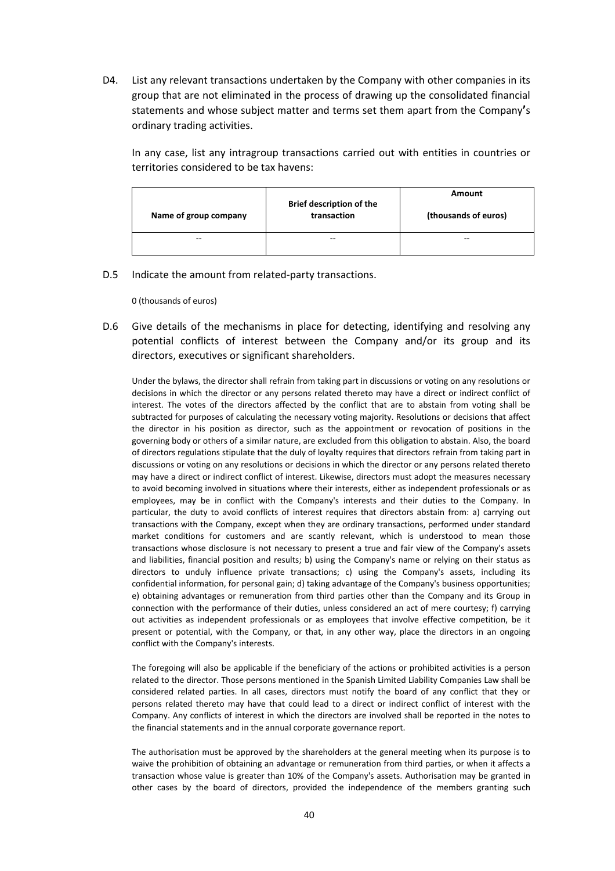D4. List any relevant transactions undertaken by the Company with other companies in its group that are not eliminated in the process of drawing up the consolidated financial statements and whose subject matter and terms set them apart from the Company**'**s ordinary trading activities.

In any case, list any intragroup transactions carried out with entities in countries or territories considered to be tax havens:

| Name of group company | <b>Brief description of the</b><br>transaction | Amount<br>(thousands of euros) |
|-----------------------|------------------------------------------------|--------------------------------|
| $- -$                 | $- -$                                          | $- -$                          |

D.5 Indicate the amount from related-party transactions.

0 (thousands of euros)

D.6 Give details of the mechanisms in place for detecting, identifying and resolving any potential conflicts of interest between the Company and/or its group and its directors, executives or significant shareholders.

Under the bylaws, the director shall refrain from taking part in discussions or voting on any resolutions or decisions in which the director or any persons related thereto may have a direct or indirect conflict of interest. The votes of the directors affected by the conflict that are to abstain from voting shall be subtracted for purposes of calculating the necessary voting majority. Resolutions or decisions that affect the director in his position as director, such as the appointment or revocation of positions in the governing body or others of a similar nature, are excluded from this obligation to abstain. Also, the board of directors regulations stipulate that the duly of loyalty requires that directors refrain from taking part in discussions or voting on any resolutions or decisions in which the director or any persons related thereto may have a direct or indirect conflict of interest. Likewise, directors must adopt the measures necessary to avoid becoming involved in situations where their interests, either as independent professionals or as employees, may be in conflict with the Company's interests and their duties to the Company. In particular, the duty to avoid conflicts of interest requires that directors abstain from: a) carrying out transactions with the Company, except when they are ordinary transactions, performed under standard market conditions for customers and are scantly relevant, which is understood to mean those transactions whose disclosure is not necessary to present a true and fair view of the Company's assets and liabilities, financial position and results; b) using the Company's name or relying on their status as directors to unduly influence private transactions; c) using the Company's assets, including its confidential information, for personal gain; d) taking advantage of the Company's business opportunities; e) obtaining advantages or remuneration from third parties other than the Company and its Group in connection with the performance of their duties, unless considered an act of mere courtesy; f) carrying out activities as independent professionals or as employees that involve effective competition, be it present or potential, with the Company, or that, in any other way, place the directors in an ongoing conflict with the Company's interests.

The foregoing will also be applicable if the beneficiary of the actions or prohibited activities is a person related to the director. Those persons mentioned in the Spanish Limited Liability Companies Law shall be considered related parties. In all cases, directors must notify the board of any conflict that they or persons related thereto may have that could lead to a direct or indirect conflict of interest with the Company. Any conflicts of interest in which the directors are involved shall be reported in the notes to the financial statements and in the annual corporate governance report.

The authorisation must be approved by the shareholders at the general meeting when its purpose is to waive the prohibition of obtaining an advantage or remuneration from third parties, or when it affects a transaction whose value is greater than 10% of the Company's assets. Authorisation may be granted in other cases by the board of directors, provided the independence of the members granting such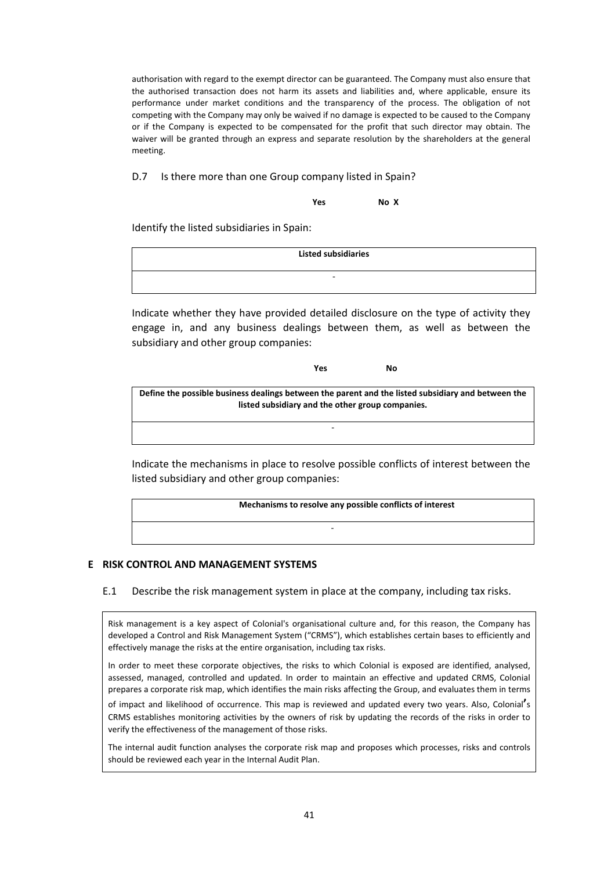authorisation with regard to the exempt director can be guaranteed. The Company must also ensure that the authorised transaction does not harm its assets and liabilities and, where applicable, ensure its performance under market conditions and the transparency of the process. The obligation of not competing with the Company may only be waived if no damage is expected to be caused to the Company or if the Company is expected to be compensated for the profit that such director may obtain. The waiver will be granted through an express and separate resolution by the shareholders at the general meeting.

D.7 Is there more than one Group company listed in Spain?

**Yes No X**

Identify the listed subsidiaries in Spain:

| <b>Listed subsidiaries</b> |  |  |
|----------------------------|--|--|
| -                          |  |  |

Indicate whether they have provided detailed disclosure on the type of activity they engage in, and any business dealings between them, as well as between the subsidiary and other group companies:

**Define the possible business dealings between the parent and the listed subsidiary and between the listed subsidiary and the other group companies.**

‐

**Yes No** 

Indicate the mechanisms in place to resolve possible conflicts of interest between the listed subsidiary and other group companies:

| Mechanisms to resolve any possible conflicts of interest |  |  |  |  |
|----------------------------------------------------------|--|--|--|--|
| -                                                        |  |  |  |  |

### **E RISK CONTROL AND MANAGEMENT SYSTEMS**

E.1 Describe the risk management system in place at the company, including tax risks.

Risk management is a key aspect of Colonial's organisational culture and, for this reason, the Company has developed a Control and Risk Management System ("CRMS"), which establishes certain bases to efficiently and effectively manage the risks at the entire organisation, including tax risks.

In order to meet these corporate objectives, the risks to which Colonial is exposed are identified, analysed, assessed, managed, controlled and updated. In order to maintain an effective and updated CRMS, Colonial prepares a corporate risk map, which identifies the main risks affecting the Group, and evaluates them in terms of impact and likelihood of occurrence. This map is reviewed and updated every two years. Also, Colonial**'**s

CRMS establishes monitoring activities by the owners of risk by updating the records of the risks in order to verify the effectiveness of the management of those risks.

The internal audit function analyses the corporate risk map and proposes which processes, risks and controls should be reviewed each year in the Internal Audit Plan.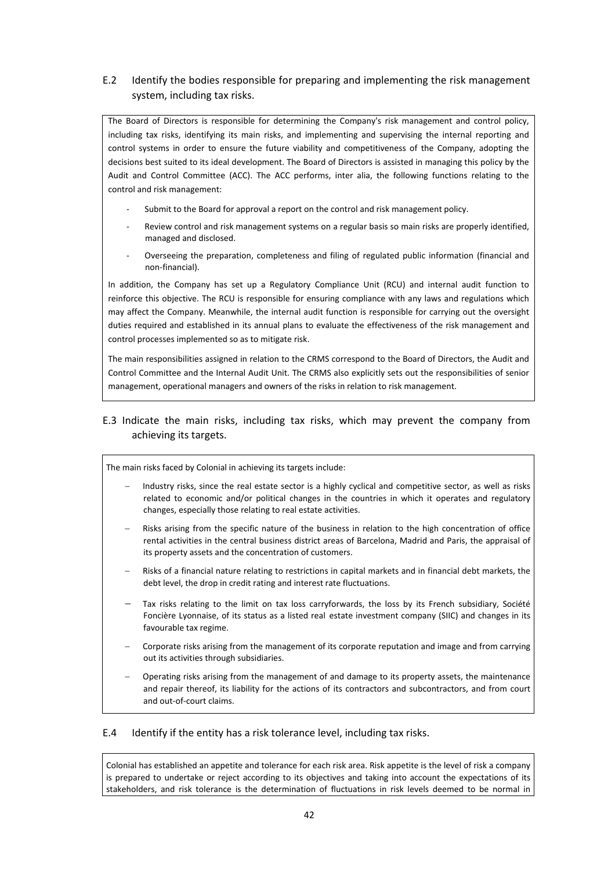### E.2 Identify the bodies responsible for preparing and implementing the risk management system, including tax risks.

The Board of Directors is responsible for determining the Company's risk management and control policy, including tax risks, identifying its main risks, and implementing and supervising the internal reporting and control systems in order to ensure the future viability and competitiveness of the Company, adopting the decisions best suited to its ideal development. The Board of Directors is assisted in managing this policy by the Audit and Control Committee (ACC). The ACC performs, inter alia, the following functions relating to the control and risk management:

- Submit to the Board for approval a report on the control and risk management policy.
- Review control and risk management systems on a regular basis so main risks are properly identified. managed and disclosed.
- ‐ Overseeing the preparation, completeness and filing of regulated public information (financial and non‐financial).

In addition, the Company has set up a Regulatory Compliance Unit (RCU) and internal audit function to reinforce this objective. The RCU is responsible for ensuring compliance with any laws and regulations which may affect the Company. Meanwhile, the internal audit function is responsible for carrying out the oversight duties required and established in its annual plans to evaluate the effectiveness of the risk management and control processes implemented so as to mitigate risk.

The main responsibilities assigned in relation to the CRMS correspond to the Board of Directors, the Audit and Control Committee and the Internal Audit Unit. The CRMS also explicitly sets out the responsibilities of senior management, operational managers and owners of the risks in relation to risk management.

## E.3 Indicate the main risks, including tax risks, which may prevent the company from achieving its targets.

The main risks faced by Colonial in achieving its targets include:

- Industry risks, since the real estate sector is a highly cyclical and competitive sector, as well as risks related to economic and/or political changes in the countries in which it operates and regulatory changes, especially those relating to real estate activities.
- Risks arising from the specific nature of the business in relation to the high concentration of office rental activities in the central business district areas of Barcelona, Madrid and Paris, the appraisal of its property assets and the concentration of customers.
- Risks of a financial nature relating to restrictions in capital markets and in financial debt markets, the debt level, the drop in credit rating and interest rate fluctuations.
- Tax risks relating to the limit on tax loss carryforwards, the loss by its French subsidiary, Société Foncière Lyonnaise, of its status as a listed real estate investment company (SIIC) and changes in its favourable tax regime.
- Corporate risks arising from the management of its corporate reputation and image and from carrying out its activities through subsidiaries.
- Operating risks arising from the management of and damage to its property assets, the maintenance and repair thereof, its liability for the actions of its contractors and subcontractors, and from court and out‐of‐court claims.

E.4 Identify if the entity has a risk tolerance level, including tax risks.

Colonial has established an appetite and tolerance for each risk area. Risk appetite is the level of risk a company is prepared to undertake or reject according to its objectives and taking into account the expectations of its stakeholders, and risk tolerance is the determination of fluctuations in risk levels deemed to be normal in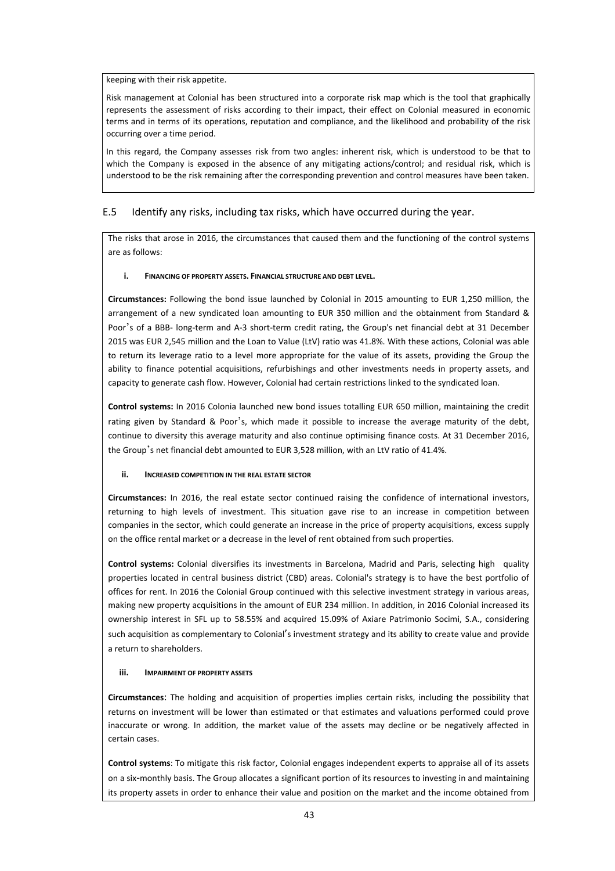#### keeping with their risk appetite.

Risk management at Colonial has been structured into a corporate risk map which is the tool that graphically represents the assessment of risks according to their impact, their effect on Colonial measured in economic terms and in terms of its operations, reputation and compliance, and the likelihood and probability of the risk occurring over a time period.

In this regard, the Company assesses risk from two angles: inherent risk, which is understood to be that to which the Company is exposed in the absence of any mitigating actions/control; and residual risk, which is understood to be the risk remaining after the corresponding prevention and control measures have been taken.

#### E.5 Identify any risks, including tax risks, which have occurred during the year.

The risks that arose in 2016, the circumstances that caused them and the functioning of the control systems are as follows:

#### **i. FINANCING OF PROPERTY ASSETS. FINANCIAL STRUCTURE AND DEBT LEVEL.**

**Circumstances:** Following the bond issue launched by Colonial in 2015 amounting to EUR 1,250 million, the arrangement of a new syndicated loan amounting to EUR 350 million and the obtainment from Standard & Poor's of a BBB‐ long‐term and A‐3 short‐term credit rating, the Group's net financial debt at 31 December 2015 was EUR 2,545 million and the Loan to Value (LtV) ratio was 41.8%. With these actions, Colonial was able to return its leverage ratio to a level more appropriate for the value of its assets, providing the Group the ability to finance potential acquisitions, refurbishings and other investments needs in property assets, and capacity to generate cash flow. However, Colonial had certain restrictions linked to the syndicated loan.

**Control systems:** In 2016 Colonia launched new bond issues totalling EUR 650 million, maintaining the credit rating given by Standard & Poor's, which made it possible to increase the average maturity of the debt, continue to diversity this average maturity and also continue optimising finance costs. At 31 December 2016, the Group's net financial debt amounted to EUR 3,528 million, with an LtV ratio of 41.4%.

#### **ii. INCREASED COMPETITION IN THE REAL ESTATE SECTOR**

**Circumstances:** In 2016, the real estate sector continued raising the confidence of international investors, returning to high levels of investment. This situation gave rise to an increase in competition between companies in the sector, which could generate an increase in the price of property acquisitions, excess supply on the office rental market or a decrease in the level of rent obtained from such properties.

**Control systems:** Colonial diversifies its investments in Barcelona, Madrid and Paris, selecting high quality properties located in central business district (CBD) areas. Colonial's strategy is to have the best portfolio of offices for rent. In 2016 the Colonial Group continued with this selective investment strategy in various areas, making new property acquisitions in the amount of EUR 234 million. In addition, in 2016 Colonial increased its ownership interest in SFL up to 58.55% and acquired 15.09% of Axiare Patrimonio Socimi, S.A., considering such acquisition as complementary to Colonial's investment strategy and its ability to create value and provide a return to shareholders.

#### **iii. IMPAIRMENT OF PROPERTY ASSETS**

**Circumstances**: The holding and acquisition of properties implies certain risks, including the possibility that returns on investment will be lower than estimated or that estimates and valuations performed could prove inaccurate or wrong. In addition, the market value of the assets may decline or be negatively affected in certain cases.

**Control systems**: To mitigate this risk factor, Colonial engages independent experts to appraise all of its assets on a six‐monthly basis. The Group allocates a significant portion of its resources to investing in and maintaining its property assets in order to enhance their value and position on the market and the income obtained from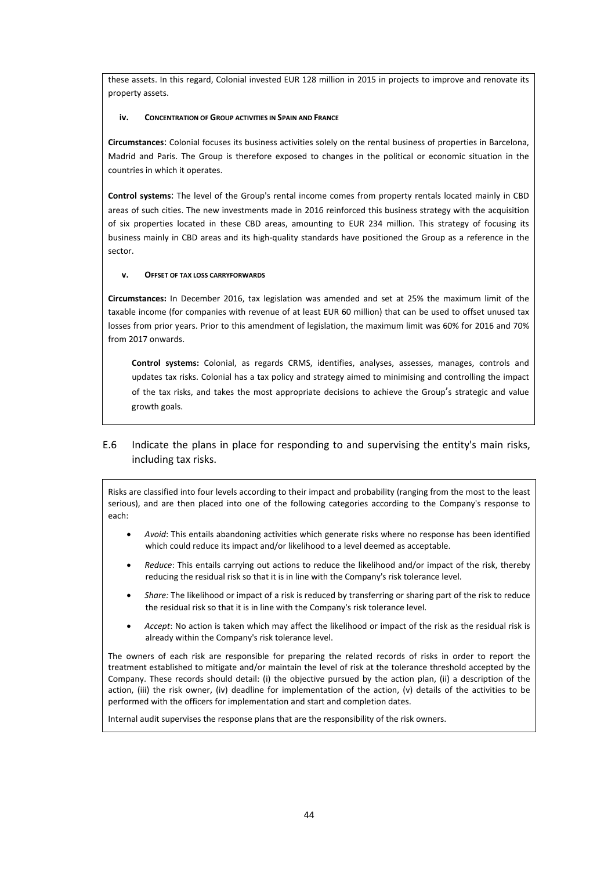these assets. In this regard, Colonial invested EUR 128 million in 2015 in projects to improve and renovate its property assets.

#### **iv. CONCENTRATION OF GROUP ACTIVITIES IN SPAIN AND FRANCE**

**Circumstances**: Colonial focuses its business activities solely on the rental business of properties in Barcelona, Madrid and Paris. The Group is therefore exposed to changes in the political or economic situation in the countries in which it operates.

**Control systems**: The level of the Group's rental income comes from property rentals located mainly in CBD areas of such cities. The new investments made in 2016 reinforced this business strategy with the acquisition of six properties located in these CBD areas, amounting to EUR 234 million. This strategy of focusing its business mainly in CBD areas and its high‐quality standards have positioned the Group as a reference in the sector.

#### **v. OFFSET OF TAX LOSS CARRYFORWARDS**

**Circumstances:** In December 2016, tax legislation was amended and set at 25% the maximum limit of the taxable income (for companies with revenue of at least EUR 60 million) that can be used to offset unused tax losses from prior years. Prior to this amendment of legislation, the maximum limit was 60% for 2016 and 70% from 2017 onwards.

**Control systems:** Colonial, as regards CRMS, identifies, analyses, assesses, manages, controls and updates tax risks. Colonial has a tax policy and strategy aimed to minimising and controlling the impact of the tax risks, and takes the most appropriate decisions to achieve the Group's strategic and value growth goals.

E.6 Indicate the plans in place for responding to and supervising the entity's main risks, including tax risks.

Risks are classified into four levels according to their impact and probability (ranging from the most to the least serious), and are then placed into one of the following categories according to the Company's response to each:

- *Avoid*: This entails abandoning activities which generate risks where no response has been identified which could reduce its impact and/or likelihood to a level deemed as acceptable.
- *Reduce*: This entails carrying out actions to reduce the likelihood and/or impact of the risk, thereby reducing the residual risk so that it is in line with the Company's risk tolerance level.
- *Share:* The likelihood or impact of a risk is reduced by transferring or sharing part of the risk to reduce the residual risk so that it is in line with the Company's risk tolerance level.
- *Accept*: No action is taken which may affect the likelihood or impact of the risk as the residual risk is already within the Company's risk tolerance level.

The owners of each risk are responsible for preparing the related records of risks in order to report the treatment established to mitigate and/or maintain the level of risk at the tolerance threshold accepted by the Company. These records should detail: (i) the objective pursued by the action plan, (ii) a description of the action, (iii) the risk owner, (iv) deadline for implementation of the action, (v) details of the activities to be performed with the officers for implementation and start and completion dates.

Internal audit supervises the response plans that are the responsibility of the risk owners.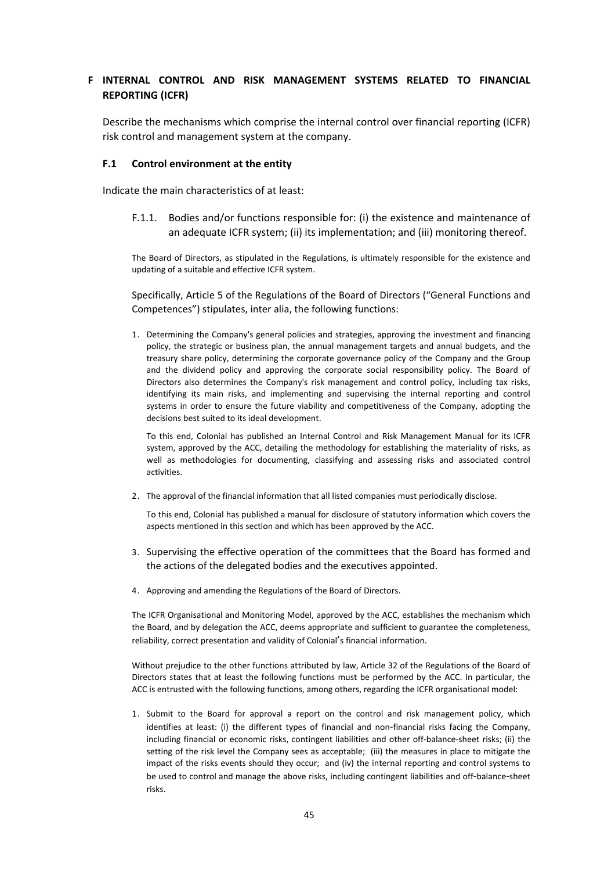### **F INTERNAL CONTROL AND RISK MANAGEMENT SYSTEMS RELATED TO FINANCIAL REPORTING (ICFR)**

Describe the mechanisms which comprise the internal control over financial reporting (ICFR) risk control and management system at the company.

#### **F.1 Control environment at the entity**

Indicate the main characteristics of at least:

F.1.1. Bodies and/or functions responsible for: (i) the existence and maintenance of an adequate ICFR system; (ii) its implementation; and (iii) monitoring thereof.

The Board of Directors, as stipulated in the Regulations, is ultimately responsible for the existence and updating of a suitable and effective ICFR system.

Specifically, Article 5 of the Regulations of the Board of Directors ("General Functions and Competences") stipulates, inter alia, the following functions:

1. Determining the Company's general policies and strategies, approving the investment and financing policy, the strategic or business plan, the annual management targets and annual budgets, and the treasury share policy, determining the corporate governance policy of the Company and the Group and the dividend policy and approving the corporate social responsibility policy. The Board of Directors also determines the Company's risk management and control policy, including tax risks, identifying its main risks, and implementing and supervising the internal reporting and control systems in order to ensure the future viability and competitiveness of the Company, adopting the decisions best suited to its ideal development.

To this end, Colonial has published an Internal Control and Risk Management Manual for its ICFR system, approved by the ACC, detailing the methodology for establishing the materiality of risks, as well as methodologies for documenting, classifying and assessing risks and associated control activities.

2. The approval of the financial information that all listed companies must periodically disclose.

To this end, Colonial has published a manual for disclosure of statutory information which covers the aspects mentioned in this section and which has been approved by the ACC.

- 3. Supervising the effective operation of the committees that the Board has formed and the actions of the delegated bodies and the executives appointed.
- 4. Approving and amending the Regulations of the Board of Directors.

The ICFR Organisational and Monitoring Model, approved by the ACC, establishes the mechanism which the Board, and by delegation the ACC, deems appropriate and sufficient to guarantee the completeness, reliability, correct presentation and validity of Colonial's financial information.

Without prejudice to the other functions attributed by law, Article 32 of the Regulations of the Board of Directors states that at least the following functions must be performed by the ACC. In particular, the ACC is entrusted with the following functions, among others, regarding the ICFR organisational model:

1. Submit to the Board for approval a report on the control and risk management policy, which identifies at least: (i) the different types of financial and non-financial risks facing the Company, including financial or economic risks, contingent liabilities and other off-balance-sheet risks; (ii) the setting of the risk level the Company sees as acceptable; (iii) the measures in place to mitigate the impact of the risks events should they occur; and (iv) the internal reporting and control systems to be used to control and manage the above risks, including contingent liabilities and off-balance-sheet risks.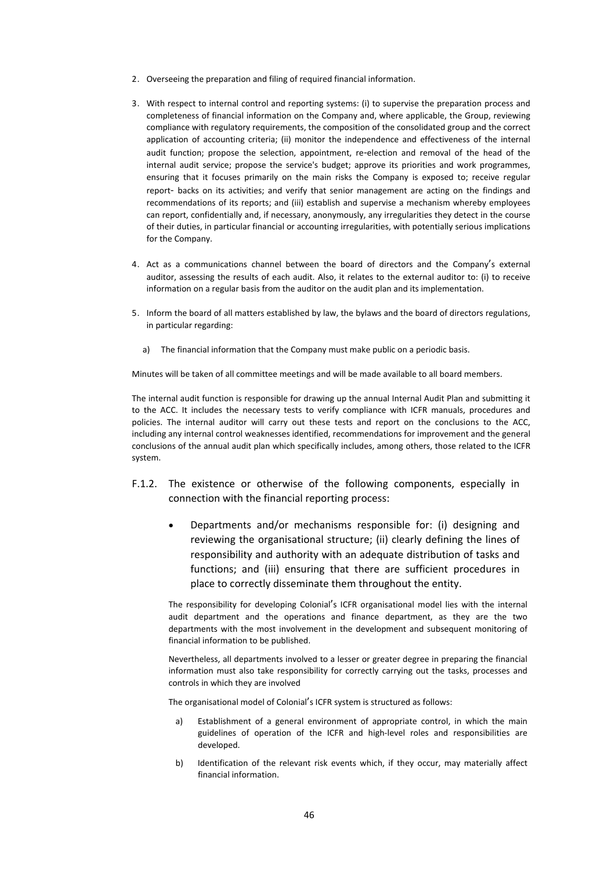- 2. Overseeing the preparation and filing of required financial information.
- 3. With respect to internal control and reporting systems: (i) to supervise the preparation process and completeness of financial information on the Company and, where applicable, the Group, reviewing compliance with regulatory requirements, the composition of the consolidated group and the correct application of accounting criteria; (ii) monitor the independence and effectiveness of the internal audit function; propose the selection, appointment, re-election and removal of the head of the internal audit service; propose the service's budget; approve its priorities and work programmes, ensuring that it focuses primarily on the main risks the Company is exposed to; receive regular report- backs on its activities; and verify that senior management are acting on the findings and recommendations of its reports; and (iii) establish and supervise a mechanism whereby employees can report, confidentially and, if necessary, anonymously, any irregularities they detect in the course of their duties, in particular financial or accounting irregularities, with potentially serious implications for the Company.
- 4. Act as a communications channel between the board of directors and the Company's external auditor, assessing the results of each audit. Also, it relates to the external auditor to: (i) to receive information on a regular basis from the auditor on the audit plan and its implementation.
- 5. Inform the board of all matters established by law, the bylaws and the board of directors regulations, in particular regarding:
	- a) The financial information that the Company must make public on a periodic basis.

Minutes will be taken of all committee meetings and will be made available to all board members.

The internal audit function is responsible for drawing up the annual Internal Audit Plan and submitting it to the ACC. It includes the necessary tests to verify compliance with ICFR manuals, procedures and policies. The internal auditor will carry out these tests and report on the conclusions to the ACC, including any internal control weaknesses identified, recommendations for improvement and the general conclusions of the annual audit plan which specifically includes, among others, those related to the ICFR system.

- F.1.2. The existence or otherwise of the following components, especially in connection with the financial reporting process:
	- Departments and/or mechanisms responsible for: (i) designing and reviewing the organisational structure; (ii) clearly defining the lines of responsibility and authority with an adequate distribution of tasks and functions; and (iii) ensuring that there are sufficient procedures in place to correctly disseminate them throughout the entity.

The responsibility for developing Colonial's ICFR organisational model lies with the internal audit department and the operations and finance department, as they are the two departments with the most involvement in the development and subsequent monitoring of financial information to be published.

Nevertheless, all departments involved to a lesser or greater degree in preparing the financial information must also take responsibility for correctly carrying out the tasks, processes and controls in which they are involved

The organisational model of Colonial's ICFR system is structured as follows:

- a) Establishment of a general environment of appropriate control, in which the main guidelines of operation of the ICFR and high‐level roles and responsibilities are developed.
- b) Identification of the relevant risk events which, if they occur, may materially affect financial information.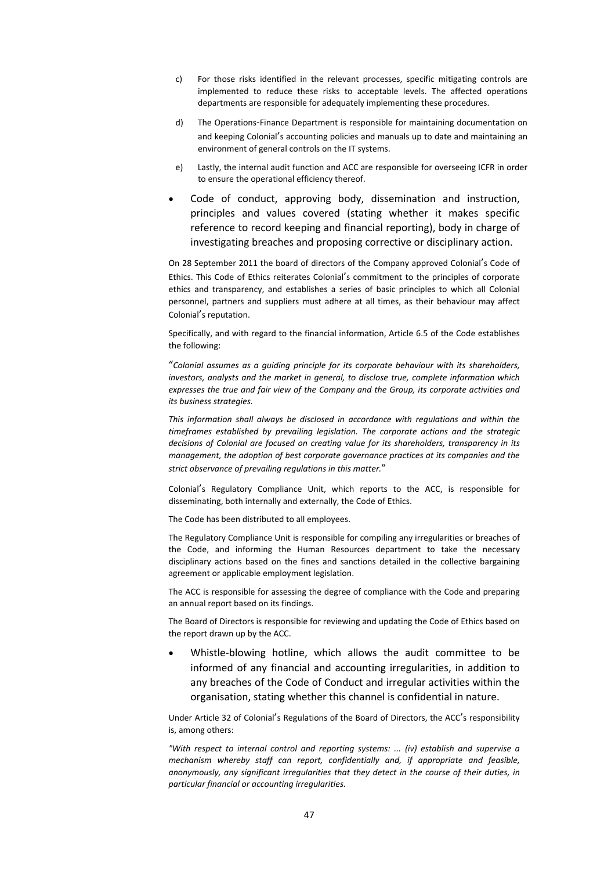- c) For those risks identified in the relevant processes, specific mitigating controls are implemented to reduce these risks to acceptable levels. The affected operations departments are responsible for adequately implementing these procedures.
- d) The Operations‐Finance Department is responsible for maintaining documentation on and keeping Colonial's accounting policies and manuals up to date and maintaining an environment of general controls on the IT systems.
- e) Lastly, the internal audit function and ACC are responsible for overseeing ICFR in order to ensure the operational efficiency thereof.
- Code of conduct, approving body, dissemination and instruction, principles and values covered (stating whether it makes specific reference to record keeping and financial reporting), body in charge of investigating breaches and proposing corrective or disciplinary action.

On 28 September 2011 the board of directors of the Company approved Colonial's Code of Ethics. This Code of Ethics reiterates Colonial's commitment to the principles of corporate ethics and transparency, and establishes a series of basic principles to which all Colonial personnel, partners and suppliers must adhere at all times, as their behaviour may affect Colonial's reputation.

Specifically, and with regard to the financial information, Article 6.5 of the Code establishes the following:

"*Colonial assumes as a guiding principle for its corporate behaviour with its shareholders, investors, analysts and the market in general, to disclose true, complete information which expresses the true and fair view of the Company and the Group, its corporate activities and its business strategies.*

*This information shall always be disclosed in accordance with regulations and within the timeframes established by prevailing legislation. The corporate actions and the strategic decisions of Colonial are focused on creating value for its shareholders, transparency in its management, the adoption of best corporate governance practices at its companies and the strict observance of prevailing regulations in this matter.*"

Colonial's Regulatory Compliance Unit, which reports to the ACC, is responsible for disseminating, both internally and externally, the Code of Ethics.

The Code has been distributed to all employees.

The Regulatory Compliance Unit is responsible for compiling any irregularities or breaches of the Code, and informing the Human Resources department to take the necessary disciplinary actions based on the fines and sanctions detailed in the collective bargaining agreement or applicable employment legislation.

The ACC is responsible for assessing the degree of compliance with the Code and preparing an annual report based on its findings.

The Board of Directors is responsible for reviewing and updating the Code of Ethics based on the report drawn up by the ACC.

 Whistle‐blowing hotline, which allows the audit committee to be informed of any financial and accounting irregularities, in addition to any breaches of the Code of Conduct and irregular activities within the organisation, stating whether this channel is confidential in nature.

Under Article 32 of Colonial's Regulations of the Board of Directors, the ACC's responsibility is, among others:

*"With respect to internal control and reporting systems: ... (iv) establish and supervise a mechanism whereby staff can report, confidentially and, if appropriate and feasible, anonymously, any significant irregularities that they detect in the course of their duties, in particular financial or accounting irregularities.*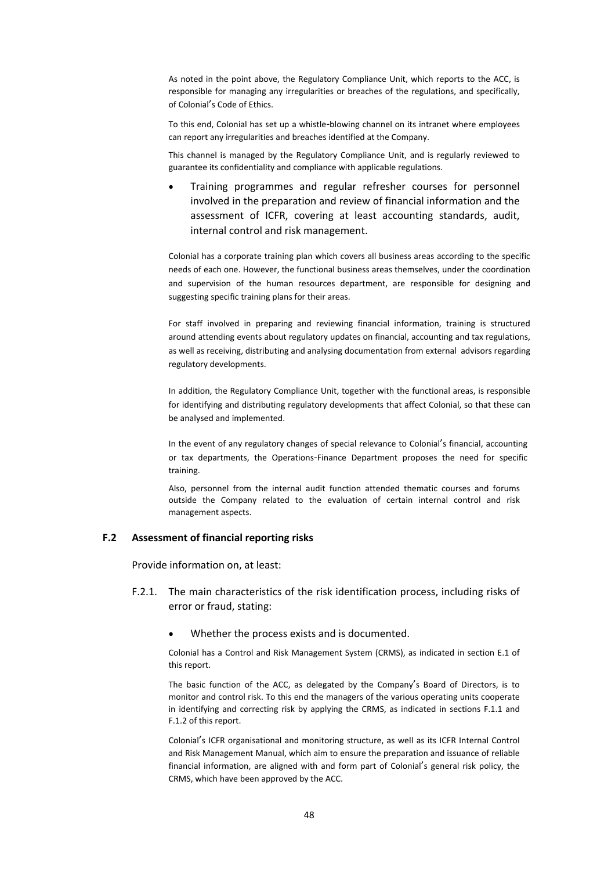As noted in the point above, the Regulatory Compliance Unit, which reports to the ACC, is responsible for managing any irregularities or breaches of the regulations, and specifically, of Colonial's Code of Ethics.

To this end, Colonial has set up a whistle‐blowing channel on its intranet where employees can report any irregularities and breaches identified at the Company.

This channel is managed by the Regulatory Compliance Unit, and is regularly reviewed to guarantee its confidentiality and compliance with applicable regulations.

 Training programmes and regular refresher courses for personnel involved in the preparation and review of financial information and the assessment of ICFR, covering at least accounting standards, audit, internal control and risk management.

Colonial has a corporate training plan which covers all business areas according to the specific needs of each one. However, the functional business areas themselves, under the coordination and supervision of the human resources department, are responsible for designing and suggesting specific training plans for their areas.

For staff involved in preparing and reviewing financial information, training is structured around attending events about regulatory updates on financial, accounting and tax regulations, as well as receiving, distributing and analysing documentation from external advisors regarding regulatory developments.

In addition, the Regulatory Compliance Unit, together with the functional areas, is responsible for identifying and distributing regulatory developments that affect Colonial, so that these can be analysed and implemented.

In the event of any regulatory changes of special relevance to Colonial's financial, accounting or tax departments, the Operations‐Finance Department proposes the need for specific training.

Also, personnel from the internal audit function attended thematic courses and forums outside the Company related to the evaluation of certain internal control and risk management aspects.

#### **F.2 Assessment of financial reporting risks**

Provide information on, at least:

- F.2.1. The main characteristics of the risk identification process, including risks of error or fraud, stating:
	- Whether the process exists and is documented.

Colonial has a Control and Risk Management System (CRMS), as indicated in section E.1 of this report.

The basic function of the ACC, as delegated by the Company's Board of Directors, is to monitor and control risk. To this end the managers of the various operating units cooperate in identifying and correcting risk by applying the CRMS, as indicated in sections F.1.1 and F.1.2 of this report.

Colonial's ICFR organisational and monitoring structure, as well as its ICFR Internal Control and Risk Management Manual, which aim to ensure the preparation and issuance of reliable financial information, are aligned with and form part of Colonial's general risk policy, the CRMS, which have been approved by the ACC.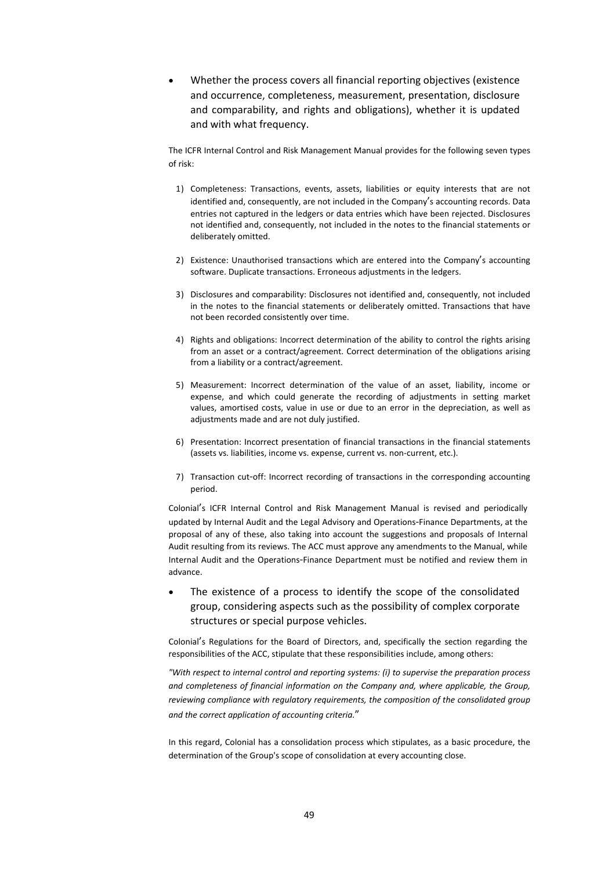Whether the process covers all financial reporting objectives (existence and occurrence, completeness, measurement, presentation, disclosure and comparability, and rights and obligations), whether it is updated and with what frequency.

The ICFR Internal Control and Risk Management Manual provides for the following seven types of risk:

- 1) Completeness: Transactions, events, assets, liabilities or equity interests that are not identified and, consequently, are not included in the Company's accounting records. Data entries not captured in the ledgers or data entries which have been rejected. Disclosures not identified and, consequently, not included in the notes to the financial statements or deliberately omitted.
- 2) Existence: Unauthorised transactions which are entered into the Company's accounting software. Duplicate transactions. Erroneous adjustments in the ledgers.
- 3) Disclosures and comparability: Disclosures not identified and, consequently, not included in the notes to the financial statements or deliberately omitted. Transactions that have not been recorded consistently over time.
- 4) Rights and obligations: Incorrect determination of the ability to control the rights arising from an asset or a contract/agreement. Correct determination of the obligations arising from a liability or a contract/agreement.
- 5) Measurement: Incorrect determination of the value of an asset, liability, income or expense, and which could generate the recording of adjustments in setting market values, amortised costs, value in use or due to an error in the depreciation, as well as adjustments made and are not duly justified.
- 6) Presentation: Incorrect presentation of financial transactions in the financial statements (assets vs. liabilities, income vs. expense, current vs. non‐current, etc.).
- 7) Transaction cut-off: Incorrect recording of transactions in the corresponding accounting period.

Colonial's ICFR Internal Control and Risk Management Manual is revised and periodically updated by Internal Audit and the Legal Advisory and Operations‐Finance Departments, at the proposal of any of these, also taking into account the suggestions and proposals of Internal Audit resulting from its reviews. The ACC must approve any amendments to the Manual, while Internal Audit and the Operations‐Finance Department must be notified and review them in advance.

 The existence of a process to identify the scope of the consolidated group, considering aspects such as the possibility of complex corporate structures or special purpose vehicles.

Colonial's Regulations for the Board of Directors, and, specifically the section regarding the responsibilities of the ACC, stipulate that these responsibilities include, among others:

*"With respect to internal control and reporting systems: (i) to supervise the preparation process and completeness of financial information on the Company and, where applicable, the Group, reviewing compliance with regulatory requirements, the composition of the consolidated group and the correct application of accounting criteria.*"

In this regard, Colonial has a consolidation process which stipulates, as a basic procedure, the determination of the Group's scope of consolidation at every accounting close.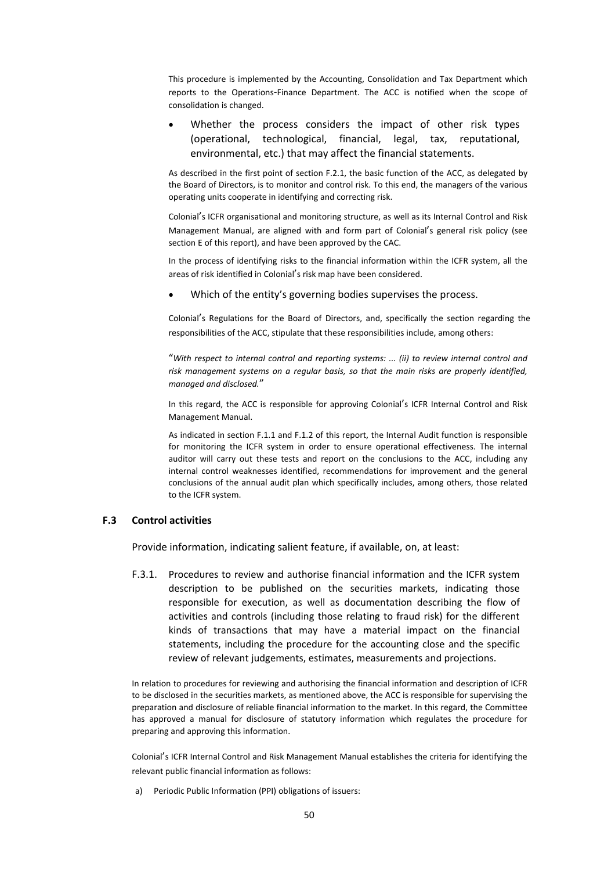This procedure is implemented by the Accounting, Consolidation and Tax Department which reports to the Operations‐Finance Department. The ACC is notified when the scope of consolidation is changed.

 Whether the process considers the impact of other risk types (operational, technological, financial, legal, tax, reputational, environmental, etc.) that may affect the financial statements.

As described in the first point of section F.2.1, the basic function of the ACC, as delegated by the Board of Directors, is to monitor and control risk. To this end, the managers of the various operating units cooperate in identifying and correcting risk.

Colonial's ICFR organisational and monitoring structure, as well as its Internal Control and Risk Management Manual, are aligned with and form part of Colonial's general risk policy (see section E of this report), and have been approved by the CAC.

In the process of identifying risks to the financial information within the ICFR system, all the areas of risk identified in Colonial's risk map have been considered.

Which of the entity's governing bodies supervises the process.

Colonial's Regulations for the Board of Directors, and, specifically the section regarding the responsibilities of the ACC, stipulate that these responsibilities include, among others:

"*With respect to internal control and reporting systems: ... (ii) to review internal control and risk management systems on a regular basis, so that the main risks are properly identified, managed and disclosed.*"

In this regard, the ACC is responsible for approving Colonial's ICFR Internal Control and Risk Management Manual.

As indicated in section F.1.1 and F.1.2 of this report, the Internal Audit function is responsible for monitoring the ICFR system in order to ensure operational effectiveness. The internal auditor will carry out these tests and report on the conclusions to the ACC, including any internal control weaknesses identified, recommendations for improvement and the general conclusions of the annual audit plan which specifically includes, among others, those related to the ICFR system.

#### **F.3 Control activities**

Provide information, indicating salient feature, if available, on, at least:

F.3.1. Procedures to review and authorise financial information and the ICFR system description to be published on the securities markets, indicating those responsible for execution, as well as documentation describing the flow of activities and controls (including those relating to fraud risk) for the different kinds of transactions that may have a material impact on the financial statements, including the procedure for the accounting close and the specific review of relevant judgements, estimates, measurements and projections.

In relation to procedures for reviewing and authorising the financial information and description of ICFR to be disclosed in the securities markets, as mentioned above, the ACC is responsible for supervising the preparation and disclosure of reliable financial information to the market. In this regard, the Committee has approved a manual for disclosure of statutory information which regulates the procedure for preparing and approving this information.

Colonial's ICFR Internal Control and Risk Management Manual establishes the criteria for identifying the relevant public financial information as follows:

a) Periodic Public Information (PPI) obligations of issuers: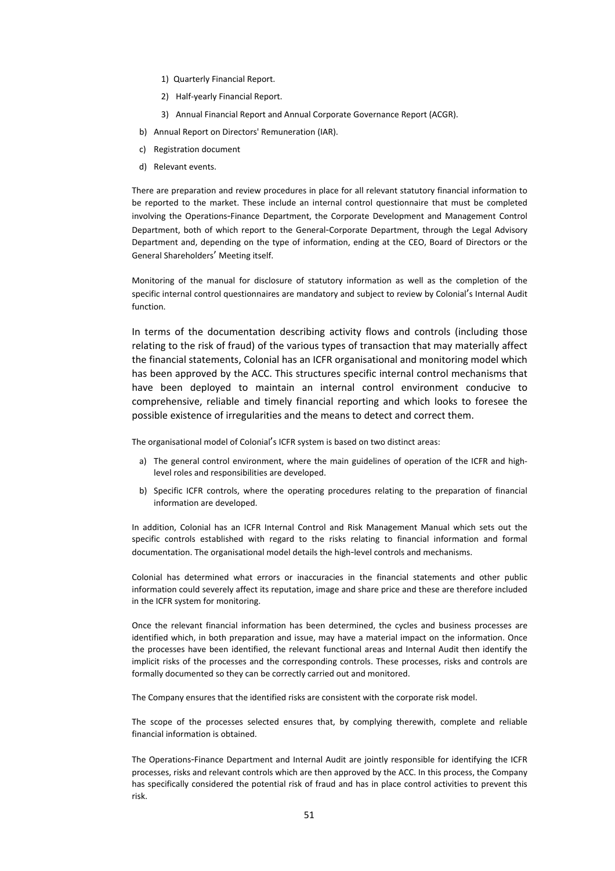- 1) Quarterly Financial Report.
- 2) Half‐yearly Financial Report.
- 3) Annual Financial Report and Annual Corporate Governance Report (ACGR).
- b) Annual Report on Directors' Remuneration (IAR).
- c) Registration document
- d) Relevant events.

There are preparation and review procedures in place for all relevant statutory financial information to be reported to the market. These include an internal control questionnaire that must be completed involving the Operations‐Finance Department, the Corporate Development and Management Control Department, both of which report to the General-Corporate Department, through the Legal Advisory Department and, depending on the type of information, ending at the CEO, Board of Directors or the General Shareholders' Meeting itself.

Monitoring of the manual for disclosure of statutory information as well as the completion of the specific internal control questionnaires are mandatory and subject to review by Colonial's Internal Audit function.

In terms of the documentation describing activity flows and controls (including those relating to the risk of fraud) of the various types of transaction that may materially affect the financial statements, Colonial has an ICFR organisational and monitoring model which has been approved by the ACC. This structures specific internal control mechanisms that have been deployed to maintain an internal control environment conducive to comprehensive, reliable and timely financial reporting and which looks to foresee the possible existence of irregularities and the means to detect and correct them.

The organisational model of Colonial's ICFR system is based on two distinct areas:

- a) The general control environment, where the main guidelines of operation of the ICFR and highlevel roles and responsibilities are developed.
- b) Specific ICFR controls, where the operating procedures relating to the preparation of financial information are developed.

In addition, Colonial has an ICFR Internal Control and Risk Management Manual which sets out the specific controls established with regard to the risks relating to financial information and formal documentation. The organisational model details the high‐level controls and mechanisms.

Colonial has determined what errors or inaccuracies in the financial statements and other public information could severely affect its reputation, image and share price and these are therefore included in the ICFR system for monitoring.

Once the relevant financial information has been determined, the cycles and business processes are identified which, in both preparation and issue, may have a material impact on the information. Once the processes have been identified, the relevant functional areas and Internal Audit then identify the implicit risks of the processes and the corresponding controls. These processes, risks and controls are formally documented so they can be correctly carried out and monitored.

The Company ensures that the identified risks are consistent with the corporate risk model.

The scope of the processes selected ensures that, by complying therewith, complete and reliable financial information is obtained.

The Operations‐Finance Department and Internal Audit are jointly responsible for identifying the ICFR processes, risks and relevant controls which are then approved by the ACC. In this process, the Company has specifically considered the potential risk of fraud and has in place control activities to prevent this risk.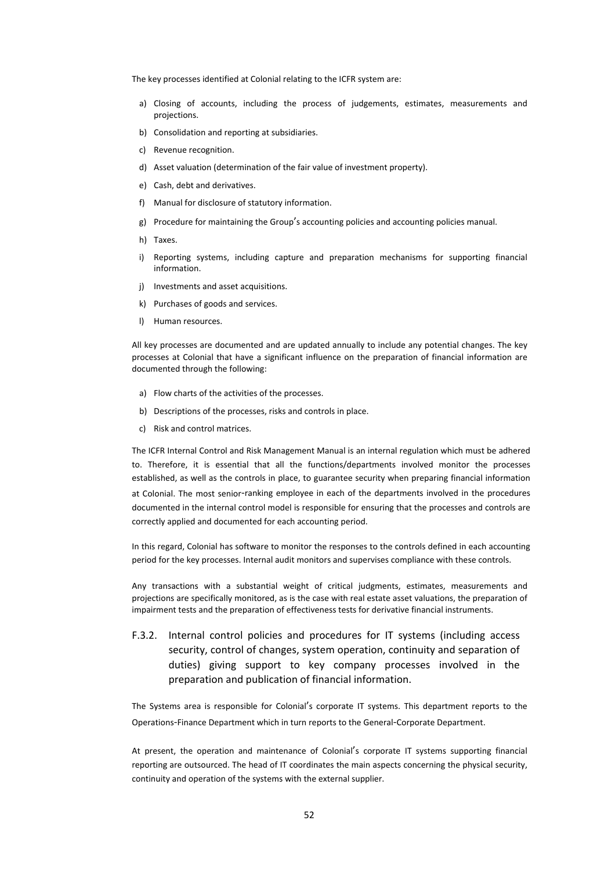The key processes identified at Colonial relating to the ICFR system are:

- a) Closing of accounts, including the process of judgements, estimates, measurements and projections.
- b) Consolidation and reporting at subsidiaries.
- c) Revenue recognition.
- d) Asset valuation (determination of the fair value of investment property).
- e) Cash, debt and derivatives.
- f) Manual for disclosure of statutory information.
- g) Procedure for maintaining the Group's accounting policies and accounting policies manual.
- h) Taxes.
- i) Reporting systems, including capture and preparation mechanisms for supporting financial information.
- j) Investments and asset acquisitions.
- k) Purchases of goods and services.
- l) Human resources.

All key processes are documented and are updated annually to include any potential changes. The key processes at Colonial that have a significant influence on the preparation of financial information are documented through the following:

- a) Flow charts of the activities of the processes.
- b) Descriptions of the processes, risks and controls in place.
- c) Risk and control matrices.

The ICFR Internal Control and Risk Management Manual is an internal regulation which must be adhered to. Therefore, it is essential that all the functions/departments involved monitor the processes established, as well as the controls in place, to guarantee security when preparing financial information at Colonial. The most senior-ranking employee in each of the departments involved in the procedures documented in the internal control model is responsible for ensuring that the processes and controls are correctly applied and documented for each accounting period.

In this regard, Colonial has software to monitor the responses to the controls defined in each accounting period for the key processes. Internal audit monitors and supervises compliance with these controls.

Any transactions with a substantial weight of critical judgments, estimates, measurements and projections are specifically monitored, as is the case with real estate asset valuations, the preparation of impairment tests and the preparation of effectiveness tests for derivative financial instruments.

F.3.2. Internal control policies and procedures for IT systems (including access security, control of changes, system operation, continuity and separation of duties) giving support to key company processes involved in the preparation and publication of financial information.

The Systems area is responsible for Colonial's corporate IT systems. This department reports to the Operations‐Finance Department which in turn reports to the General‐Corporate Department.

At present, the operation and maintenance of Colonial's corporate IT systems supporting financial reporting are outsourced. The head of IT coordinates the main aspects concerning the physical security, continuity and operation of the systems with the external supplier.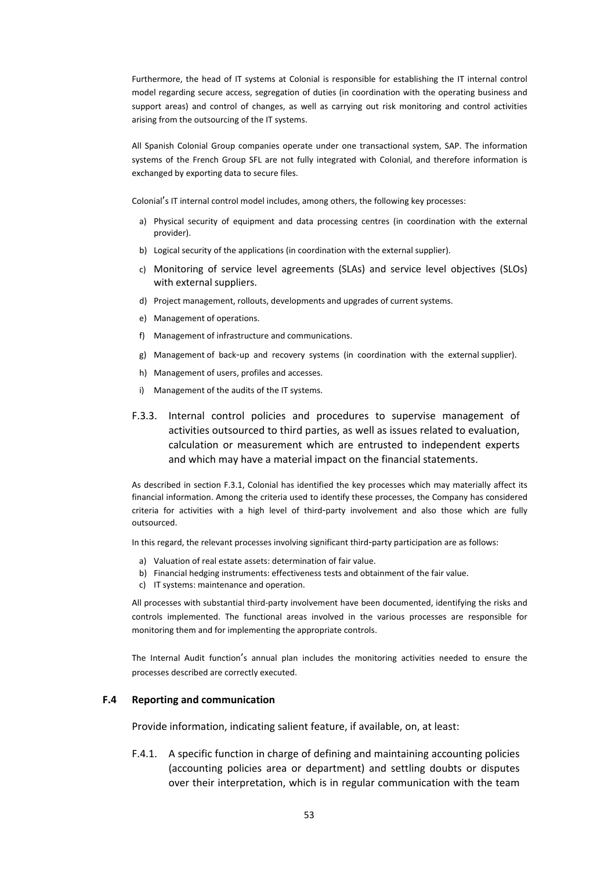Furthermore, the head of IT systems at Colonial is responsible for establishing the IT internal control model regarding secure access, segregation of duties (in coordination with the operating business and support areas) and control of changes, as well as carrying out risk monitoring and control activities arising from the outsourcing of the IT systems.

All Spanish Colonial Group companies operate under one transactional system, SAP. The information systems of the French Group SFL are not fully integrated with Colonial, and therefore information is exchanged by exporting data to secure files.

Colonial's IT internal control model includes, among others, the following key processes:

- a) Physical security of equipment and data processing centres (in coordination with the external provider).
- b) Logical security of the applications (in coordination with the external supplier).
- c) Monitoring of service level agreements (SLAs) and service level objectives (SLOs) with external suppliers.
- d) Project management, rollouts, developments and upgrades of current systems.
- e) Management of operations.
- f) Management of infrastructure and communications.
- g) Management of back-up and recovery systems (in coordination with the external supplier).
- h) Management of users, profiles and accesses.
- i) Management of the audits of the IT systems.
- F.3.3. Internal control policies and procedures to supervise management of activities outsourced to third parties, as well as issues related to evaluation, calculation or measurement which are entrusted to independent experts and which may have a material impact on the financial statements.

As described in section F.3.1, Colonial has identified the key processes which may materially affect its financial information. Among the criteria used to identify these processes, the Company has considered criteria for activities with a high level of third-party involvement and also those which are fully outsourced.

In this regard, the relevant processes involving significant third-party participation are as follows:

- a) Valuation of real estate assets: determination of fair value.
- b) Financial hedging instruments: effectiveness tests and obtainment of the fair value.
- c) IT systems: maintenance and operation.

All processes with substantial third‐party involvement have been documented, identifying the risks and controls implemented. The functional areas involved in the various processes are responsible for monitoring them and for implementing the appropriate controls.

The Internal Audit function's annual plan includes the monitoring activities needed to ensure the processes described are correctly executed.

#### **F.4 Reporting and communication**

Provide information, indicating salient feature, if available, on, at least:

F.4.1. A specific function in charge of defining and maintaining accounting policies (accounting policies area or department) and settling doubts or disputes over their interpretation, which is in regular communication with the team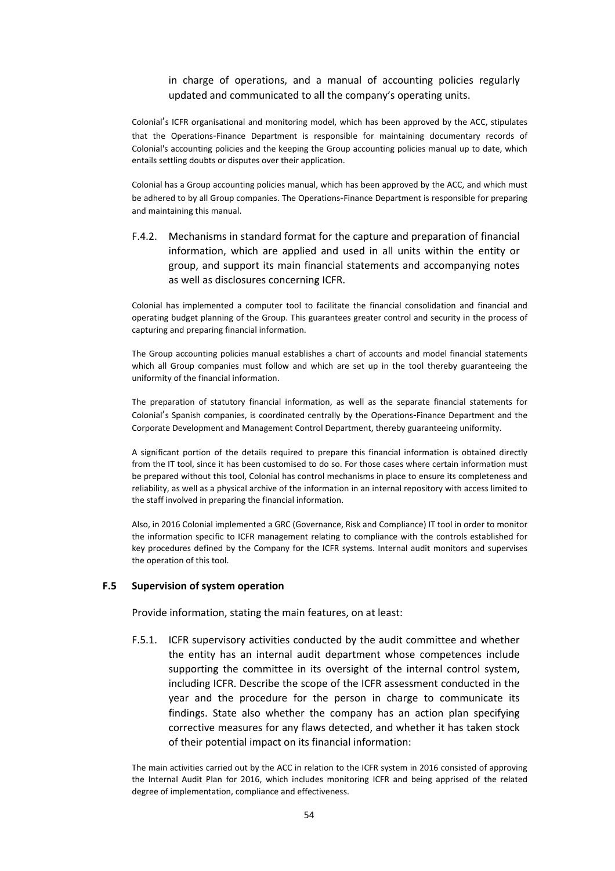in charge of operations, and a manual of accounting policies regularly updated and communicated to all the company's operating units.

Colonial's ICFR organisational and monitoring model, which has been approved by the ACC, stipulates that the Operations‐Finance Department is responsible for maintaining documentary records of Colonial's accounting policies and the keeping the Group accounting policies manual up to date, which entails settling doubts or disputes over their application.

Colonial has a Group accounting policies manual, which has been approved by the ACC, and which must be adhered to by all Group companies. The Operations‐Finance Department is responsible for preparing and maintaining this manual.

F.4.2. Mechanisms in standard format for the capture and preparation of financial information, which are applied and used in all units within the entity or group, and support its main financial statements and accompanying notes as well as disclosures concerning ICFR.

Colonial has implemented a computer tool to facilitate the financial consolidation and financial and operating budget planning of the Group. This guarantees greater control and security in the process of capturing and preparing financial information.

The Group accounting policies manual establishes a chart of accounts and model financial statements which all Group companies must follow and which are set up in the tool thereby guaranteeing the uniformity of the financial information.

The preparation of statutory financial information, as well as the separate financial statements for Colonial's Spanish companies, is coordinated centrally by the Operations‐Finance Department and the Corporate Development and Management Control Department, thereby guaranteeing uniformity.

A significant portion of the details required to prepare this financial information is obtained directly from the IT tool, since it has been customised to do so. For those cases where certain information must be prepared without this tool, Colonial has control mechanisms in place to ensure its completeness and reliability, as well as a physical archive of the information in an internal repository with access limited to the staff involved in preparing the financial information.

Also, in 2016 Colonial implemented a GRC (Governance, Risk and Compliance) IT tool in order to monitor the information specific to ICFR management relating to compliance with the controls established for key procedures defined by the Company for the ICFR systems. Internal audit monitors and supervises the operation of this tool.

#### **F.5 Supervision of system operation**

Provide information, stating the main features, on at least:

F.5.1. ICFR supervisory activities conducted by the audit committee and whether the entity has an internal audit department whose competences include supporting the committee in its oversight of the internal control system, including ICFR. Describe the scope of the ICFR assessment conducted in the year and the procedure for the person in charge to communicate its findings. State also whether the company has an action plan specifying corrective measures for any flaws detected, and whether it has taken stock of their potential impact on its financial information:

The main activities carried out by the ACC in relation to the ICFR system in 2016 consisted of approving the Internal Audit Plan for 2016, which includes monitoring ICFR and being apprised of the related degree of implementation, compliance and effectiveness.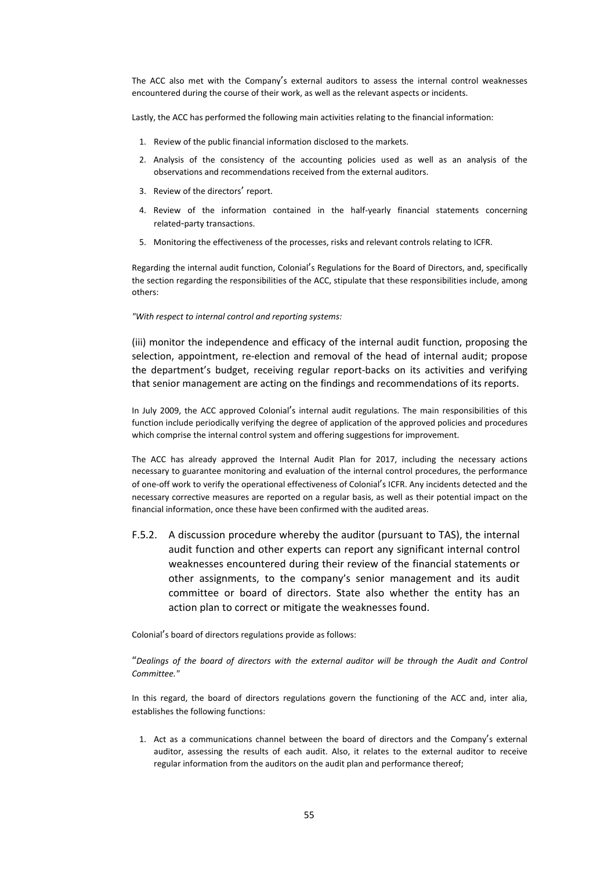The ACC also met with the Company's external auditors to assess the internal control weaknesses encountered during the course of their work, as well as the relevant aspects or incidents.

Lastly, the ACC has performed the following main activities relating to the financial information:

- 1. Review of the public financial information disclosed to the markets.
- 2. Analysis of the consistency of the accounting policies used as well as an analysis of the observations and recommendations received from the external auditors.
- 3. Review of the directors' report.
- 4. Review of the information contained in the half-yearly financial statements concerning related‐party transactions.
- 5. Monitoring the effectiveness of the processes, risks and relevant controls relating to ICFR.

Regarding the internal audit function, Colonial's Regulations for the Board of Directors, and, specifically the section regarding the responsibilities of the ACC, stipulate that these responsibilities include, among others:

*"With respect to internal control and reporting systems:*

(iii) monitor the independence and efficacy of the internal audit function, proposing the selection, appointment, re-election and removal of the head of internal audit; propose the department's budget, receiving regular report‐backs on its activities and verifying that senior management are acting on the findings and recommendations of its reports.

In July 2009, the ACC approved Colonial's internal audit regulations. The main responsibilities of this function include periodically verifying the degree of application of the approved policies and procedures which comprise the internal control system and offering suggestions for improvement.

The ACC has already approved the Internal Audit Plan for 2017, including the necessary actions necessary to guarantee monitoring and evaluation of the internal control procedures, the performance of one‐off work to verify the operational effectiveness of Colonial's ICFR. Any incidents detected and the necessary corrective measures are reported on a regular basis, as well as their potential impact on the financial information, once these have been confirmed with the audited areas.

F.5.2. A discussion procedure whereby the auditor (pursuant to TAS), the internal audit function and other experts can report any significant internal control weaknesses encountered during their review of the financial statements or other assignments, to the company's senior management and its audit committee or board of directors. State also whether the entity has an action plan to correct or mitigate the weaknesses found.

Colonial's board of directors regulations provide as follows:

"*Dealings of the board of directors with the external auditor will be through the Audit and Control Committee."*

In this regard, the board of directors regulations govern the functioning of the ACC and, inter alia, establishes the following functions:

1. Act as a communications channel between the board of directors and the Company's external auditor, assessing the results of each audit. Also, it relates to the external auditor to receive regular information from the auditors on the audit plan and performance thereof;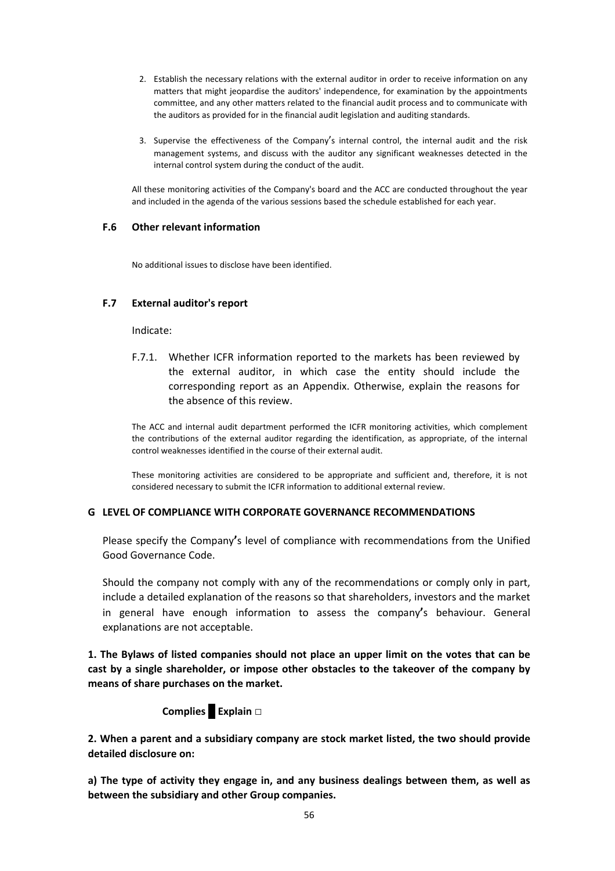- 2. Establish the necessary relations with the external auditor in order to receive information on any matters that might jeopardise the auditors' independence, for examination by the appointments committee, and any other matters related to the financial audit process and to communicate with the auditors as provided for in the financial audit legislation and auditing standards.
- 3. Supervise the effectiveness of the Company's internal control, the internal audit and the risk management systems, and discuss with the auditor any significant weaknesses detected in the internal control system during the conduct of the audit.

All these monitoring activities of the Company's board and the ACC are conducted throughout the year and included in the agenda of the various sessions based the schedule established for each year.

### **F.6 Other relevant information**

No additional issues to disclose have been identified.

### **F.7 External auditor's report**

Indicate:

F.7.1. Whether ICFR information reported to the markets has been reviewed by the external auditor, in which case the entity should include the corresponding report as an Appendix. Otherwise, explain the reasons for the absence of this review.

The ACC and internal audit department performed the ICFR monitoring activities, which complement the contributions of the external auditor regarding the identification, as appropriate, of the internal control weaknesses identified in the course of their external audit.

These monitoring activities are considered to be appropriate and sufficient and, therefore, it is not considered necessary to submit the ICFR information to additional external review.

#### **G LEVEL OF COMPLIANCE WITH CORPORATE GOVERNANCE RECOMMENDATIONS**

Please specify the Company**'**s level of compliance with recommendations from the Unified Good Governance Code.

Should the company not comply with any of the recommendations or comply only in part, include a detailed explanation of the reasons so that shareholders, investors and the market in general have enough information to assess the company**'**s behaviour. General explanations are not acceptable.

**1. The Bylaws of listed companies should not place an upper limit on the votes that can be cast by a single shareholder, or impose other obstacles to the takeover of the company by means of share purchases on the market.** 

## **Complies □ Explain □**

**2. When a parent and a subsidiary company are stock market listed, the two should provide detailed disclosure on:** 

**a) The type of activity they engage in, and any business dealings between them, as well as between the subsidiary and other Group companies.**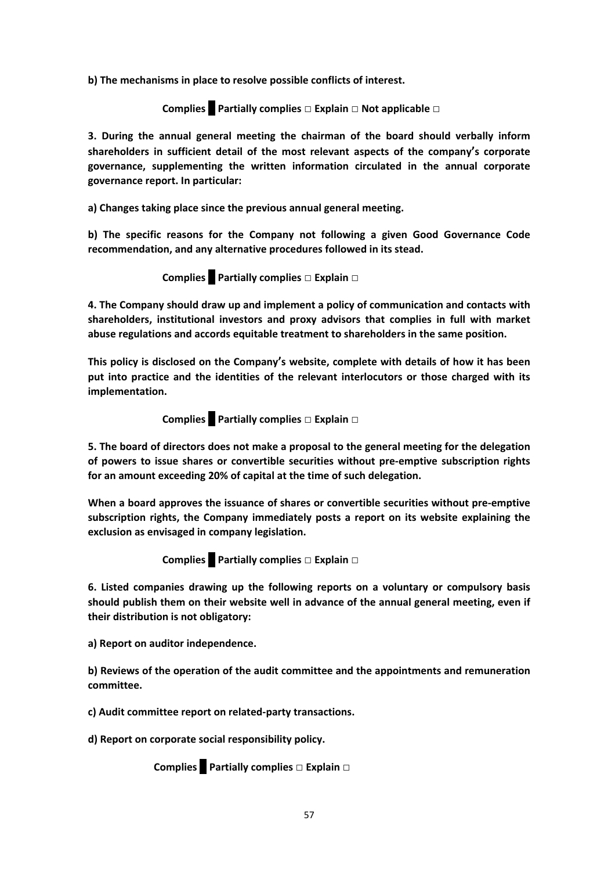**b) The mechanisms in place to resolve possible conflicts of interest.** 

**Complies □ Partially complies □ Explain □ Not applicable □**

**3. During the annual general meeting the chairman of the board should verbally inform shareholders in sufficient detail of the most relevant aspects of the company's corporate governance, supplementing the written information circulated in the annual corporate governance report. In particular:** 

**a) Changes taking place since the previous annual general meeting.** 

**b) The specific reasons for the Company not following a given Good Governance Code recommendation, and any alternative procedures followed in its stead.**

**Complies □ Partially complies □ Explain □**

**4. The Company should draw up and implement a policy of communication and contacts with shareholders, institutional investors and proxy advisors that complies in full with market abuse regulations and accords equitable treatment to shareholders in the same position.** 

**This policy is disclosed on the Company's website, complete with details of how it has been put into practice and the identities of the relevant interlocutors or those charged with its implementation.** 

**Complies □ Partially complies □ Explain □**

**5. The board of directors does not make a proposal to the general meeting for the delegation of powers to issue shares or convertible securities without pre‐emptive subscription rights for an amount exceeding 20% of capital at the time of such delegation.** 

**When a board approves the issuance of shares or convertible securities without pre‐emptive subscription rights, the Company immediately posts a report on its website explaining the exclusion as envisaged in company legislation.** 

**Complies □ Partially complies □ Explain □**

**6. Listed companies drawing up the following reports on a voluntary or compulsory basis should publish them on their website well in advance of the annual general meeting, even if their distribution is not obligatory:** 

**a) Report on auditor independence.** 

**b) Reviews of the operation of the audit committee and the appointments and remuneration committee.**

**c) Audit committee report on related‐party transactions.** 

**d) Report on corporate social responsibility policy.** 

**Complies □ Partially complies □ Explain □**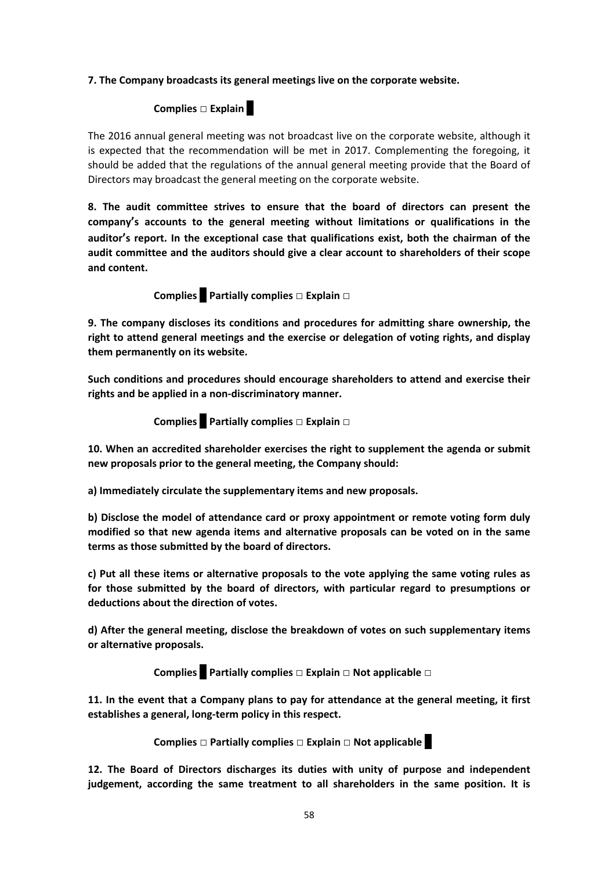### **7. The Company broadcasts its general meetings live on the corporate website.**

## **Complies □ Explain □**

The 2016 annual general meeting was not broadcast live on the corporate website, although it is expected that the recommendation will be met in 2017. Complementing the foregoing, it should be added that the regulations of the annual general meeting provide that the Board of Directors may broadcast the general meeting on the corporate website.

**8. The audit committee strives to ensure that the board of directors can present the company's accounts to the general meeting without limitations or qualifications in the auditor's report. In the exceptional case that qualifications exist, both the chairman of the audit committee and the auditors should give a clear account to shareholders of their scope and content.** 

# **Complies □ Partially complies □ Explain □**

**9. The company discloses its conditions and procedures for admitting share ownership, the right to attend general meetings and the exercise or delegation of voting rights, and display them permanently on its website.** 

**Such conditions and procedures should encourage shareholders to attend and exercise their rights and be applied in a non‐discriminatory manner.** 

**Complex Partially complies** 
$$
\Box
$$
 **Explain**  $\Box$ 

**10. When an accredited shareholder exercises the right to supplement the agenda or submit new proposals prior to the general meeting, the Company should:**

**a) Immediately circulate the supplementary items and new proposals.** 

**b) Disclose the model of attendance card or proxy appointment or remote voting form duly modified so that new agenda items and alternative proposals can be voted on in the same terms as those submitted by the board of directors.** 

**c) Put all these items or alternative proposals to the vote applying the same voting rules as for those submitted by the board of directors, with particular regard to presumptions or deductions about the direction of votes.** 

**d) After the general meeting, disclose the breakdown of votes on such supplementary items or alternative proposals.** 

**Complies □ Partially complies □ Explain □ Not applicable □**

**11. In the event that a Company plans to pay for attendance at the general meeting, it first establishes a general, long‐term policy in this respect.** 

**Complies □ Partially complies □ Explain □ Not applicable □** 

**12. The Board of Directors discharges its duties with unity of purpose and independent judgement, according the same treatment to all shareholders in the same position. It is**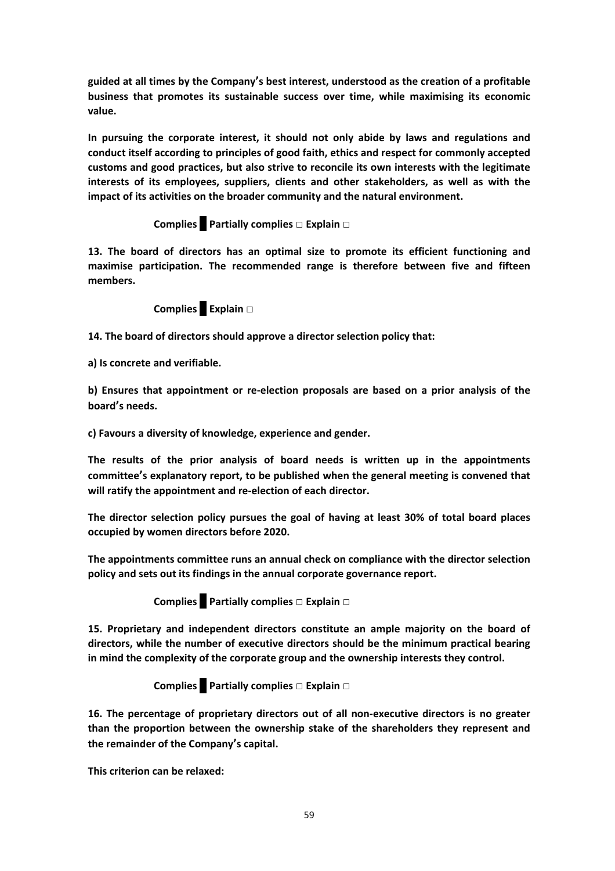**guided at all times by the Company's best interest, understood as the creation of a profitable business that promotes its sustainable success over time, while maximising its economic value.** 

**In pursuing the corporate interest, it should not only abide by laws and regulations and conduct itself according to principles of good faith, ethics and respect for commonly accepted customs and good practices, but also strive to reconcile its own interests with the legitimate interests of its employees, suppliers, clients and other stakeholders, as well as with the impact of its activities on the broader community and the natural environment.**

## **Complies □ Partially complies □ Explain □**

**13. The board of directors has an optimal size to promote its efficient functioning and maximise participation. The recommended range is therefore between five and fifteen members.** 

**Complies □ Explain □**

**14. The board of directors should approve a director selection policy that:** 

**a) Is concrete and verifiable.** 

**b) Ensures that appointment or re‐election proposals are based on a prior analysis of the board's needs.** 

**c) Favours a diversity of knowledge, experience and gender.** 

**The results of the prior analysis of board needs is written up in the appointments committee's explanatory report, to be published when the general meeting is convened that will ratify the appointment and re‐election of each director.** 

**The director selection policy pursues the goal of having at least 30% of total board places occupied by women directors before 2020.** 

**The appointments committee runs an annual check on compliance with the director selection policy and sets out its findings in the annual corporate governance report.** 

**Complies □ Partially complies □ Explain □**

**15. Proprietary and independent directors constitute an ample majority on the board of directors, while the number of executive directors should be the minimum practical bearing in mind the complexity of the corporate group and the ownership interests they control.** 

**Complies □ Partially complies □ Explain □**

**16. The percentage of proprietary directors out of all non‐executive directors is no greater than the proportion between the ownership stake of the shareholders they represent and the remainder of the Company's capital.** 

**This criterion can be relaxed:**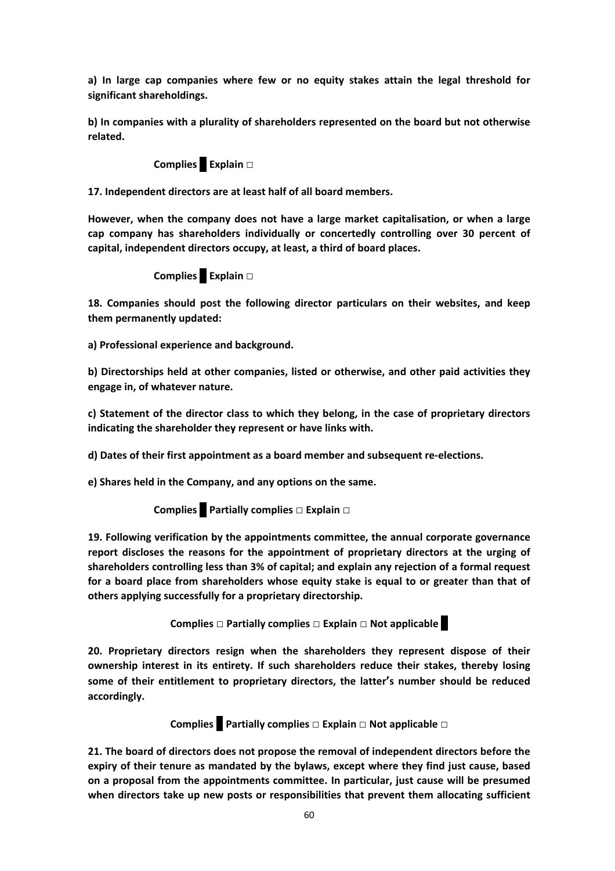**a) In large cap companies where few or no equity stakes attain the legal threshold for significant shareholdings.** 

**b) In companies with a plurality of shareholders represented on the board but not otherwise related.** 

**Complies □ Explain □**

**17. Independent directors are at least half of all board members.** 

**However, when the company does not have a large market capitalisation, or when a large cap company has shareholders individually or concertedly controlling over 30 percent of capital, independent directors occupy, at least, a third of board places.** 

## **Complies □ Explain □**

**18. Companies should post the following director particulars on their websites, and keep them permanently updated:** 

**a) Professional experience and background.** 

**b) Directorships held at other companies, listed or otherwise, and other paid activities they engage in, of whatever nature.** 

**c) Statement of the director class to which they belong, in the case of proprietary directors indicating the shareholder they represent or have links with.** 

**d) Dates of their first appointment as a board member and subsequent re‐elections.** 

**e) Shares held in the Company, and any options on the same.** 

**Complies □ Partially complies □ Explain □**

**19. Following verification by the appointments committee, the annual corporate governance report discloses the reasons for the appointment of proprietary directors at the urging of shareholders controlling less than 3% of capital; and explain any rejection of a formal request for a board place from shareholders whose equity stake is equal to or greater than that of others applying successfully for a proprietary directorship.** 



**20. Proprietary directors resign when the shareholders they represent dispose of their ownership interest in its entirety. If such shareholders reduce their stakes, thereby losing some of their entitlement to proprietary directors, the latter's number should be reduced accordingly.** 

**Complies □ Partially complies □ Explain □ Not applicable □**

**21. The board of directors does not propose the removal of independent directors before the expiry of their tenure as mandated by the bylaws, except where they find just cause, based on a proposal from the appointments committee. In particular, just cause will be presumed when directors take up new posts or responsibilities that prevent them allocating sufficient**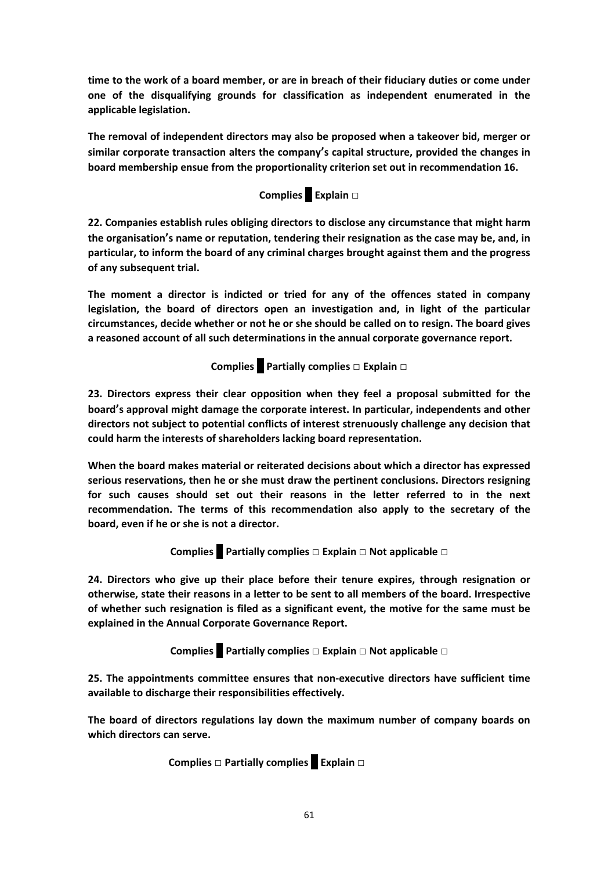time to the work of a board member, or are in breach of their fiduciary duties or come under **one of the disqualifying grounds for classification as independent enumerated in the applicable legislation.** 

**The removal of independent directors may also be proposed when a takeover bid, merger or similar corporate transaction alters the company's capital structure, provided the changes in board membership ensue from the proportionality criterion set out in recommendation 16.**



**22. Companies establish rules obliging directors to disclose any circumstance that might harm the organisation's name or reputation, tendering their resignation as the case may be, and, in particular, to inform the board of any criminal charges brought against them and the progress of any subsequent trial.** 

**The moment a director is indicted or tried for any of the offences stated in company legislation, the board of directors open an investigation and, in light of the particular circumstances, decide whether or not he or she should be called on to resign. The board gives a reasoned account of all such determinations in the annual corporate governance report.**

**Complies □ Partially complies □ Explain □**

**23. Directors express their clear opposition when they feel a proposal submitted for the board's approval might damage the corporate interest. In particular, independents and other directors not subject to potential conflicts of interest strenuously challenge any decision that could harm the interests of shareholders lacking board representation.**

**When the board makes material or reiterated decisions about which a director has expressed serious reservations, then he or she must draw the pertinent conclusions. Directors resigning for such causes should set out their reasons in the letter referred to in the next recommendation. The terms of this recommendation also apply to the secretary of the board, even if he or she is not a director.** 

**Complies □ Partially complies □ Explain □ Not applicable □**

**24. Directors who give up their place before their tenure expires, through resignation or otherwise, state their reasons in a letter to be sent to all members of the board. Irrespective of whether such resignation is filed as a significant event, the motive for the same must be explained in the Annual Corporate Governance Report.** 

**Complies □ Partially complies □ Explain □ Not applicable □**

**25. The appointments committee ensures that non‐executive directors have sufficient time available to discharge their responsibilities effectively.** 

**The board of directors regulations lay down the maximum number of company boards on which directors can serve.** 

**Complies □ Partially complies □ Explain □**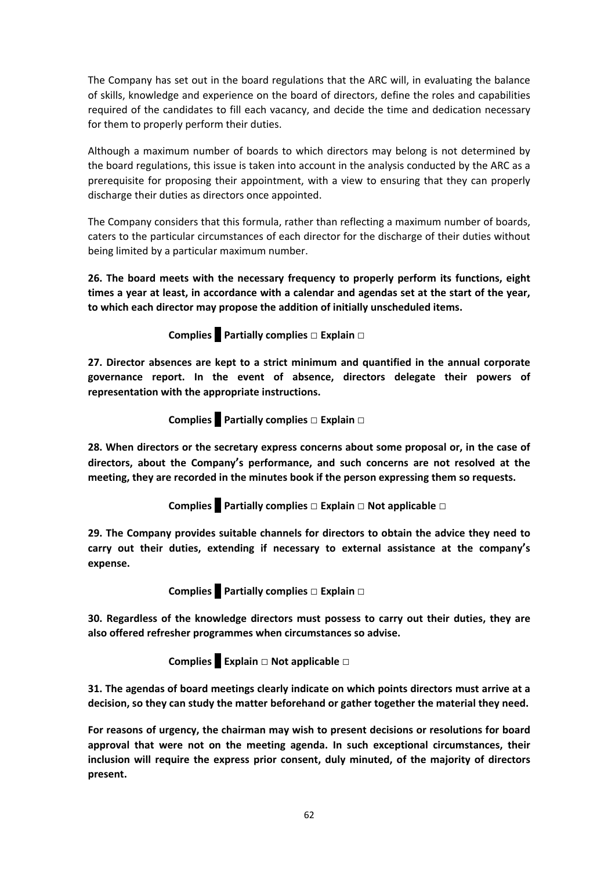The Company has set out in the board regulations that the ARC will, in evaluating the balance of skills, knowledge and experience on the board of directors, define the roles and capabilities required of the candidates to fill each vacancy, and decide the time and dedication necessary for them to properly perform their duties.

Although a maximum number of boards to which directors may belong is not determined by the board regulations, this issue is taken into account in the analysis conducted by the ARC as a prerequisite for proposing their appointment, with a view to ensuring that they can properly discharge their duties as directors once appointed.

The Company considers that this formula, rather than reflecting a maximum number of boards, caters to the particular circumstances of each director for the discharge of their duties without being limited by a particular maximum number.

**26. The board meets with the necessary frequency to properly perform its functions, eight** times a year at least, in accordance with a calendar and agendas set at the start of the year, **to which each director may propose the addition of initially unscheduled items.** 

**Complies □ Partially complies □ Explain □**

**27. Director absences are kept to a strict minimum and quantified in the annual corporate governance report. In the event of absence, directors delegate their powers of representation with the appropriate instructions.** 

**Complies □ Partially complies □ Explain □**

**28. When directors or the secretary express concerns about some proposal or, in the case of directors, about the Company's performance, and such concerns are not resolved at the meeting, they are recorded in the minutes book if the person expressing them so requests.** 

**Complies □ Partially complies □ Explain □ Not applicable □**

**29. The Company provides suitable channels for directors to obtain the advice they need to carry out their duties, extending if necessary to external assistance at the company's expense.** 

**Complies □ Partially complies □ Explain □**

**30. Regardless of the knowledge directors must possess to carry out their duties, they are also offered refresher programmes when circumstances so advise.** 

**Complies □ Explain □ Not applicable □**

**31. The agendas of board meetings clearly indicate on which points directors must arrive at a decision, so they can study the matter beforehand or gather together the material they need.** 

**For reasons of urgency, the chairman may wish to present decisions or resolutions for board approval that were not on the meeting agenda. In such exceptional circumstances, their inclusion will require the express prior consent, duly minuted, of the majority of directors present.**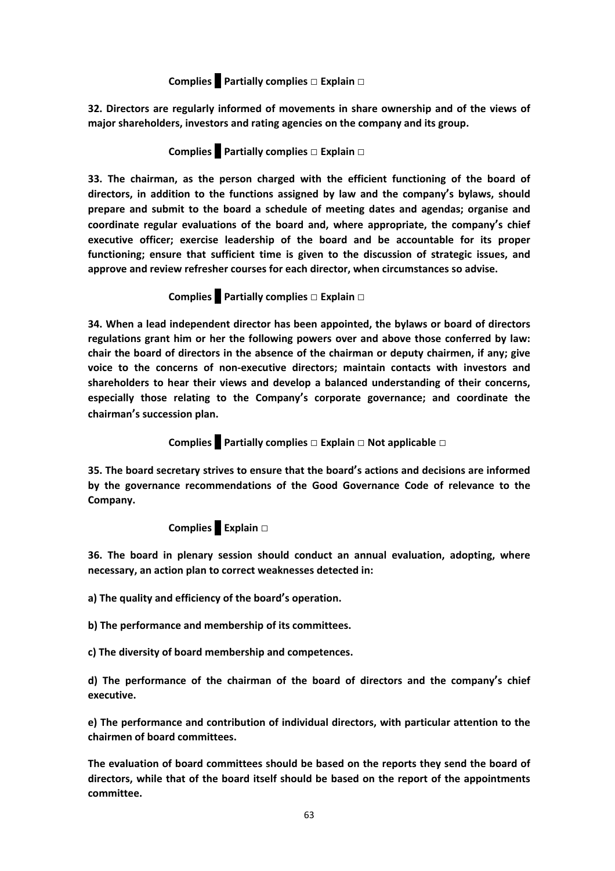## **Complies □ Partially complies □ Explain □**

**32. Directors are regularly informed of movements in share ownership and of the views of major shareholders, investors and rating agencies on the company and its group.** 

## **Complies □ Partially complies □ Explain □**

**33. The chairman, as the person charged with the efficient functioning of the board of directors, in addition to the functions assigned by law and the company's bylaws, should prepare and submit to the board a schedule of meeting dates and agendas; organise and coordinate regular evaluations of the board and, where appropriate, the company's chief executive officer; exercise leadership of the board and be accountable for its proper functioning; ensure that sufficient time is given to the discussion of strategic issues, and approve and review refresher courses for each director, when circumstances so advise.** 

## **Complies □ Partially complies □ Explain □**

**34. When a lead independent director has been appointed, the bylaws or board of directors regulations grant him or her the following powers over and above those conferred by law: chair the board of directors in the absence of the chairman or deputy chairmen, if any; give voice to the concerns of non‐executive directors; maintain contacts with investors and shareholders to hear their views and develop a balanced understanding of their concerns, especially those relating to the Company's corporate governance; and coordinate the chairman's succession plan.** 

**Complies □ Partially complies □ Explain □ Not applicable □**

**35. The board secretary strives to ensure that the board's actions and decisions are informed by the governance recommendations of the Good Governance Code of relevance to the Company.** 

## **Complies □ Explain □**

**36. The board in plenary session should conduct an annual evaluation, adopting, where necessary, an action plan to correct weaknesses detected in:** 

**a) The quality and efficiency of the board's operation.** 

**b) The performance and membership of its committees.** 

**c) The diversity of board membership and competences.** 

**d) The performance of the chairman of the board of directors and the company's chief executive.** 

**e) The performance and contribution of individual directors, with particular attention to the chairmen of board committees.** 

**The evaluation of board committees should be based on the reports they send the board of directors, while that of the board itself should be based on the report of the appointments committee.**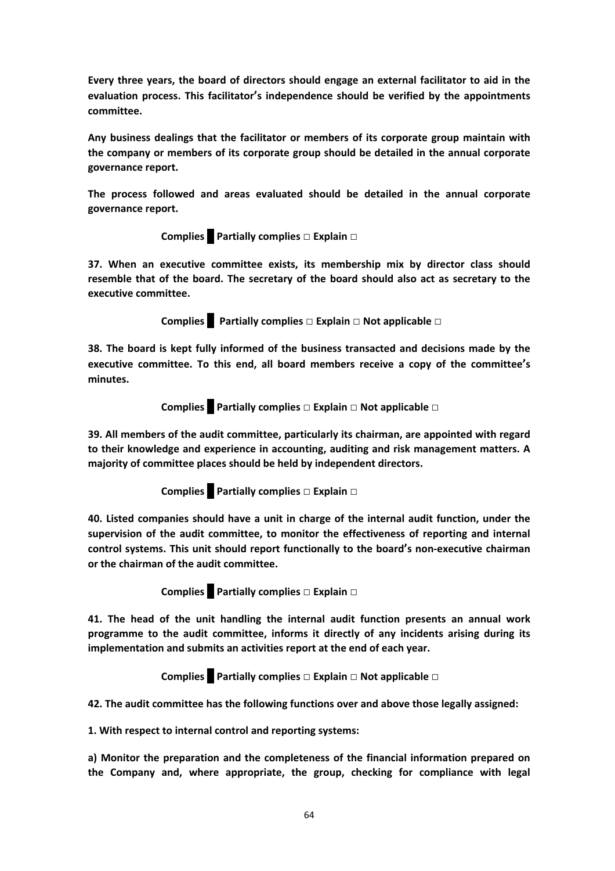**Every three years, the board of directors should engage an external facilitator to aid in the evaluation process. This facilitator's independence should be verified by the appointments committee.** 

**Any business dealings that the facilitator or members of its corporate group maintain with the company or members of its corporate group should be detailed in the annual corporate governance report.** 

**The process followed and areas evaluated should be detailed in the annual corporate governance report.** 

**Complies □ Partially complies □ Explain □**

**37. When an executive committee exists, its membership mix by director class should resemble that of the board. The secretary of the board should also act as secretary to the executive committee.** 

**Complies □ Partially complies □ Explain □ Not applicable □**

**38. The board is kept fully informed of the business transacted and decisions made by the executive committee. To this end, all board members receive a copy of the committee's minutes.** 

**Complies □ Partially complies □ Explain □ Not applicable □**

**39. All members of the audit committee, particularly its chairman, are appointed with regard to their knowledge and experience in accounting, auditing and risk management matters. A majority of committee places should be held by independent directors.** 

**Complies □ Partially complies □ Explain □**

**40. Listed companies should have a unit in charge of the internal audit function, under the supervision of the audit committee, to monitor the effectiveness of reporting and internal control systems. This unit should report functionally to the board's non‐executive chairman or the chairman of the audit committee.** 

**Complies □ Partially complies □ Explain □**

**41. The head of the unit handling the internal audit function presents an annual work programme to the audit committee, informs it directly of any incidents arising during its implementation and submits an activities report at the end of each year.** 

**Complies □ Partially complies □ Explain □ Not applicable □**

**42. The audit committee has the following functions over and above those legally assigned:** 

**1. With respect to internal control and reporting systems:** 

**a) Monitor the preparation and the completeness of the financial information prepared on the Company and, where appropriate, the group, checking for compliance with legal**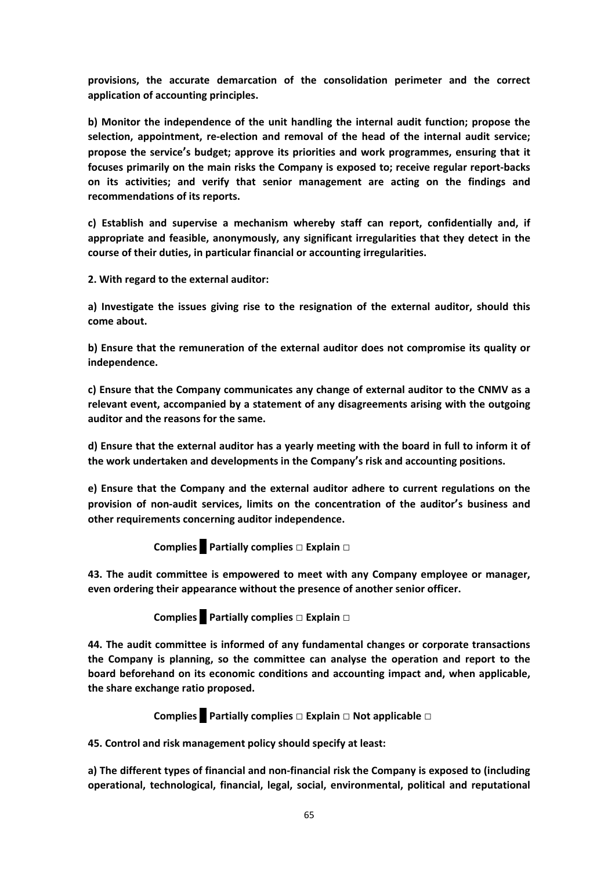**provisions, the accurate demarcation of the consolidation perimeter and the correct application of accounting principles.** 

**b) Monitor the independence of the unit handling the internal audit function; propose the selection, appointment, re‐election and removal of the head of the internal audit service; propose the service's budget; approve its priorities and work programmes, ensuring that it focuses primarily on the main risks the Company is exposed to; receive regular report‐backs on its activities; and verify that senior management are acting on the findings and recommendations of its reports.** 

**c) Establish and supervise a mechanism whereby staff can report, confidentially and, if appropriate and feasible, anonymously, any significant irregularities that they detect in the course of their duties, in particular financial or accounting irregularities.** 

**2. With regard to the external auditor:** 

**a) Investigate the issues giving rise to the resignation of the external auditor, should this come about.** 

**b) Ensure that the remuneration of the external auditor does not compromise its quality or independence.** 

**c) Ensure that the Company communicates any change of external auditor to the CNMV as a relevant event, accompanied by a statement of any disagreements arising with the outgoing auditor and the reasons for the same.** 

d) Ensure that the external auditor has a yearly meeting with the board in full to inform it of **the work undertaken and developments in the Company's risk and accounting positions.** 

**e) Ensure that the Company and the external auditor adhere to current regulations on the provision of non‐audit services, limits on the concentration of the auditor's business and other requirements concerning auditor independence.** 

**Complies □ Partially complies □ Explain □**

**43. The audit committee is empowered to meet with any Company employee or manager, even ordering their appearance without the presence of another senior officer.** 

**Complies □ Partially complies □ Explain □**

**44. The audit committee is informed of any fundamental changes or corporate transactions the Company is planning, so the committee can analyse the operation and report to the board beforehand on its economic conditions and accounting impact and, when applicable, the share exchange ratio proposed.** 

**Complies □ Partially complies □ Explain □ Not applicable □**

**45. Control and risk management policy should specify at least:** 

**a) The different types of financial and non‐financial risk the Company is exposed to (including operational, technological, financial, legal, social, environmental, political and reputational**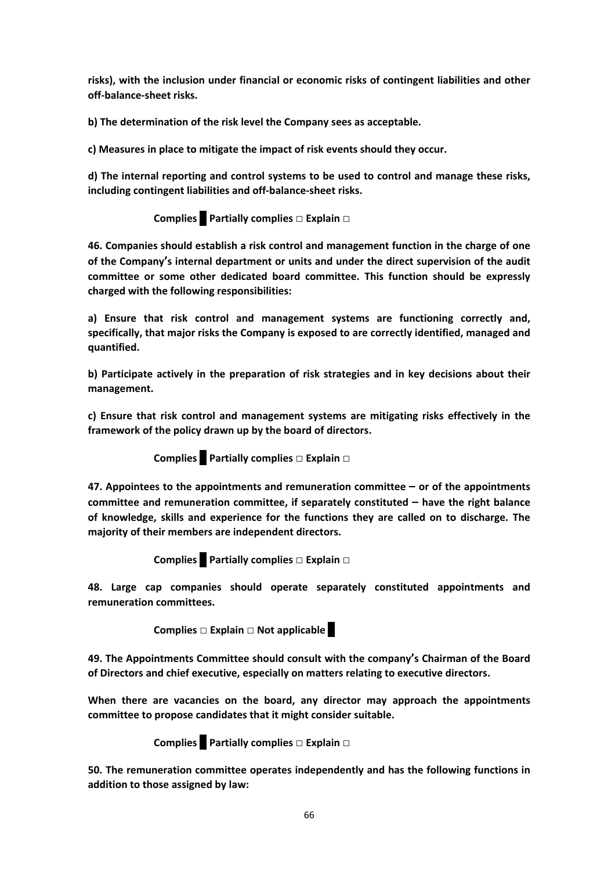**risks), with the inclusion under financial or economic risks of contingent liabilities and other off‐balance‐sheet risks.** 

**b) The determination of the risk level the Company sees as acceptable.** 

**c) Measures in place to mitigate the impact of risk events should they occur.** 

**d) The internal reporting and control systems to be used to control and manage these risks, including contingent liabilities and off‐balance‐sheet risks.** 

**Complies □ Partially complies □ Explain □**

**46. Companies should establish a risk control and management function in the charge of one of the Company's internal department or units and under the direct supervision of the audit committee or some other dedicated board committee. This function should be expressly charged with the following responsibilities:** 

**a) Ensure that risk control and management systems are functioning correctly and, specifically, that major risks the Company is exposed to are correctly identified, managed and quantified.** 

**b) Participate actively in the preparation of risk strategies and in key decisions about their management.** 

**c) Ensure that risk control and management systems are mitigating risks effectively in the framework of the policy drawn up by the board of directors.** 

**Complies □ Partially complies □ Explain □**

**47. Appointees to the appointments and remuneration committee – or of the appointments committee and remuneration committee, if separately constituted – have the right balance of knowledge, skills and experience for the functions they are called on to discharge. The majority of their members are independent directors.** 

**Complies □ Partially complies □ Explain □**

**48. Large cap companies should operate separately constituted appointments and remuneration committees.** 

**Complies □ Explain □ Not applicable □** 

**49. The Appointments Committee should consult with the company's Chairman of the Board of Directors and chief executive, especially on matters relating to executive directors.** 

**When there are vacancies on the board, any director may approach the appointments committee to propose candidates that it might consider suitable.** 

**Complies □ Partially complies □ Explain □**

**50. The remuneration committee operates independently and has the following functions in addition to those assigned by law:**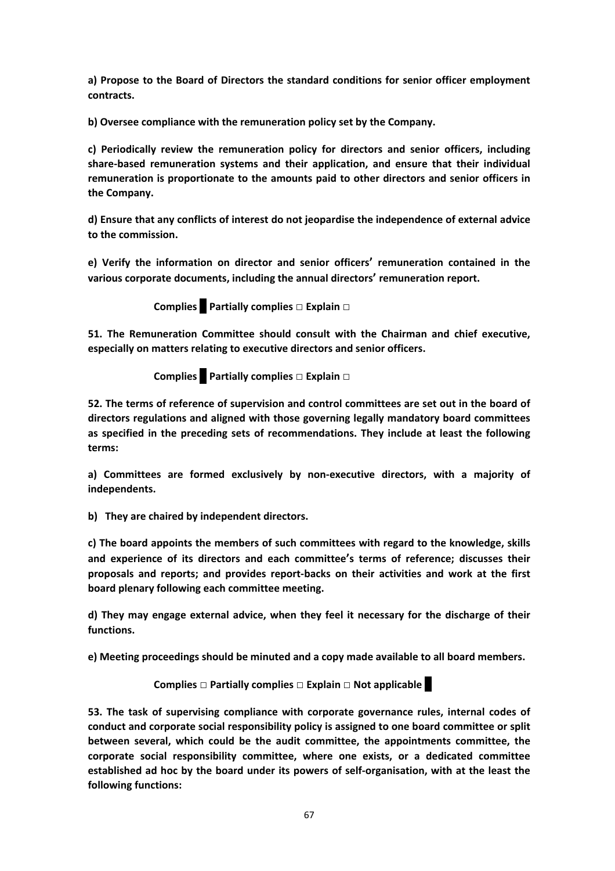**a) Propose to the Board of Directors the standard conditions for senior officer employment contracts.** 

**b) Oversee compliance with the remuneration policy set by the Company.** 

**c) Periodically review the remuneration policy for directors and senior officers, including share‐based remuneration systems and their application, and ensure that their individual remuneration is proportionate to the amounts paid to other directors and senior officers in the Company.** 

**d) Ensure that any conflicts of interest do not jeopardise the independence of external advice to the commission.** 

**e) Verify the information on director and senior officers' remuneration contained in the various corporate documents, including the annual directors' remuneration report.** 

**Complies □ Partially complies □ Explain □**

**51. The Remuneration Committee should consult with the Chairman and chief executive, especially on matters relating to executive directors and senior officers.** 

**Complex Partially complies** 
$$
\Box
$$
 **Explain**  $\Box$ 

**52. The terms of reference of supervision and control committees are set out in the board of directors regulations and aligned with those governing legally mandatory board committees as specified in the preceding sets of recommendations. They include at least the following terms:** 

**a) Committees are formed exclusively by non‐executive directors, with a majority of independents.** 

**b) They are chaired by independent directors.**

**c) The board appoints the members of such committees with regard to the knowledge, skills and experience of its directors and each committee's terms of reference; discusses their proposals and reports; and provides report‐backs on their activities and work at the first board plenary following each committee meeting.** 

**d) They may engage external advice, when they feel it necessary for the discharge of their functions.** 

**e) Meeting proceedings should be minuted and a copy made available to all board members.**

**Complies □ Partially complies □ Explain □ Not applicable □**

**53. The task of supervising compliance with corporate governance rules, internal codes of conduct and corporate social responsibility policy is assigned to one board committee or split between several, which could be the audit committee, the appointments committee, the corporate social responsibility committee, where one exists, or a dedicated committee established ad hoc by the board under its powers of self‐organisation, with at the least the following functions:**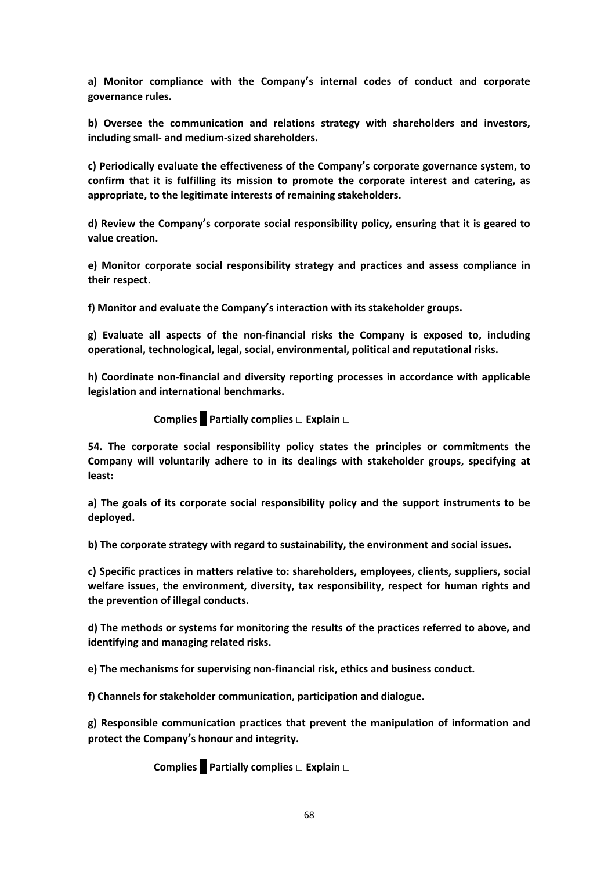**a) Monitor compliance with the Company's internal codes of conduct and corporate governance rules.** 

**b) Oversee the communication and relations strategy with shareholders and investors, including small‐ and medium‐sized shareholders.** 

**c) Periodically evaluate the effectiveness of the Company's corporate governance system, to confirm that it is fulfilling its mission to promote the corporate interest and catering, as appropriate, to the legitimate interests of remaining stakeholders.** 

**d) Review the Company's corporate social responsibility policy, ensuring that it is geared to value creation.** 

**e) Monitor corporate social responsibility strategy and practices and assess compliance in their respect.** 

**f) Monitor and evaluate the Company's interaction with its stakeholder groups.** 

**g) Evaluate all aspects of the non‐financial risks the Company is exposed to, including operational, technological, legal, social, environmental, political and reputational risks.** 

**h) Coordinate non‐financial and diversity reporting processes in accordance with applicable legislation and international benchmarks.** 

**Complies □ Partially complies □ Explain □**

**54. The corporate social responsibility policy states the principles or commitments the Company will voluntarily adhere to in its dealings with stakeholder groups, specifying at least:** 

**a) The goals of its corporate social responsibility policy and the support instruments to be deployed.** 

**b) The corporate strategy with regard to sustainability, the environment and social issues.** 

**c) Specific practices in matters relative to: shareholders, employees, clients, suppliers, social welfare issues, the environment, diversity, tax responsibility, respect for human rights and the prevention of illegal conducts.** 

**d) The methods or systems for monitoring the results of the practices referred to above, and identifying and managing related risks.** 

**e) The mechanisms for supervising non‐financial risk, ethics and business conduct.** 

**f) Channels for stakeholder communication, participation and dialogue.** 

**g) Responsible communication practices that prevent the manipulation of information and protect the Company's honour and integrity.** 

**Complies □ Partially complies □ Explain □**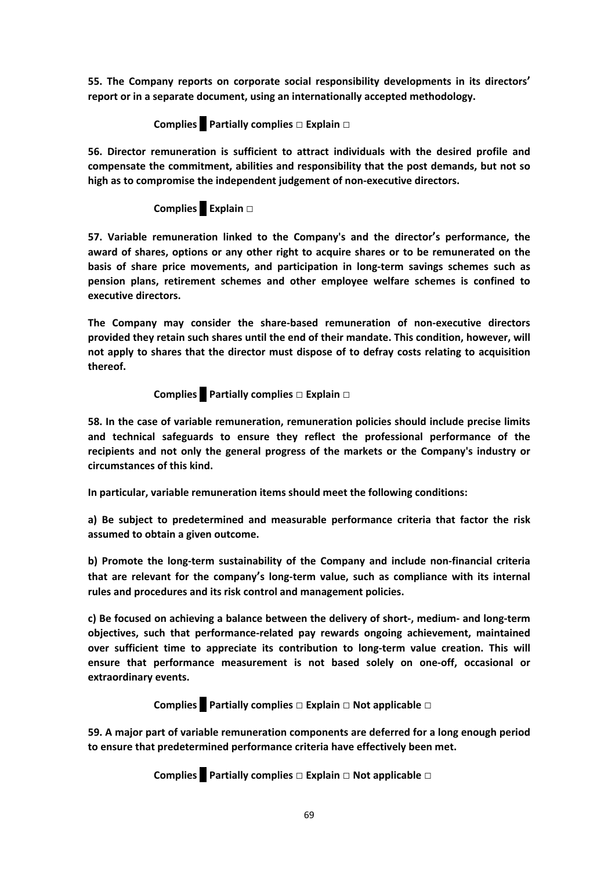**55. The Company reports on corporate social responsibility developments in its directors' report or in a separate document, using an internationally accepted methodology.** 

**Complies □ Partially complies □ Explain □**

**56. Director remuneration is sufficient to attract individuals with the desired profile and compensate the commitment, abilities and responsibility that the post demands, but not so high as to compromise the independent judgement of non‐executive directors.** 

**Complies □ Explain □**

**57. Variable remuneration linked to the Company's and the director's performance, the award of shares, options or any other right to acquire shares or to be remunerated on the basis of share price movements, and participation in long‐term savings schemes such as pension plans, retirement schemes and other employee welfare schemes is confined to executive directors.** 

**The Company may consider the share‐based remuneration of non‐executive directors provided they retain such shares until the end of their mandate. This condition, however, will not apply to shares that the director must dispose of to defray costs relating to acquisition thereof.** 

**Complex** Partially complies 
$$
\Box
$$
 Explain  $\Box$ 

**58. In the case of variable remuneration, remuneration policies should include precise limits and technical safeguards to ensure they reflect the professional performance of the recipients and not only the general progress of the markets or the Company's industry or circumstances of this kind.** 

**In particular, variable remuneration items should meet the following conditions:** 

**a) Be subject to predetermined and measurable performance criteria that factor the risk assumed to obtain a given outcome.** 

**b) Promote the long‐term sustainability of the Company and include non‐financial criteria that are relevant for the company's long‐term value, such as compliance with its internal rules and procedures and its risk control and management policies.** 

c) Be focused on achieving a balance between the delivery of short-, medium- and long-term **objectives, such that performance‐related pay rewards ongoing achievement, maintained over sufficient time to appreciate its contribution to long‐term value creation. This will ensure that performance measurement is not based solely on one‐off, occasional or extraordinary events.** 

**Complies □ Partially complies □ Explain □ Not applicable □**

**59. A major part of variable remuneration components are deferred for a long enough period to ensure that predetermined performance criteria have effectively been met.** 

**Complies □ Partially complies □ Explain □ Not applicable □**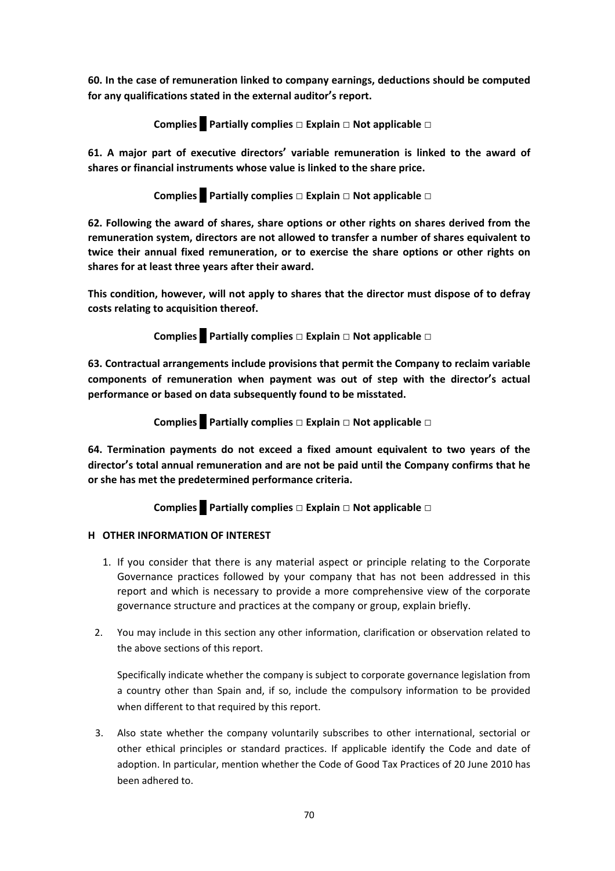**60. In the case of remuneration linked to company earnings, deductions should be computed for any qualifications stated in the external auditor's report.** 

**Complies □ Partially complies □ Explain □ Not applicable □**

**61. A major part of executive directors' variable remuneration is linked to the award of shares or financial instruments whose value is linked to the share price.** 

**Complies □ Partially complies □ Explain □ Not applicable □**

**62. Following the award of shares, share options or other rights on shares derived from the remuneration system, directors are not allowed to transfer a number of shares equivalent to twice their annual fixed remuneration, or to exercise the share options or other rights on shares for at least three years after their award.** 

**This condition, however, will not apply to shares that the director must dispose of to defray costs relating to acquisition thereof.** 

**Complies □ Partially complies □ Explain □ Not applicable □**

**63. Contractual arrangements include provisions that permit the Company to reclaim variable components of remuneration when payment was out of step with the director's actual performance or based on data subsequently found to be misstated.** 

**Complies □ Partially complies □ Explain □ Not applicable □**

**64. Termination payments do not exceed a fixed amount equivalent to two years of the director's total annual remuneration and are not be paid until the Company confirms that he or she has met the predetermined performance criteria.** 

**Complies □ Partially complies □ Explain □ Not applicable □**

## **H OTHER INFORMATION OF INTEREST**

- 1. If you consider that there is any material aspect or principle relating to the Corporate Governance practices followed by your company that has not been addressed in this report and which is necessary to provide a more comprehensive view of the corporate governance structure and practices at the company or group, explain briefly.
- 2. You may include in this section any other information, clarification or observation related to the above sections of this report.

Specifically indicate whether the company is subject to corporate governance legislation from a country other than Spain and, if so, include the compulsory information to be provided when different to that required by this report.

3. Also state whether the company voluntarily subscribes to other international, sectorial or other ethical principles or standard practices. If applicable identify the Code and date of adoption. In particular, mention whether the Code of Good Tax Practices of 20 June 2010 has been adhered to.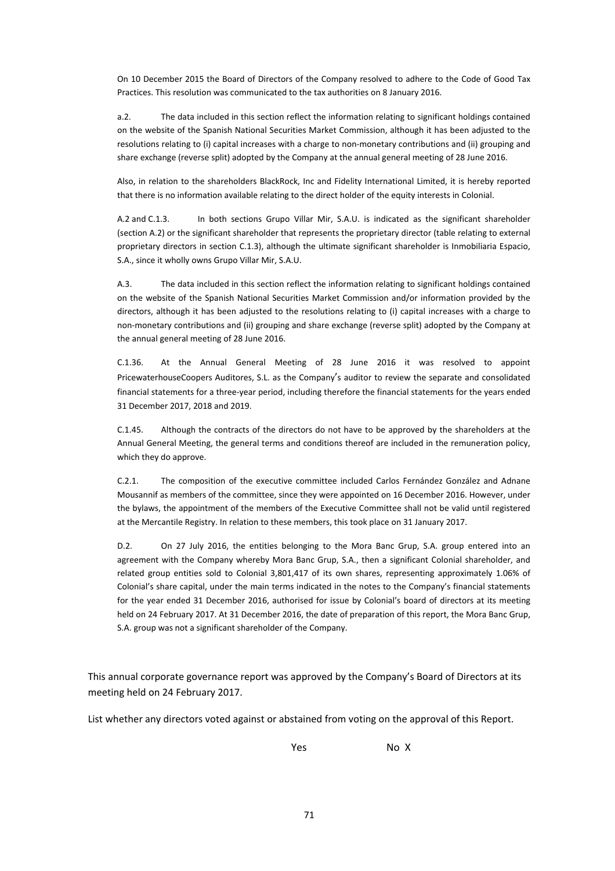On 10 December 2015 the Board of Directors of the Company resolved to adhere to the Code of Good Tax Practices. This resolution was communicated to the tax authorities on 8 January 2016.

a.2. The data included in this section reflect the information relating to significant holdings contained on the website of the Spanish National Securities Market Commission, although it has been adjusted to the resolutions relating to (i) capital increases with a charge to non‐monetary contributions and (ii) grouping and share exchange (reverse split) adopted by the Company at the annual general meeting of 28 June 2016.

Also, in relation to the shareholders BlackRock, Inc and Fidelity International Limited, it is hereby reported that there is no information available relating to the direct holder of the equity interests in Colonial.

A.2 and C.1.3. In both sections Grupo Villar Mir, S.A.U. is indicated as the significant shareholder (section A.2) or the significant shareholder that represents the proprietary director (table relating to external proprietary directors in section C.1.3), although the ultimate significant shareholder is Inmobiliaria Espacio, S.A., since it wholly owns Grupo Villar Mir, S.A.U.

A.3. The data included in this section reflect the information relating to significant holdings contained on the website of the Spanish National Securities Market Commission and/or information provided by the directors, although it has been adjusted to the resolutions relating to (i) capital increases with a charge to non‐monetary contributions and (ii) grouping and share exchange (reverse split) adopted by the Company at the annual general meeting of 28 June 2016.

C.1.36. At the Annual General Meeting of 28 June 2016 it was resolved to appoint PricewaterhouseCoopers Auditores, S.L. as the Company's auditor to review the separate and consolidated financial statements for a three‐year period, including therefore the financial statements for the years ended 31 December 2017, 2018 and 2019.

C.1.45. Although the contracts of the directors do not have to be approved by the shareholders at the Annual General Meeting, the general terms and conditions thereof are included in the remuneration policy, which they do approve.

C.2.1. The composition of the executive committee included Carlos Fernández González and Adnane Mousannif as members of the committee, since they were appointed on 16 December 2016. However, under the bylaws, the appointment of the members of the Executive Committee shall not be valid until registered at the Mercantile Registry. In relation to these members, this took place on 31 January 2017.

D.2. On 27 July 2016, the entities belonging to the Mora Banc Grup, S.A. group entered into an agreement with the Company whereby Mora Banc Grup, S.A., then a significant Colonial shareholder, and related group entities sold to Colonial 3,801,417 of its own shares, representing approximately 1.06% of Colonial's share capital, under the main terms indicated in the notes to the Company's financial statements for the year ended 31 December 2016, authorised for issue by Colonial's board of directors at its meeting held on 24 February 2017. At 31 December 2016, the date of preparation of this report, the Mora Banc Grup, S.A. group was not a significant shareholder of the Company.

This annual corporate governance report was approved by the Company's Board of Directors at its meeting held on 24 February 2017.

List whether any directors voted against or abstained from voting on the approval of this Report.

Yes No X